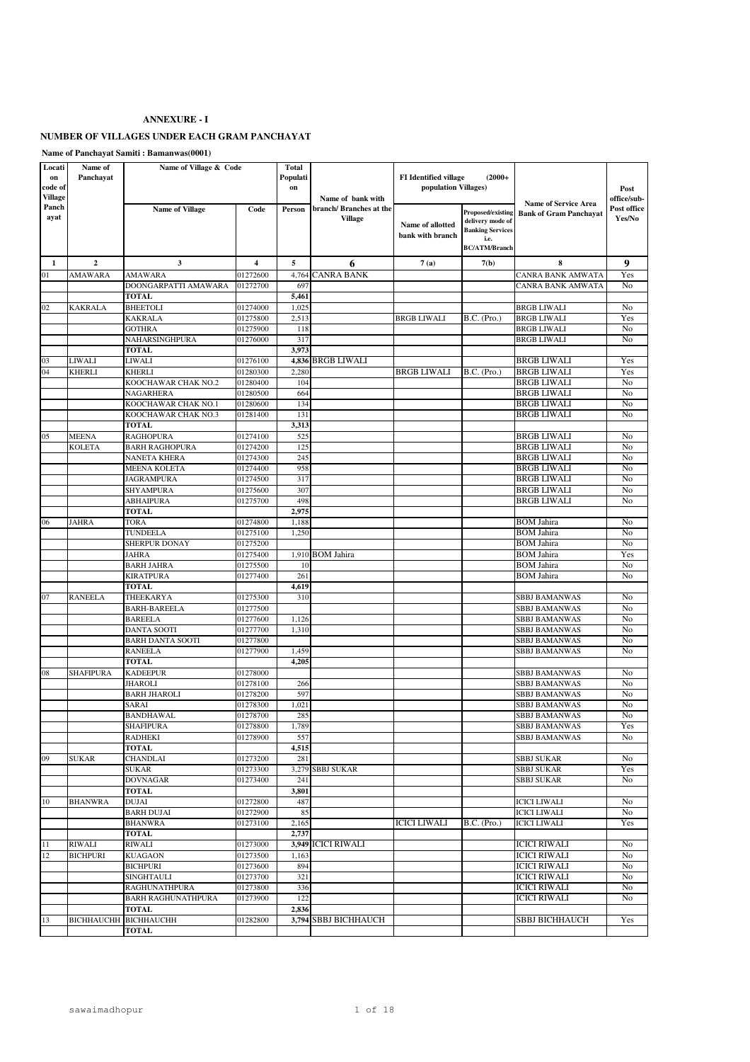### **NUMBER OF VILLAGES UNDER EACH GRAM PANCHAYAT**

**Name of Panchayat Samiti : Bamanwas(0001)**

| Locati         | Name of          | Name of Village & Code            |          | Total      |                        |                              |                              |                                            |             |
|----------------|------------------|-----------------------------------|----------|------------|------------------------|------------------------------|------------------------------|--------------------------------------------|-------------|
| on             | Panchayat        |                                   |          | Populati   |                        | <b>FI</b> Identified village | $(2000+$                     |                                            |             |
| code of        |                  |                                   |          | on         |                        | population Villages)         |                              |                                            | Post        |
| <b>Village</b> |                  |                                   |          |            | Name of bank with      |                              |                              | Name of Service Area                       | office/sub- |
| Panch          |                  | <b>Name of Village</b>            | Code     | Person     | branch/Branches at the |                              | Proposed/existing            | <b>Bank of Gram Panchavat</b>              | Post office |
| ayat           |                  |                                   |          |            | <b>Village</b>         | Name of allotted             | delivery mode of             |                                            | Yes/No      |
|                |                  |                                   |          |            |                        | bank with branch             | <b>Banking Services</b>      |                                            |             |
|                |                  |                                   |          |            |                        |                              | i.e.<br><b>BC/ATM/Branch</b> |                                            |             |
|                |                  |                                   |          |            |                        |                              |                              |                                            |             |
| 1              | $\mathbf 2$      | 3                                 | 4        | 5          | 6                      | 7(a)                         | 7(b)                         | 8                                          | 9           |
| 01             | <b>AMAWARA</b>   | <b>AMAWARA</b>                    | 01272600 | 4,764      | <b>CANRA BANK</b>      |                              |                              | CANRA BANK AMWATA                          | Yes         |
|                |                  | DOONGARPATTI AMAWARA              | 01272700 | 697        |                        |                              |                              | CANRA BANK AMWATA                          | No          |
|                |                  | <b>TOTAL</b>                      |          | 5,461      |                        |                              |                              |                                            |             |
| 02             | <b>KAKRALA</b>   | <b>BHEETOLI</b>                   | 01274000 | 1,025      |                        |                              |                              | <b>BRGB LIWALI</b>                         | No          |
|                |                  | <b>KAKRALA</b>                    | 01275800 | 2,513      |                        | <b>BRGB LIWALI</b>           | B.C. (Pro.)                  | <b>BRGB LIWALI</b>                         | Yes         |
|                |                  | GOTHRA                            | 01275900 | 118        |                        |                              |                              | <b>BRGB LIWALI</b>                         | No          |
|                |                  | NAHARSINGHPURA                    | 01276000 | 317        |                        |                              |                              | <b>BRGB LIWALI</b>                         | No          |
|                |                  | <b>TOTAL</b>                      |          | 3,973      |                        |                              |                              |                                            |             |
| 03             | LIWALI           | <b>LIWALI</b>                     | 01276100 | 4,836      | <b>BRGB LIWALI</b>     |                              |                              | <b>BRGB LIWALI</b>                         | Yes         |
| 04             | <b>KHERLI</b>    | <b>KHERLI</b>                     | 01280300 | 2,280      |                        | BRGB LIWALI                  | <b>B.C.</b> (Pro.)           | <b>BRGB LIWALI</b>                         | Yes         |
|                |                  | KOOCHAWAR CHAK NO.2               | 01280400 | 104        |                        |                              |                              | <b>BRGB LIWALI</b>                         | No          |
|                |                  | <b>NAGARHERA</b>                  | 01280500 | 664        |                        |                              |                              | <b>BRGB LIWALI</b>                         | No          |
|                |                  | KOOCHAWAR CHAK NO.1               | 01280600 | 134        |                        |                              |                              | <b>BRGB LIWALI</b>                         | No          |
|                |                  | KOOCHAWAR CHAK NO.3               | 01281400 | 131        |                        |                              |                              | <b>BRGB LIWALI</b>                         | No          |
|                |                  | <b>TOTAL</b>                      |          | 3,313      |                        |                              |                              |                                            |             |
| 05             | <b>MEENA</b>     | <b>RAGHOPURA</b>                  | 01274100 | 525        |                        |                              |                              | <b>BRGB LIWALI</b>                         | No          |
|                | <b>KOLETA</b>    | <b>BARH RAGHOPURA</b>             | 01274200 | 125        |                        |                              |                              | <b>BRGB LIWALI</b>                         | No          |
|                |                  | NANETA KHERA                      | 01274300 | 245        |                        |                              |                              | <b>BRGB LIWALI</b>                         | No          |
|                |                  | <b>MEENA KOLETA</b>               | 01274400 | 958        |                        |                              |                              | <b>BRGB LIWALI</b>                         | No          |
|                |                  | <b>JAGRAMPURA</b>                 | 01274500 | 317        |                        |                              |                              | <b>BRGB LIWALI</b>                         | No          |
|                |                  | SHYAMPURA                         | 01275600 | 307        |                        |                              |                              | <b>BRGB LIWALI</b>                         | No          |
|                |                  | <b>ABHAIPURA</b>                  | 01275700 | 498        |                        |                              |                              | <b>BRGB LIWALI</b>                         | No          |
|                |                  | <b>TOTAL</b>                      |          | 2,975      |                        |                              |                              |                                            |             |
| 06             | <b>JAHRA</b>     | <b>TORA</b>                       | 01274800 | 1,188      |                        |                              |                              | <b>BOM</b> Jahira                          | No          |
|                |                  | TUNDEELA                          | 01275100 | 1,250      |                        |                              |                              | <b>BOM</b> Jahira                          | No          |
|                |                  | SHERPUR DONAY                     | 01275200 |            |                        |                              |                              | <b>BOM</b> Jahira                          | No          |
|                |                  | <b>JAHRA</b>                      | 01275400 |            | 1,910 BOM Jahira       |                              |                              | <b>BOM</b> Jahira                          | Yes         |
|                |                  | <b>BARH JAHRA</b>                 | 01275500 | 10         |                        |                              |                              | <b>BOM</b> Jahira                          | No          |
|                |                  | <b>KIRATPURA</b>                  | 01277400 | 261        |                        |                              |                              | <b>BOM</b> Jahira                          | No          |
|                |                  | <b>TOTAL</b>                      |          | 4,619      |                        |                              |                              |                                            |             |
| 07             | <b>RANEELA</b>   | THEEKARYA                         | 01275300 | 310        |                        |                              |                              | SBBJ BAMANWAS                              | No          |
|                |                  | <b>BARH-BAREELA</b>               | 01277500 |            |                        |                              |                              | SBBJ BAMANWAS                              | No          |
|                |                  | <b>BAREELA</b>                    | 01277600 | 1,126      |                        |                              |                              | SBBJ BAMANWAS                              | No          |
|                |                  | <b>DANTA SOOTI</b>                | 01277700 | 1,310      |                        |                              |                              | SBBJ BAMANWAS                              | No          |
|                |                  | <b>BARH DANTA SOOTI</b>           | 01277800 |            |                        |                              |                              | SBBJ BAMANWAS                              | No          |
|                |                  | <b>RANEELA</b>                    | 01277900 | 1,459      |                        |                              |                              | <b>SBBJ BAMANWAS</b>                       | No          |
|                |                  | TOTAL                             |          | 4,205      |                        |                              |                              |                                            |             |
| 08             | <b>SHAFIPURA</b> | <b>KADEEPUR</b>                   | 01278000 |            |                        |                              |                              | SBBJ BAMANWAS                              | No          |
|                |                  | JHAROLI                           | 01278100 | 266        |                        |                              |                              | <b>SBBJ BAMANWAS</b>                       | No          |
|                |                  | <b>BARH JHAROLI</b>               | 01278200 | 597        |                        |                              |                              | <b>SBBJ BAMANWAS</b>                       | No          |
|                |                  | SARAI                             | 01278300 | 1,021      |                        |                              |                              | SBBJ BAMANWAS                              | No          |
|                |                  | <b>BANDHAWAL</b>                  | 01278700 | 285        |                        |                              |                              | SBBJ BAMANWAS                              | No          |
|                |                  | <b>SHAFIPURA</b>                  | 01278800 | 1.789      |                        |                              |                              | <b>SBBJ BAMANWAS</b>                       | Yes         |
|                |                  | <b>RADHEKI</b>                    | 01278900 | 557        |                        |                              |                              | SBBJ BAMANWAS                              | No          |
| 09             |                  | <b>TOTAL</b>                      |          | 4,515      |                        |                              |                              | <b>SBBJ SUKAR</b>                          |             |
|                | <b>SUKAR</b>     | CHANDLAI                          | 01273200 | 281        |                        |                              |                              |                                            | No          |
|                |                  | <b>SUKAR</b>                      | 01273300 | 3,279      | <b>SBBJ SUKAR</b>      |                              |                              | SBBJ SUKAR                                 | Yes         |
|                |                  | <b>DOVNAGAR</b>                   | 01273400 | 241        |                        |                              |                              | <b>SBBJ SUKAR</b>                          | No          |
|                |                  | TOTAL                             |          | 3,801      |                        |                              |                              |                                            |             |
| 10             | <b>BHANWRA</b>   | DUJAI                             | 01272800 | 487        |                        |                              |                              | <b>ICICI LIWALI</b>                        | No          |
|                |                  | <b>BARH DUJAI</b>                 | 01272900 | 85         |                        |                              |                              | <b>ICICI LIWALI</b>                        | No          |
|                |                  | <b>BHANWRA</b>                    | 01273100 | 2,165      |                        | <b>ICICI LIWALI</b>          | B.C. (Pro.)                  | <b>ICICI LIWALI</b>                        | Yes         |
|                |                  | TOTAL<br><b>RIWALI</b>            |          | 2,737      | 3,949 ICICI RIWALI     |                              |                              |                                            |             |
| 11             | <b>RIWALI</b>    |                                   | 01273000 |            |                        |                              |                              | <b>ICICI RIWALI</b>                        | No          |
| 12             | <b>BICHPURI</b>  | <b>KUAGAON</b>                    | 01273500 | 1,163      |                        |                              |                              | <b>ICICI RIWALI</b>                        | No          |
|                |                  | <b>BICHPURI</b>                   | 01273600 | 894        |                        |                              |                              | <b>ICICI RIWALI</b>                        | No          |
|                |                  | SINGHTAULI                        | 01273700 | 321        |                        |                              |                              | <b>ICICI RIWALI</b>                        | No          |
|                |                  | <b>RAGHUNATHPURA</b>              | 01273800 | 336<br>122 |                        |                              |                              | <b>ICICI RIWALI</b><br><b>ICICI RIWALI</b> | No          |
|                |                  | <b>BARH RAGHUNATHPURA</b>         | 01273900 |            |                        |                              |                              |                                            | No          |
|                | BICHHAUCHH       | <b>TOTAL</b><br><b>BICHHAUCHH</b> | 01282800 | 2,836      | 3,794 SBBJ BICHHAUCH   |                              |                              | SBBJ BICHHAUCH                             | Yes         |
| 13             |                  | <b>TOTAL</b>                      |          |            |                        |                              |                              |                                            |             |
|                |                  |                                   |          |            |                        |                              |                              |                                            |             |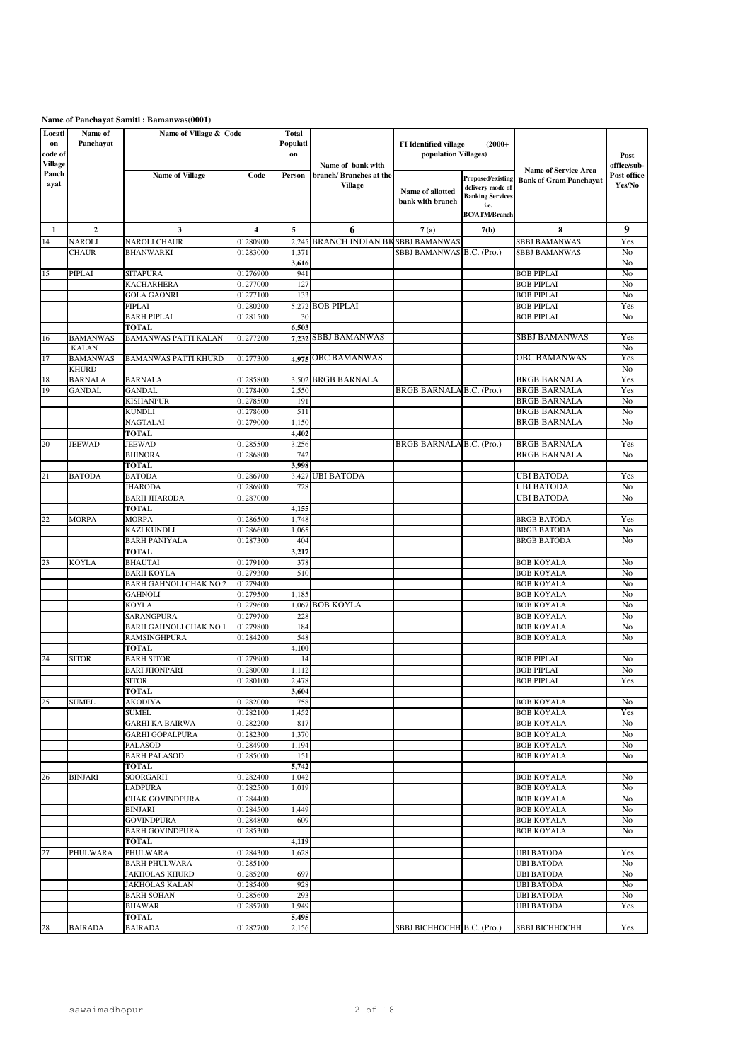| Name of Panchayat Samiti: Bamanwas(0001) |  |  |
|------------------------------------------|--|--|
|------------------------------------------|--|--|

| Locati         | Name of         | Name of Village & Code               |                         | Total        |                                      |                                                           |                                 |                                        |             |
|----------------|-----------------|--------------------------------------|-------------------------|--------------|--------------------------------------|-----------------------------------------------------------|---------------------------------|----------------------------------------|-------------|
| on             | Panchayat       |                                      |                         | Populati     |                                      | FI Identified village<br>$(2000+$<br>population Villages) |                                 |                                        |             |
| code of        |                 |                                      |                         | on           |                                      |                                                           |                                 |                                        | Post        |
| <b>Village</b> |                 |                                      |                         |              | Name of bank with                    |                                                           |                                 | <b>Name of Service Area</b>            | office/sub- |
| Panch          |                 | <b>Name of Village</b>               | Code                    | Person       | branch/Branches at the               |                                                           | <b>Proposed/existing</b>        | <b>Bank of Gram Panchayat</b>          | Post office |
| ayat           |                 |                                      |                         |              | <b>Village</b>                       | Name of allotted                                          | delivery mode of                |                                        | Yes/No      |
|                |                 |                                      |                         |              |                                      | bank with branch                                          | <b>Banking Services</b><br>i.e. |                                        |             |
|                |                 |                                      |                         |              |                                      |                                                           | <b>BC/ATM/Branch</b>            |                                        |             |
|                |                 |                                      |                         |              |                                      |                                                           |                                 |                                        |             |
| 1              | $\overline{2}$  | 3                                    | $\overline{\mathbf{4}}$ | 5            | 6                                    | 7(a)                                                      | 7(b)                            | 8                                      | 9           |
| 14             | <b>NAROLI</b>   | NAROLI CHAUR                         | 01280900                |              | 2,245 BRANCH INDIAN BK SBBJ BAMANWAS |                                                           |                                 | SBBJ BAMANWAS                          | Yes         |
|                | <b>CHAUR</b>    | BHANWARKI                            | 01283000                | 1,371        |                                      | SBBJ BAMANWAS B.C. (Pro.)                                 |                                 | <b>SBBJ BAMANWAS</b>                   | No          |
|                |                 |                                      |                         | 3,616        |                                      |                                                           |                                 |                                        | No          |
| 15             | PIPLAI          | <b>SITAPURA</b><br><b>KACHARHERA</b> | 01276900                | 941          |                                      |                                                           |                                 | <b>BOB PIPLAI</b><br><b>BOB PIPLAI</b> | No          |
|                |                 | <b>GOLA GAONRI</b>                   | 01277000<br>01277100    | 127<br>133   |                                      |                                                           |                                 | <b>BOB PIPLAI</b>                      | No<br>No    |
|                |                 | PIPLAI                               | 01280200                |              | 5,272 BOB PIPLAI                     |                                                           |                                 | <b>BOB PIPLAI</b>                      | Yes         |
|                |                 | <b>BARH PIPLAI</b>                   | 01281500                | 30           |                                      |                                                           |                                 | <b>BOB PIPLAI</b>                      | No          |
|                |                 | <b>TOTAL</b>                         |                         | 6,503        |                                      |                                                           |                                 |                                        |             |
| 16             | <b>BAMANWAS</b> | <b>BAMANWAS PATTI KALAN</b>          | 01277200                |              | 7.232 SBBJ BAMANWAS                  |                                                           |                                 | <b>SBBJ BAMANWAS</b>                   | Yes         |
|                | <b>KALAN</b>    |                                      |                         |              |                                      |                                                           |                                 |                                        | No          |
| 17             | <b>BAMANWAS</b> | <b>BAMANWAS PATTI KHURD</b>          | 01277300                | 4.975        | <b>OBC BAMANWAS</b>                  |                                                           |                                 | OBC BAMANWAS                           | Yes         |
|                | <b>KHURD</b>    |                                      |                         |              |                                      |                                                           |                                 |                                        | No          |
| 18             | <b>BARNALA</b>  | <b>BARNALA</b>                       | 01285800                | 3,502        | <b>BRGB BARNALA</b>                  |                                                           |                                 | <b>BRGB BARNALA</b>                    | Yes         |
| 19             | <b>GANDAL</b>   | <b>GANDAL</b>                        | 01278400                | 2,550        |                                      | BRGB BARNALA B.C. (Pro.)                                  |                                 | <b>BRGB BARNALA</b>                    | Yes         |
|                |                 | <b>KISHANPUR</b>                     | 01278500                | 191          |                                      |                                                           |                                 | <b>BRGB BARNALA</b>                    | No          |
|                |                 | <b>KUNDLI</b>                        | 01278600                | 511          |                                      |                                                           |                                 | <b>BRGB BARNALA</b>                    | No          |
|                |                 | NAGTALAI                             | 01279000                | 1,150        |                                      |                                                           |                                 | <b>BRGB BARNALA</b>                    | No          |
|                |                 | <b>TOTAL</b>                         |                         | 4,402        |                                      |                                                           |                                 |                                        |             |
| 20             | <b>JEEWAD</b>   | <b>JEEWAD</b>                        | 01285500                | 3,256        |                                      | BRGB BARNALA B.C. (Pro.)                                  |                                 | <b>BRGB BARNALA</b>                    | Yes         |
|                |                 | <b>BHINORA</b>                       | 01286800                | 742          |                                      |                                                           |                                 | <b>BRGB BARNALA</b>                    | No          |
|                |                 | <b>TOTAL</b>                         |                         | 3,998        |                                      |                                                           |                                 |                                        |             |
| 21             | <b>BATODA</b>   | <b>BATODA</b>                        | 01286700                | 3,427        | <b>UBI BATODA</b>                    |                                                           |                                 | <b>UBI BATODA</b>                      | Yes         |
|                |                 | JHARODA                              | 01286900                | 728          |                                      |                                                           |                                 | <b>UBI BATODA</b>                      | No          |
|                |                 | <b>BARH JHARODA</b>                  | 01287000                |              |                                      |                                                           |                                 | <b>UBI BATODA</b>                      | No          |
|                |                 | <b>TOTAL</b>                         |                         | 4,155        |                                      |                                                           |                                 |                                        |             |
| 22             | <b>MORPA</b>    | <b>MORPA</b>                         | 01286500                | 1,748        |                                      |                                                           |                                 | <b>BRGB BATODA</b>                     | Yes         |
|                |                 | KAZI KUNDLI                          | 01286600                | 1,065        |                                      |                                                           |                                 | <b>BRGB BATODA</b>                     | No          |
|                |                 | <b>BARH PANIYALA</b>                 | 01287300                | 404          |                                      |                                                           |                                 | <b>BRGB BATODA</b>                     | No          |
|                | <b>KOYLA</b>    | <b>TOTAL</b><br><b>BHAUTAI</b>       |                         | 3,217<br>378 |                                      |                                                           |                                 |                                        | No          |
| 23             |                 | <b>BARH KOYLA</b>                    | 01279100<br>01279300    | 510          |                                      |                                                           |                                 | <b>BOB KOYALA</b><br><b>BOB KOYALA</b> | No          |
|                |                 | <b>BARH GAHNOLI CHAK NO.2</b>        | 01279400                |              |                                      |                                                           |                                 | <b>BOB KOYALA</b>                      | No          |
|                |                 | <b>GAHNOLI</b>                       | 01279500                | 1,185        |                                      |                                                           |                                 | <b>BOB KOYALA</b>                      | No          |
|                |                 | KOYLA                                | 01279600                | 1,067        | <b>BOB KOYLA</b>                     |                                                           |                                 | <b>BOB KOYALA</b>                      | No          |
|                |                 | SARANGPURA                           | 01279700                | 228          |                                      |                                                           |                                 | <b>BOB KOYALA</b>                      | No          |
|                |                 | BARH GAHNOLI CHAK NO.1               | 01279800                | 184          |                                      |                                                           |                                 | <b>BOB KOYALA</b>                      | No          |
|                |                 | <b>RAMSINGHPURA</b>                  | 01284200                | 548          |                                      |                                                           |                                 | <b>BOB KOYALA</b>                      | No          |
|                |                 | <b>TOTAL</b>                         |                         | 4,100        |                                      |                                                           |                                 |                                        |             |
| 24             | SITOR           | <b>BARH SITOR</b>                    | 01279900                | 14           |                                      |                                                           |                                 | <b>BOB PIPLAI</b>                      | No          |
|                |                 | <b>BARI JHONPARI</b>                 | 01280000                | 1,112        |                                      |                                                           |                                 | <b>BOB PIPLAI</b>                      | No          |
|                |                 | SITOR                                | 01280100                | 2,478        |                                      |                                                           |                                 | <b>BOB PIPLAI</b>                      | Yes         |
|                |                 | <b>TOTAL</b>                         |                         | 3,604        |                                      |                                                           |                                 |                                        |             |
| 25             | <b>SUMEL</b>    | AKODIYA                              | 01282000                | 758          |                                      |                                                           |                                 | <b>BOB KOYALA</b>                      | No          |
|                |                 | <b>SUMEL</b>                         | 01282100                | 1,452        |                                      |                                                           |                                 | <b>BOB KOYALA</b>                      | Yes         |
|                |                 | GARHI KA BAIRWA                      | 01282200                | 817          |                                      |                                                           |                                 | <b>BOB KOYALA</b>                      | No          |
|                |                 | <b>GARHI GOPALPURA</b>               | 01282300                | 1,370        |                                      |                                                           |                                 | <b>BOB KOYALA</b>                      | No          |
|                |                 | PALASOD                              | 01284900                | 1,194        |                                      |                                                           |                                 | <b>BOB KOYALA</b>                      | No          |
|                |                 | <b>BARH PALASOD</b>                  | 01285000                | 151          |                                      |                                                           |                                 | <b>BOB KOYALA</b>                      | No          |
|                |                 | <b>TOTAL</b>                         |                         | 5,742        |                                      |                                                           |                                 |                                        |             |
| 26             | <b>BINJARI</b>  | SOORGARH                             | 01282400                | 1,042        |                                      |                                                           |                                 | <b>BOB KOYALA</b>                      | No          |
|                |                 | LADPURA                              | 01282500                | 1,019        |                                      |                                                           |                                 | <b>BOB KOYALA</b>                      | No          |
|                |                 | CHAK GOVINDPURA                      | 01284400                |              |                                      |                                                           |                                 | <b>BOB KOYALA</b>                      | No          |
|                |                 | BINJARI                              | 01284500                | 1,449        |                                      |                                                           |                                 | <b>BOB KOYALA</b>                      | No          |
|                |                 | GOVINDPURA                           | 01284800                | 609          |                                      |                                                           |                                 | <b>BOB KOYALA</b>                      | No          |
|                |                 | <b>BARH GOVINDPURA</b>               | 01285300                |              |                                      |                                                           |                                 | <b>BOB KOYALA</b>                      | No          |
|                |                 | TOTAL                                |                         | 4,119        |                                      |                                                           |                                 |                                        |             |
| 27             | PHULWARA        | PHULWARA                             | 01284300                | 1,628        |                                      |                                                           |                                 | <b>UBI BATODA</b>                      | Yes         |
|                |                 | <b>BARH PHULWARA</b>                 | 01285100                |              |                                      |                                                           |                                 | <b>UBI BATODA</b>                      | No          |
|                |                 | <b>JAKHOLAS KHURD</b>                | 01285200                | 697          |                                      |                                                           |                                 | <b>UBI BATODA</b>                      | No          |
|                |                 | <b>JAKHOLAS KALAN</b>                | 01285400                | 928          |                                      |                                                           |                                 | <b>UBI BATODA</b>                      | No          |
|                |                 | <b>BARH SOHAN</b>                    | 01285600                | 293          |                                      |                                                           |                                 | <b>UBI BATODA</b>                      | No          |
|                |                 | BHAWAR<br><b>TOTAL</b>               | 01285700                | 1,949        |                                      |                                                           |                                 | <b>UBI BATODA</b>                      | Yes         |
|                |                 |                                      |                         | 5,495        |                                      | SBBJ BICHHOCHH B.C. (Pro.)                                |                                 |                                        |             |
| 28             | <b>BAIRADA</b>  | <b>BAIRADA</b>                       | 01282700                | 2,156        |                                      |                                                           |                                 | <b>SBBJ BICHHOCHH</b>                  | Yes         |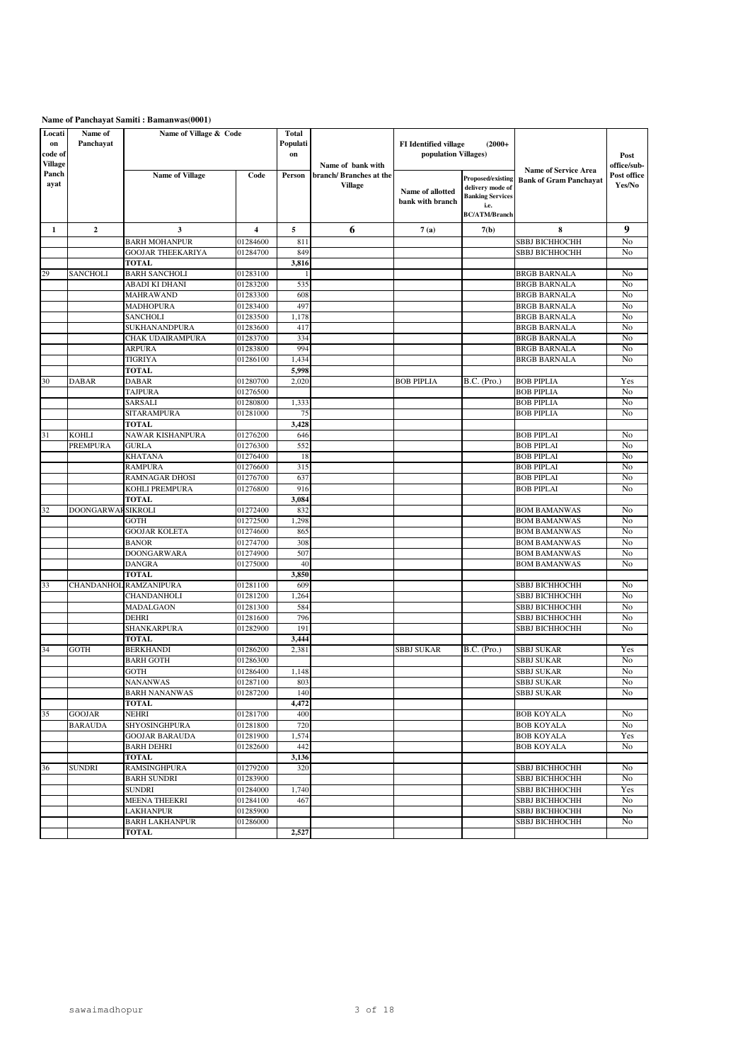| Locati  | Name of           | Name of Village & Code   |                         | <b>Total</b>            |                        |                                      |                          |                                                              |             |
|---------|-------------------|--------------------------|-------------------------|-------------------------|------------------------|--------------------------------------|--------------------------|--------------------------------------------------------------|-------------|
| on      | Panchayat         |                          |                         | Populati                |                        | FI Identified village                | $(2000+$                 |                                                              |             |
| code of |                   |                          |                         | on<br>Name of bank with |                        | population Villages)                 |                          |                                                              | Post        |
| Village |                   |                          |                         |                         |                        |                                      |                          |                                                              | office/sub- |
| Panch   |                   | <b>Name of Village</b>   | Code                    | Person                  | branch/Branches at the |                                      | <b>Proposed/existing</b> | <b>Name of Service Area</b><br><b>Bank of Gram Panchayat</b> | Post office |
| ayat    |                   |                          |                         |                         | <b>Village</b>         |                                      | delivery mode of         |                                                              | Yes/No      |
|         |                   |                          |                         |                         |                        | Name of allotted<br>bank with branch | <b>Banking Services</b>  |                                                              |             |
|         |                   |                          |                         |                         |                        |                                      | i.e.                     |                                                              |             |
|         |                   |                          |                         |                         |                        |                                      | <b>BC/ATM/Branch</b>     |                                                              |             |
| 1       | $\overline{2}$    | 3                        | $\overline{\mathbf{4}}$ | 5                       | 6                      | 7(a)                                 | 7(b)                     | 8                                                            | 9           |
|         |                   | <b>BARH MOHANPUR</b>     | 01284600                | 811                     |                        |                                      |                          | SBBJ BICHHOCHH                                               | No          |
|         |                   | <b>GOOJAR THEEKARIYA</b> | 01284700                | 849                     |                        |                                      |                          | SBBJ BICHHOCHH                                               | No          |
|         |                   | <b>TOTAL</b>             |                         | 3,816                   |                        |                                      |                          |                                                              |             |
| 29      | SANCHOLI          | <b>BARH SANCHOLI</b>     | 01283100                |                         |                        |                                      |                          | <b>BRGB BARNALA</b>                                          | No          |
|         |                   | ABADI KI DHANI           | 01283200                | 535                     |                        |                                      |                          | <b>BRGB BARNALA</b>                                          | No          |
|         |                   | MAHRAWAND                | 01283300                | 608                     |                        |                                      |                          | <b>BRGB BARNALA</b>                                          | No          |
|         |                   | <b>MADHOPURA</b>         | 01283400                | 497                     |                        |                                      |                          | <b>BRGB BARNALA</b>                                          | No          |
|         |                   | SANCHOLI                 | 01283500                | 1,178                   |                        |                                      |                          | <b>BRGB BARNALA</b>                                          | No          |
|         |                   | SUKHANANDPURA            | 01283600                | 417                     |                        |                                      |                          | <b>BRGB BARNALA</b>                                          | No          |
|         |                   | CHAK UDAIRAMPURA         | 01283700                | 334                     |                        |                                      |                          | <b>BRGB BARNALA</b>                                          | No          |
|         |                   | ARPURA                   | 01283800                | 994                     |                        |                                      |                          | <b>BRGB BARNALA</b>                                          | No          |
|         |                   | TIGRIYA                  | 01286100                | 1,434                   |                        |                                      |                          | <b>BRGB BARNALA</b>                                          | No          |
|         |                   | <b>TOTAL</b>             |                         | 5,998                   |                        |                                      |                          |                                                              |             |
| 30      | <b>DABAR</b>      | DABAR                    | 01280700                | 2,020                   |                        | <b>BOB PIPLIA</b>                    | <b>B.C.</b> (Pro.)       | <b>BOB PIPLIA</b>                                            | Yes         |
|         |                   | TAJPURA                  | 01276500                |                         |                        |                                      |                          | <b>BOB PIPLIA</b>                                            | No          |
|         |                   | SARSALI                  | 01280800                | 1,333                   |                        |                                      |                          | <b>BOB PIPLIA</b>                                            | No          |
|         |                   | SITARAMPURA              | 01281000                | 75                      |                        |                                      |                          | <b>BOB PIPLIA</b>                                            | No          |
|         |                   | <b>TOTAL</b>             |                         | 3,428                   |                        |                                      |                          |                                                              |             |
| 31      | <b>KOHLI</b>      | NAWAR KISHANPURA         | 01276200                | 646                     |                        |                                      |                          | <b>BOB PIPLAI</b>                                            | No          |
|         | PREMPURA          | GURLA                    | 01276300                | 552                     |                        |                                      |                          | <b>BOB PIPLAI</b>                                            | No          |
|         |                   | <b>KHATANA</b>           | 01276400                | 18                      |                        |                                      |                          | <b>BOB PIPLAI</b>                                            | No          |
|         |                   | RAMPURA                  | 01276600                | 315                     |                        |                                      |                          | <b>BOB PIPLAI</b>                                            | No          |
|         |                   | RAMNAGAR DHOSI           | 01276700                | 637                     |                        |                                      |                          | <b>BOB PIPLAI</b>                                            | No          |
|         |                   | KOHLI PREMPURA           | 01276800                | 916                     |                        |                                      |                          | <b>BOB PIPLAI</b>                                            | No          |
|         |                   | <b>TOTAL</b>             |                         | 3,084                   |                        |                                      |                          |                                                              |             |
| 32      | <b>DOONGARWAF</b> | <b>SIKROLI</b>           | 01272400                | 832                     |                        |                                      |                          | <b>BOM BAMANWAS</b>                                          | No          |
|         |                   | GOTH                     | 01272500                | 1,298                   |                        |                                      |                          | <b>BOM BAMANWAS</b>                                          | No          |
|         |                   | <b>GOOJAR KOLETA</b>     | 01274600                | 865                     |                        |                                      |                          | <b>BOM BAMANWAS</b>                                          | No          |
|         |                   | <b>BANOR</b>             | 01274700                | 308                     |                        |                                      |                          | <b>BOM BAMANWAS</b>                                          | No          |
|         |                   | DOONGARWARA              | 01274900                | 507                     |                        |                                      |                          | <b>BOM BAMANWAS</b>                                          | No          |
|         |                   | DANGRA                   | 01275000                | 40                      |                        |                                      |                          | <b>BOM BAMANWAS</b>                                          | No          |
|         |                   | <b>TOTAL</b>             |                         | 3,850                   |                        |                                      |                          |                                                              |             |
| 33      | CHANDANHOL        | RAMZANIPURA              | 01281100                | 609                     |                        |                                      |                          | SBBJ BICHHOCHH                                               | No          |
|         |                   | CHANDANHOLI              | 01281200                | 1,264                   |                        |                                      |                          | SBBJ BICHHOCHH                                               | No          |
|         |                   | MADALGAON                | 01281300                | 584                     |                        |                                      |                          | SBBJ BICHHOCHH                                               | No          |
|         |                   | DEHRI                    | 01281600                | 796                     |                        |                                      |                          | <b>SBBJ BICHHOCHH</b>                                        | No          |
|         |                   | SHANKARPURA              | 01282900                | 191                     |                        |                                      |                          | SBBJ BICHHOCHH                                               | No          |
|         |                   | <b>TOTAL</b>             |                         | 3,444                   |                        |                                      |                          |                                                              |             |
| 34      | <b>GOTH</b>       | <b>BERKHANDI</b>         | 01286200                | 2,381                   |                        | <b>SBBJ SUKAR</b>                    | <b>B.C.</b> (Pro.)       | <b>SBBJ SUKAR</b>                                            | Yes         |
|         |                   | <b>BARH GOTH</b>         | 01286300                |                         |                        |                                      |                          | <b>SBBJ SUKAR</b>                                            | No          |
|         |                   | GOTH                     | 01286400                | 1,148                   |                        |                                      |                          | <b>SBBJ SUKAR</b>                                            | No          |
|         |                   | NANANWAS                 | 01287100                | 803                     |                        |                                      |                          | <b>SBBJ SUKAR</b>                                            | No          |
|         |                   | <b>BARH NANANWAS</b>     | 01287200                | 140                     |                        |                                      |                          | <b>SBBJ SUKAR</b>                                            | No          |
|         |                   | TOTAL                    |                         | 4,472                   |                        |                                      |                          |                                                              |             |
| 35      | <b>GOOJAR</b>     | NEHRI                    | 01281700                | 400                     |                        |                                      |                          | <b>BOB KOYALA</b>                                            | No          |
|         | <b>BARAUDA</b>    | SHYOSINGHPURA            | 01281800                | 720                     |                        |                                      |                          | <b>BOB KOYALA</b>                                            | No          |
|         |                   | <b>GOOJAR BARAUDA</b>    | 01281900                | 1,574                   |                        |                                      |                          | <b>BOB KOYALA</b>                                            | Yes         |
|         |                   | BARH DEHRI               | 01282600                | 442                     |                        |                                      |                          | <b>BOB KOYALA</b>                                            | No          |
|         |                   | <b>TOTAL</b>             |                         | 3,136                   |                        |                                      |                          |                                                              |             |
| 36      | <b>SUNDRI</b>     | RAMSINGHPURA             | 01279200                | 320                     |                        |                                      |                          | SBBJ BICHHOCHH                                               | No          |
|         |                   | <b>BARH SUNDRI</b>       | 01283900                |                         |                        |                                      |                          | SBBJ BICHHOCHH                                               | No          |
|         |                   | SUNDRI                   | 01284000                | 1,740                   |                        |                                      |                          | SBBJ BICHHOCHH                                               | Yes         |
|         |                   | <b>MEENA THEEKRI</b>     | 01284100                | 467                     |                        |                                      |                          | SBBJ BICHHOCHH                                               | No          |
|         |                   | LAKHANPUR                | 01285900                |                         |                        |                                      |                          | SBBJ BICHHOCHH                                               | No          |
|         |                   | <b>BARH LAKHANPUR</b>    | 01286000                |                         |                        |                                      |                          | SBBJ BICHHOCHH                                               | No          |
|         |                   | TOTAL                    |                         | 2,527                   |                        |                                      |                          |                                                              |             |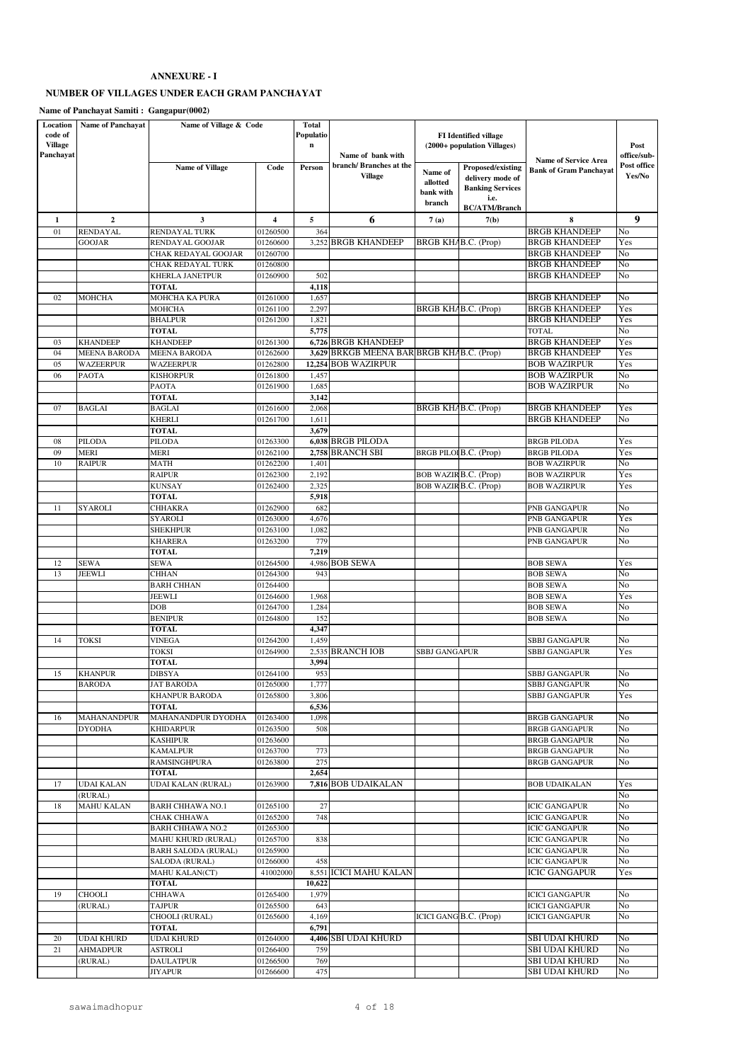#### **NUMBER OF VILLAGES UNDER EACH GRAM PANCHAYAT**

**Name of Panchayat Samiti : Gangapur(0002)**

| Location                  | <b>Name of Panchayat</b>         | Name of Village & Code                      |                      | <b>Total</b>         |                                                                  |                                  |                                                                          |                                                       |                                      |
|---------------------------|----------------------------------|---------------------------------------------|----------------------|----------------------|------------------------------------------------------------------|----------------------------------|--------------------------------------------------------------------------|-------------------------------------------------------|--------------------------------------|
| code of<br><b>Village</b> |                                  |                                             |                      | Populatio<br>$\bf n$ |                                                                  |                                  | <b>FI</b> Identified village<br>(2000+ population Villages)              |                                                       | Post                                 |
| Panchayat                 |                                  | Name of Village                             | Code                 | Person               | Name of bank with<br>branch/Branches at the<br><b>Village</b>    | Name of<br>allotted<br>bank with | Proposed/existing<br>delivery mode of<br><b>Banking Services</b><br>i.e. | Name of Service Area<br><b>Bank of Gram Panchayat</b> | office/sub-<br>Post office<br>Yes/No |
|                           |                                  |                                             |                      |                      |                                                                  | branch                           | <b>BC/ATM/Branch</b>                                                     |                                                       |                                      |
| 1                         | $\mathbf{2}$                     | 3                                           | 4                    | 5                    | 6                                                                | 7(a)                             | 7(b)                                                                     | 8                                                     | 9                                    |
| 01                        | RENDAYAL                         | <b>RENDAYAL TURK</b>                        | 01260500             | 364                  |                                                                  |                                  |                                                                          | <b>BRGB KHANDEEP</b>                                  | No                                   |
|                           | <b>GOOJAR</b>                    | RENDAYAL GOOJAR                             | 01260600             |                      | 3,252 BRGB KHANDEEP                                              |                                  | BRGB KHAB.C. (Prop)                                                      | <b>BRGB KHANDEEP</b>                                  | Yes                                  |
|                           |                                  | CHAK REDAYAL GOOJAR                         | 01260700             |                      |                                                                  |                                  |                                                                          | <b>BRGB KHANDEEP</b><br><b>BRGB KHANDEEP</b>          | No                                   |
|                           |                                  | CHAK REDAYAL TURK<br><b>KHERLA JANETPUR</b> | 01260800<br>01260900 | 502                  |                                                                  |                                  |                                                                          | <b>BRGB KHANDEEP</b>                                  | No<br>No                             |
|                           |                                  | <b>TOTAL</b>                                |                      | 4,118                |                                                                  |                                  |                                                                          |                                                       |                                      |
| 02                        | <b>MOHCHA</b>                    | MOHCHA KA PURA                              | 01261000             | 1,657                |                                                                  |                                  |                                                                          | <b>BRGB KHANDEEP</b>                                  | No                                   |
|                           |                                  | MOHCHA                                      | 01261100             | 2,297                |                                                                  |                                  | BRGB KHAB.C. (Prop)                                                      | <b>BRGB KHANDEEP</b>                                  | Yes                                  |
|                           |                                  | <b>BHALPUR</b>                              | 01261200             | 1,821                |                                                                  |                                  |                                                                          | <b>BRGB KHANDEEP</b>                                  | Yes                                  |
|                           |                                  | <b>TOTAL</b>                                |                      | 5,775                |                                                                  |                                  |                                                                          | <b>TOTAL</b>                                          | No                                   |
| 03                        | <b>KHANDEEP</b>                  | <b>KHANDEEP</b>                             | 01261300             |                      | 6,726 BRGB KHANDEEP                                              |                                  |                                                                          | <b>BRGB KHANDEEP</b>                                  | Yes                                  |
| 04<br>05                  | <b>MEENA BARODA</b><br>WAZEERPUR | <b>MEENA BARODA</b><br><b>WAZEERPUR</b>     | 01262600<br>01262800 |                      | 3,629 BRKGB MEENA BAR BRGB KHAB.C. (Prop)<br>12,254 BOB WAZIRPUR |                                  |                                                                          | <b>BRGB KHANDEEP</b><br><b>BOB WAZIRPUR</b>           | Yes<br>Yes                           |
| 06                        | PAOTA                            | <b>KISHORPUR</b>                            | 01261800             | 1,457                |                                                                  |                                  |                                                                          | <b>BOB WAZIRPUR</b>                                   | No                                   |
|                           |                                  | PAOTA                                       | 01261900             | 1,685                |                                                                  |                                  |                                                                          | <b>BOB WAZIRPUR</b>                                   | No                                   |
|                           |                                  | <b>TOTAL</b>                                |                      | 3,142                |                                                                  |                                  |                                                                          |                                                       |                                      |
| 07                        | <b>BAGLAI</b>                    | <b>BAGLAI</b>                               | 01261600             | 2,068                |                                                                  |                                  | BRGB KHAB.C. (Prop)                                                      | <b>BRGB KHANDEEP</b>                                  | Yes                                  |
|                           |                                  | <b>KHERLI</b>                               | 01261700             | 1,611                |                                                                  |                                  |                                                                          | <b>BRGB KHANDEEP</b>                                  | No                                   |
|                           |                                  | <b>TOTAL</b>                                |                      | 3,679                |                                                                  |                                  |                                                                          |                                                       |                                      |
| 08                        | PILODA                           | PILODA                                      | 01263300             |                      | 6,038 BRGB PILODA                                                |                                  |                                                                          | <b>BRGB PILODA</b>                                    | Yes                                  |
| 09                        | <b>MERI</b>                      | <b>MERI</b>                                 | 01262100             |                      | 2,758 BRANCH SBI                                                 |                                  | BRGB PILOI B.C. (Prop)                                                   | <b>BRGB PILODA</b>                                    | Yes                                  |
| 10                        | <b>RAIPUR</b>                    | <b>MATH</b><br><b>RAIPUR</b>                | 01262200             | 1,401                |                                                                  |                                  | BOB WAZIR B.C. (Prop)                                                    | <b>BOB WAZIRPUR</b>                                   | No<br>Yes                            |
|                           |                                  | <b>KUNSAY</b>                               | 01262300<br>01262400 | 2,192<br>2,325       |                                                                  |                                  | <b>BOB WAZIR B.C. (Prop)</b>                                             | <b>BOB WAZIRPUR</b><br><b>BOB WAZIRPUR</b>            | Yes                                  |
|                           |                                  | <b>TOTAL</b>                                |                      | 5,918                |                                                                  |                                  |                                                                          |                                                       |                                      |
| 11                        | SYAROLI                          | <b>CHHAKRA</b>                              | 01262900             | 682                  |                                                                  |                                  |                                                                          | PNB GANGAPUR                                          | No                                   |
|                           |                                  | SYAROLI                                     | 01263000             | 4,676                |                                                                  |                                  |                                                                          | PNB GANGAPUR                                          | Yes                                  |
|                           |                                  | <b>SHEKHPUR</b>                             | 01263100             | 1,082                |                                                                  |                                  |                                                                          | PNB GANGAPUR                                          | No                                   |
|                           |                                  | <b>KHARERA</b>                              | 01263200             | 779                  |                                                                  |                                  |                                                                          | PNB GANGAPUR                                          | No                                   |
|                           |                                  | <b>TOTAL</b>                                |                      | 7,219                |                                                                  |                                  |                                                                          |                                                       |                                      |
| 12                        | <b>SEWA</b>                      | <b>SEWA</b>                                 | 01264500             |                      | 4,986 BOB SEWA                                                   |                                  |                                                                          | <b>BOB SEWA</b>                                       | Yes                                  |
| 13                        | <b>JEEWLI</b>                    | <b>CHHAN</b>                                | 01264300<br>01264400 | 943                  |                                                                  |                                  |                                                                          | <b>BOB SEWA</b>                                       | No<br>No                             |
|                           |                                  | <b>BARH CHHAN</b><br><b>JEEWLI</b>          | 01264600             | 1,968                |                                                                  |                                  |                                                                          | <b>BOB SEWA</b><br><b>BOB SEWA</b>                    | Yes                                  |
|                           |                                  | DOB                                         | 01264700             | 1,284                |                                                                  |                                  |                                                                          | <b>BOB SEWA</b>                                       | No                                   |
|                           |                                  | <b>BENIPUR</b>                              | 01264800             | 152                  |                                                                  |                                  |                                                                          | <b>BOB SEWA</b>                                       | No                                   |
|                           |                                  | <b>TOTAL</b>                                |                      | 4,347                |                                                                  |                                  |                                                                          |                                                       |                                      |
| 14                        | <b>TOKSI</b>                     | <b>VINEGA</b>                               | 01264200             | 1,459                |                                                                  |                                  |                                                                          | SBBJ GANGAPUR                                         | No                                   |
|                           |                                  | <b>TOKSI</b>                                | 01264900             | 2,535                | <b>BRANCH IOB</b>                                                | <b>SBBJ GANGAPUR</b>             |                                                                          | <b>SBBJ GANGAPUR</b>                                  | Yes                                  |
|                           |                                  | <b>TOTAL</b>                                |                      | 3,994                |                                                                  |                                  |                                                                          |                                                       |                                      |
| 15                        | <b>KHANPUR</b>                   | <b>DIBSYA</b>                               | 01264100             | 953                  |                                                                  |                                  |                                                                          | <b>SBBJ GANGAPUR</b>                                  | No                                   |
|                           | <b>BARODA</b>                    | <b>JAT BARODA</b>                           | 01265000             | 1,777                |                                                                  |                                  |                                                                          | SBBJ GANGAPUR<br><b>SBBJ GANGAPUR</b>                 | No                                   |
|                           |                                  | KHANPUR BARODA<br><b>TOTAL</b>              | 01265800             | 3,806<br>6,536       |                                                                  |                                  |                                                                          |                                                       | Yes                                  |
| 16                        | MAHANANDPUR                      | MAHANANDPUR DYODHA                          | 01263400             | 1,098                |                                                                  |                                  |                                                                          | <b>BRGB GANGAPUR</b>                                  | No                                   |
|                           | <b>DYODHA</b>                    | <b>KHIDARPUR</b>                            | 01263500             | 508                  |                                                                  |                                  |                                                                          | <b>BRGB GANGAPUR</b>                                  | No                                   |
|                           |                                  | <b>KASHIPUR</b>                             | 01263600             |                      |                                                                  |                                  |                                                                          | <b>BRGB GANGAPUR</b>                                  | No                                   |
|                           |                                  | <b>KAMALPUR</b>                             | 01263700             | 773                  |                                                                  |                                  |                                                                          | <b>BRGB GANGAPUR</b>                                  | No                                   |
|                           |                                  | RAMSINGHPURA                                | 01263800             | 275                  |                                                                  |                                  |                                                                          | <b>BRGB GANGAPUR</b>                                  | No                                   |
|                           |                                  | <b>TOTAL</b>                                |                      | 2,654                |                                                                  |                                  |                                                                          |                                                       |                                      |
| 17                        | <b>UDAI KALAN</b>                | <b>UDAI KALAN (RURAL)</b>                   | 01263900             |                      | 7,816 BOB UDAIKALAN                                              |                                  |                                                                          | <b>BOB UDAIKALAN</b>                                  | Yes                                  |
| 18                        | (RURAL)<br><b>MAHU KALAN</b>     | <b>BARH CHHAWA NO.1</b>                     | 01265100             | 27                   |                                                                  |                                  |                                                                          | <b>ICIC GANGAPUR</b>                                  | No<br>No                             |
|                           |                                  | CHAK CHHAWA                                 | 01265200             | 748                  |                                                                  |                                  |                                                                          | <b>ICIC GANGAPUR</b>                                  | No                                   |
|                           |                                  | <b>BARH CHHAWA NO.2</b>                     | 01265300             |                      |                                                                  |                                  |                                                                          | <b>ICIC GANGAPUR</b>                                  | No                                   |
|                           |                                  | MAHU KHURD (RURAL)                          | 01265700             | 838                  |                                                                  |                                  |                                                                          | <b>ICIC GANGAPUR</b>                                  | No                                   |
|                           |                                  | <b>BARH SALODA (RURAL)</b>                  | 01265900             |                      |                                                                  |                                  |                                                                          | <b>ICIC GANGAPUR</b>                                  | No                                   |
|                           |                                  | SALODA (RURAL)                              | 01266000             | 458                  |                                                                  |                                  |                                                                          | <b>ICIC GANGAPUR</b>                                  | No                                   |
|                           |                                  | MAHU KALAN(CT)                              | 41002000             |                      | 8,551 ICICI MAHU KALAN                                           |                                  |                                                                          | <b>ICIC GANGAPUR</b>                                  | Yes                                  |
|                           |                                  | <b>TOTAL</b>                                |                      | 10,622               |                                                                  |                                  |                                                                          |                                                       |                                      |
| 19                        | <b>CHOOLI</b>                    | <b>CHHAWA</b>                               | 01265400             | 1,979                |                                                                  |                                  |                                                                          | <b>ICICI GANGAPUR</b>                                 | No                                   |
|                           | (RURAL)                          | <b>TAJPUR</b><br>CHOOLI (RURAL)             | 01265500<br>01265600 | 643<br>4,169         |                                                                  |                                  | ICICI GANG B.C. (Prop)                                                   | <b>ICICI GANGAPUR</b><br><b>ICICI GANGAPUR</b>        | No<br>No                             |
|                           |                                  | TOTAL                                       |                      | 6,791                |                                                                  |                                  |                                                                          |                                                       |                                      |
| 20                        | <b>UDAI KHURD</b>                | <b>UDAI KHURD</b>                           | 01264000             |                      | 4,406 SBI UDAI KHURD                                             |                                  |                                                                          | <b>SBI UDAI KHURD</b>                                 | No                                   |
| 21                        | <b>AHMADPUR</b>                  | <b>ASTROLI</b>                              | 01266400             | 759                  |                                                                  |                                  |                                                                          | <b>SBI UDAI KHURD</b>                                 | No                                   |
|                           | (RURAL)                          | <b>DAULATPUR</b>                            | 01266500             | 769                  |                                                                  |                                  |                                                                          | <b>SBI UDAI KHURD</b>                                 | No                                   |
|                           |                                  | <b>JIYAPUR</b>                              | 01266600             | 475                  |                                                                  |                                  |                                                                          | <b>SBI UDAI KHURD</b>                                 | No                                   |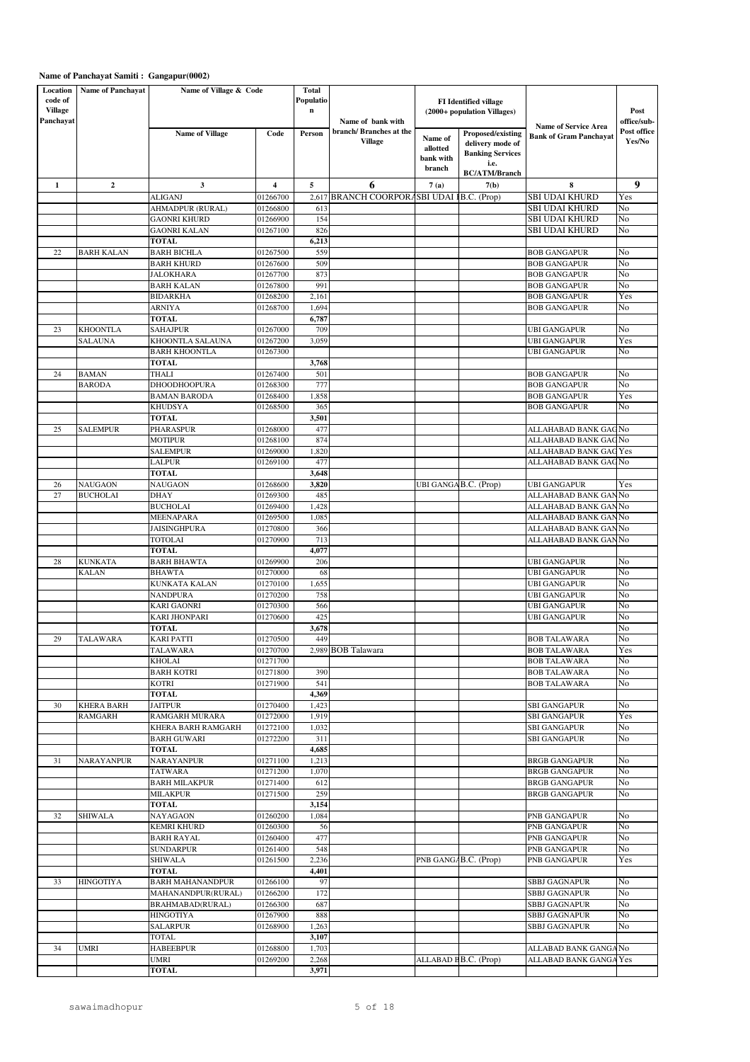### **Name of Panchayat Samiti : Gangapur(0002)**

| Location                               | <b>Name of Panchayat</b>   | Name of Village & Code                  |                         |                                      |                                          |                                            |                                                                                                  |                                                              |                       |  |
|----------------------------------------|----------------------------|-----------------------------------------|-------------------------|--------------------------------------|------------------------------------------|--------------------------------------------|--------------------------------------------------------------------------------------------------|--------------------------------------------------------------|-----------------------|--|
| code of<br><b>Village</b><br>Panchayat |                            |                                         |                         | <b>Total</b><br>Populatio<br>$\bf n$ | Name of bank with                        |                                            | FI Identified village<br>(2000+ population Villages)                                             |                                                              | Post<br>office/sub-   |  |
|                                        |                            | <b>Name of Village</b>                  | Code                    | Person                               | branch/Branches at the<br><b>Village</b> | Name of<br>allotted<br>bank with<br>branch | Proposed/existing<br>delivery mode of<br><b>Banking Services</b><br>i.e.<br><b>BC/ATM/Branch</b> | <b>Name of Service Area</b><br><b>Bank of Gram Panchavat</b> | Post office<br>Yes/No |  |
| $\mathbf{1}$                           | $\mathbf{2}$               | 3                                       | $\overline{\mathbf{4}}$ | 5                                    | 6                                        | 7(a)                                       | 7(b)                                                                                             | 8                                                            | 9                     |  |
|                                        |                            | <b>ALIGANJ</b>                          | 01266700                | 2,617                                | BRANCH COORPORASBI UDAI IB.C. (Prop)     |                                            |                                                                                                  | SBI UDAI KHURD                                               | Yes                   |  |
|                                        |                            | AHMADPUR (RURAL)                        | 01266800                | 613                                  |                                          |                                            |                                                                                                  | SBI UDAI KHURD                                               | No                    |  |
|                                        |                            | GAONRI KHURD                            | 01266900                | 154                                  |                                          |                                            |                                                                                                  | SBI UDAI KHURD                                               | No                    |  |
|                                        |                            | <b>GAONRI KALAN</b>                     | 01267100                | 826                                  |                                          |                                            |                                                                                                  | <b>SBI UDAI KHURD</b>                                        | No                    |  |
|                                        | <b>BARH KALAN</b>          | <b>TOTAL</b>                            |                         | 6,213                                |                                          |                                            |                                                                                                  |                                                              | No                    |  |
| 22                                     |                            | <b>BARH BICHLA</b><br><b>BARH KHURD</b> | 01267500<br>01267600    | 559<br>509                           |                                          |                                            |                                                                                                  | <b>BOB GANGAPUR</b><br><b>BOB GANGAPUR</b>                   | No                    |  |
|                                        |                            | JALOKHARA                               | 01267700                | 873                                  |                                          |                                            |                                                                                                  | <b>BOB GANGAPUR</b>                                          | No                    |  |
|                                        |                            | <b>BARH KALAN</b>                       | 01267800                | 991                                  |                                          |                                            |                                                                                                  | <b>BOB GANGAPUR</b>                                          | No                    |  |
|                                        |                            | <b>BIDARKHA</b>                         | 01268200                | 2,161                                |                                          |                                            |                                                                                                  | <b>BOB GANGAPUR</b>                                          | Yes                   |  |
|                                        |                            | <b>ARNIYA</b>                           | 01268700                | 1,694                                |                                          |                                            |                                                                                                  | <b>BOB GANGAPUR</b>                                          | No                    |  |
|                                        |                            | <b>TOTAL</b>                            |                         | 6,787                                |                                          |                                            |                                                                                                  |                                                              |                       |  |
| 23                                     | <b>KHOONTLA</b><br>SALAUNA | <b>SAHAJPUR</b><br>KHOONTLA SALAUNA     | 01267000                | 709<br>3,059                         |                                          |                                            |                                                                                                  | UBI GANGAPUR                                                 | No<br>Yes             |  |
|                                        |                            | <b>BARH KHOONTLA</b>                    | 01267200<br>01267300    |                                      |                                          |                                            |                                                                                                  | UBI GANGAPUR<br><b>UBI GANGAPUR</b>                          | No                    |  |
|                                        |                            | TOTAL                                   |                         | 3,768                                |                                          |                                            |                                                                                                  |                                                              |                       |  |
| 24                                     | <b>BAMAN</b>               | <b>THALI</b>                            | 01267400                | 501                                  |                                          |                                            |                                                                                                  | <b>BOB GANGAPUR</b>                                          | No                    |  |
|                                        | <b>BARODA</b>              | <b>DHOODHOOPURA</b>                     | 01268300                | 777                                  |                                          |                                            |                                                                                                  | <b>BOB GANGAPUR</b>                                          | No                    |  |
|                                        |                            | <b>BAMAN BARODA</b>                     | 01268400                | 1,858                                |                                          |                                            |                                                                                                  | <b>BOB GANGAPUR</b>                                          | Yes                   |  |
|                                        |                            | <b>KHUDSYA</b>                          | 01268500                | 365                                  |                                          |                                            |                                                                                                  | <b>BOB GANGAPUR</b>                                          | No                    |  |
| 25                                     | <b>SALEMPUR</b>            | <b>TOTAL</b><br>PHARASPUR               | 01268000                | 3,501<br>477                         |                                          |                                            |                                                                                                  | ALLAHABAD BANK GAG No                                        |                       |  |
|                                        |                            | MOTIPUR                                 | 01268100                | 874                                  |                                          |                                            |                                                                                                  | ALLAHABAD BANK GAG                                           | No                    |  |
|                                        |                            | <b>SALEMPUR</b>                         | 01269000                | 1,820                                |                                          |                                            |                                                                                                  | ALLAHABAD BANK GAG Yes                                       |                       |  |
|                                        |                            | LALPUR                                  | 01269100                | 477                                  |                                          |                                            |                                                                                                  | ALLAHABAD BANK GAG No                                        |                       |  |
|                                        |                            | <b>TOTAL</b>                            |                         | 3,648                                |                                          |                                            |                                                                                                  |                                                              |                       |  |
| 26                                     | <b>NAUGAON</b>             | NAUGAON                                 | 01268600                | 3,820                                |                                          |                                            | UBI GANGA B.C. (Prop)                                                                            | <b>UBI GANGAPUR</b>                                          | Yes                   |  |
| 27                                     | <b>BUCHOLAI</b>            | DHAY                                    | 01269300                | 485                                  |                                          |                                            |                                                                                                  | ALLAHABAD BANK GAN No                                        |                       |  |
|                                        |                            | <b>BUCHOLAI</b><br>MEENAPARA            | 01269400<br>01269500    | 1,428<br>1,085                       |                                          |                                            |                                                                                                  | ALLAHABAD BANK GAN No<br>ALLAHABAD BANK GAN No               |                       |  |
|                                        |                            | <b>JAISINGHPURA</b>                     | 01270800                | 366                                  |                                          |                                            |                                                                                                  | ALLAHABAD BANK GAN No                                        |                       |  |
|                                        |                            | <b>TOTOLAI</b>                          | 01270900                | 713                                  |                                          |                                            |                                                                                                  | ALLAHABAD BANK GAN No                                        |                       |  |
|                                        |                            | <b>TOTAL</b>                            |                         | 4,077                                |                                          |                                            |                                                                                                  |                                                              |                       |  |
| 28                                     | <b>KUNKATA</b>             | <b>BARH BHAWTA</b>                      | 01269900                | 206                                  |                                          |                                            |                                                                                                  | <b>UBI GANGAPUR</b>                                          | No                    |  |
|                                        | <b>KALAN</b>               | <b>BHAWTA</b>                           | 01270000                | 68                                   |                                          |                                            |                                                                                                  | <b>UBI GANGAPUR</b>                                          | No                    |  |
|                                        |                            | <b>KUNKATA KALAN</b><br><b>NANDPURA</b> | 01270100<br>01270200    | 1,655<br>758                         |                                          |                                            |                                                                                                  | <b>UBI GANGAPUR</b><br><b>UBI GANGAPUR</b>                   | No<br>No              |  |
|                                        |                            | KARI GAONRI                             | 01270300                | 566                                  |                                          |                                            |                                                                                                  | <b>UBI GANGAPUR</b>                                          | No                    |  |
|                                        |                            | <b>KARI JHONPARI</b>                    | 01270600                | 425                                  |                                          |                                            |                                                                                                  | UBI GANGAPUR                                                 | No                    |  |
|                                        |                            | <b>TOTAL</b>                            |                         | 3,678                                |                                          |                                            |                                                                                                  |                                                              | No                    |  |
| 29                                     | TALAWARA                   | KARI PATTI                              | 01270500                | 449                                  |                                          |                                            |                                                                                                  | <b>BOB TALAWARA</b>                                          | No                    |  |
|                                        |                            | TALAWARA                                | 01270700                |                                      | 2,989 BOB Talawara                       |                                            |                                                                                                  | BOB TALAWARA                                                 | <b>Yes</b>            |  |
|                                        |                            | <b>KHOLAI</b><br><b>BARH KOTRI</b>      | 01271700<br>01271800    | 390                                  |                                          |                                            |                                                                                                  | <b>BOB TALAWARA</b><br><b>BOB TALAWARA</b>                   | No<br>No              |  |
|                                        |                            | <b>KOTRI</b>                            | 01271900                | 541                                  |                                          |                                            |                                                                                                  | <b>BOB TALAWARA</b>                                          | No                    |  |
|                                        |                            | <b>TOTAL</b>                            |                         | 4,369                                |                                          |                                            |                                                                                                  |                                                              |                       |  |
| 30                                     | <b>KHERA BARH</b>          | <b>JAITPUR</b>                          | 01270400                | 1,423                                |                                          |                                            |                                                                                                  | <b>SBI GANGAPUR</b>                                          | No                    |  |
|                                        | <b>RAMGARH</b>             | RAMGARH MURARA                          | 01272000                | 1,919                                |                                          |                                            |                                                                                                  | <b>SBI GANGAPUR</b>                                          | Yes                   |  |
|                                        |                            | KHERA BARH RAMGARH                      | 01272100                | 1,032                                |                                          |                                            |                                                                                                  | <b>SBI GANGAPUR</b><br><b>SBI GANGAPUR</b>                   | No<br>No              |  |
|                                        |                            | <b>BARH GUWARI</b><br><b>TOTAL</b>      | 01272200                | 311<br>4,685                         |                                          |                                            |                                                                                                  |                                                              |                       |  |
| 31                                     | NARAYANPUR                 | NARAYANPUR                              | 01271100                | 1,213                                |                                          |                                            |                                                                                                  | <b>BRGB GANGAPUR</b>                                         | No                    |  |
|                                        |                            | TATWARA                                 | 01271200                | 1,070                                |                                          |                                            |                                                                                                  | <b>BRGB GANGAPUR</b>                                         | No                    |  |
|                                        |                            | <b>BARH MILAKPUR</b>                    | 01271400                | 612                                  |                                          |                                            |                                                                                                  | <b>BRGB GANGAPUR</b>                                         | No                    |  |
|                                        |                            | <b>MILAKPUR</b>                         | 01271500                | 259                                  |                                          |                                            |                                                                                                  | <b>BRGB GANGAPUR</b>                                         | No                    |  |
|                                        |                            | <b>TOTAL</b>                            | 01260200                | 3,154                                |                                          |                                            |                                                                                                  |                                                              |                       |  |
| 32                                     | SHIWALA                    | NAYAGAON<br>KEMRI KHURD                 | 01260300                | 1,084<br>56                          |                                          |                                            |                                                                                                  | PNB GANGAPUR<br>PNB GANGAPUR                                 | No<br>No              |  |
|                                        |                            | <b>BARH RAYAL</b>                       | 01260400                | 477                                  |                                          |                                            |                                                                                                  | PNB GANGAPUR                                                 | No                    |  |
|                                        |                            | <b>SUNDARPUR</b>                        | 01261400                | 548                                  |                                          |                                            |                                                                                                  | PNB GANGAPUR                                                 | No                    |  |
|                                        |                            | <b>SHIWALA</b>                          | 01261500                | 2,236                                |                                          |                                            | PNB GANGAB.C. (Prop)                                                                             | PNB GANGAPUR                                                 | Yes                   |  |
|                                        |                            | <b>TOTAL</b>                            |                         | 4,401                                |                                          |                                            |                                                                                                  |                                                              |                       |  |
| 33                                     | <b>HINGOTIYA</b>           | <b>BARH MAHANANDPUR</b>                 | 01266100                | 97                                   |                                          |                                            |                                                                                                  | <b>SBBJ GAGNAPUR</b>                                         | No                    |  |
|                                        |                            | MAHANANDPUR(RURAL)<br>BRAHMABAD(RURAL)  | 01266200<br>01266300    | 172<br>687                           |                                          |                                            |                                                                                                  | SBBJ GAGNAPUR<br><b>SBBJ GAGNAPUR</b>                        | No<br>No              |  |
|                                        |                            | <b>HINGOTIYA</b>                        | 01267900                | 888                                  |                                          |                                            |                                                                                                  | <b>SBBJ GAGNAPUR</b>                                         | No                    |  |
|                                        |                            | <b>SALARPUR</b>                         | 01268900                | 1,263                                |                                          |                                            |                                                                                                  | <b>SBBJ GAGNAPUR</b>                                         | No                    |  |
|                                        |                            | TOTAL                                   |                         | 3,107                                |                                          |                                            |                                                                                                  |                                                              |                       |  |
| 34                                     | UMRI                       | <b>HABEEBPUR</b>                        | 01268800                | 1,703                                |                                          |                                            |                                                                                                  | ALLABAD BANK GANGA No                                        |                       |  |
|                                        |                            | UMRI                                    | 01269200                | 2,268                                |                                          |                                            | ALLABAD FB.C. (Prop)                                                                             | ALLABAD BANK GANGA Yes                                       |                       |  |
|                                        |                            | <b>TOTAL</b>                            |                         | 3,971                                |                                          |                                            |                                                                                                  |                                                              |                       |  |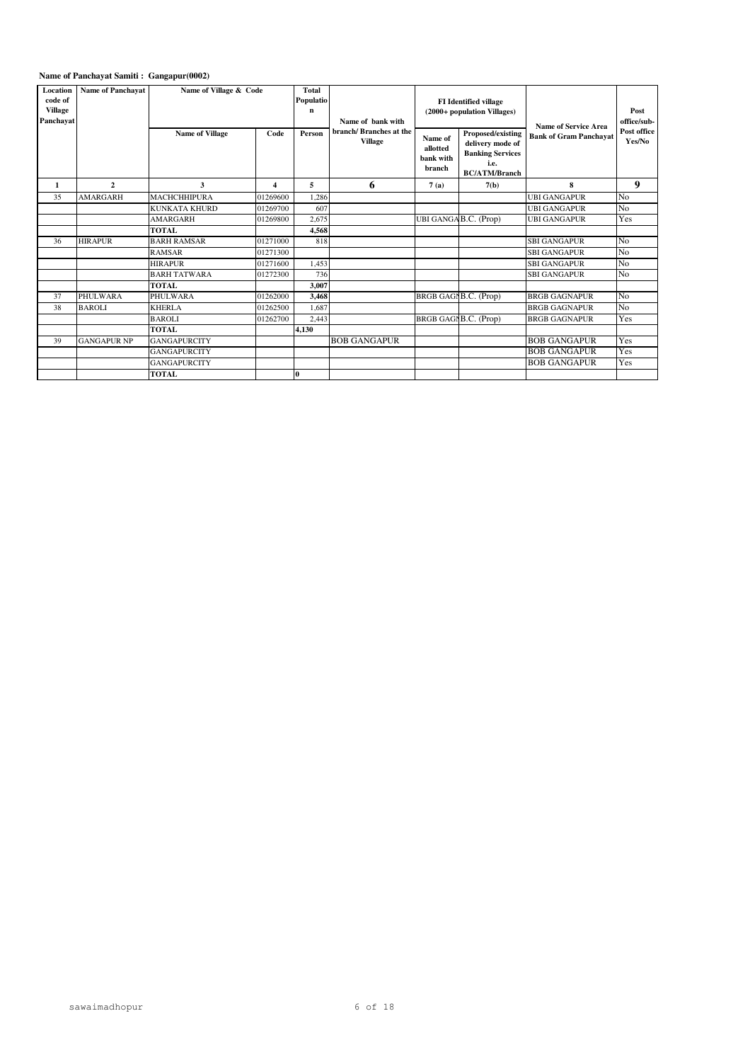### **Name of Panchayat Samiti : Gangapur(0002)**

| <b>Name of Panchavat</b><br>Location<br>code of<br><b>Village</b><br>Panchavat |                    | Name of Village & Code |          | <b>Total</b><br>Populatio<br>$\mathbf n$ | Name of bank with<br>branch/Branches at the |                                            | <b>FI</b> Identified village<br>(2000+ population Villages)                                      | <b>Name of Service Area</b>   | Post<br>office/sub-   |
|--------------------------------------------------------------------------------|--------------------|------------------------|----------|------------------------------------------|---------------------------------------------|--------------------------------------------|--------------------------------------------------------------------------------------------------|-------------------------------|-----------------------|
|                                                                                |                    | <b>Name of Village</b> | Code     | Person                                   | <b>Village</b>                              | Name of<br>allotted<br>bank with<br>branch | Proposed/existing<br>delivery mode of<br><b>Banking Services</b><br>i.e.<br><b>BC/ATM/Branch</b> | <b>Bank of Gram Panchayat</b> | Post office<br>Yes/No |
| $\mathbf{1}$                                                                   | $\mathbf{2}$       | 3                      | 4        | 5                                        | 6                                           | 7(a)                                       | 7(b)                                                                                             | 8                             | 9                     |
| 35                                                                             | <b>AMARGARH</b>    | <b>MACHCHHIPURA</b>    | 01269600 | 1.286                                    |                                             |                                            |                                                                                                  | <b>UBI GANGAPUR</b>           | No                    |
|                                                                                |                    | <b>KUNKATA KHURD</b>   | 01269700 | 607                                      |                                             |                                            |                                                                                                  | <b>UBI GANGAPUR</b>           | N <sub>o</sub>        |
|                                                                                |                    | <b>AMARGARH</b>        | 01269800 | 2.675                                    |                                             |                                            | UBI GANGA B.C. (Prop)                                                                            | <b>UBI GANGAPUR</b>           | Yes                   |
|                                                                                |                    | <b>TOTAL</b>           |          | 4.568                                    |                                             |                                            |                                                                                                  |                               |                       |
| 36                                                                             | <b>HIRAPUR</b>     | <b>BARH RAMSAR</b>     | 01271000 | 818                                      |                                             |                                            |                                                                                                  | <b>SBI GANGAPUR</b>           | No                    |
|                                                                                |                    | <b>RAMSAR</b>          | 01271300 |                                          |                                             |                                            |                                                                                                  | <b>SBI GANGAPUR</b>           | No                    |
|                                                                                |                    | <b>HIRAPUR</b>         | 01271600 | 1.453                                    |                                             |                                            |                                                                                                  | <b>SBI GANGAPUR</b>           | N <sub>o</sub>        |
|                                                                                |                    | <b>BARH TATWARA</b>    | 01272300 | 736                                      |                                             |                                            |                                                                                                  | <b>SBI GANGAPUR</b>           | N <sub>o</sub>        |
|                                                                                |                    | <b>TOTAL</b>           |          | 3.007                                    |                                             |                                            |                                                                                                  |                               |                       |
| 37                                                                             | PHULWARA           | PHULWARA               | 01262000 | 3,468                                    |                                             | BRGB GAGI B.C. (Prop)                      |                                                                                                  | <b>BRGB GAGNAPUR</b>          | N <sub>o</sub>        |
| 38                                                                             | <b>BAROLI</b>      | <b>KHERLA</b>          | 01262500 | 1.687                                    |                                             |                                            |                                                                                                  | <b>BRGB GAGNAPUR</b>          | N <sub>o</sub>        |
|                                                                                |                    | <b>BAROLI</b>          | 01262700 | 2.443                                    |                                             |                                            | BRGB GAGI B.C. (Prop)                                                                            | <b>BRGB GAGNAPUR</b>          | Yes                   |
|                                                                                |                    | <b>TOTAL</b>           |          | 4,130                                    |                                             |                                            |                                                                                                  |                               |                       |
| 39                                                                             | <b>GANGAPUR NP</b> | <b>GANGAPURCITY</b>    |          |                                          | <b>BOB GANGAPUR</b>                         |                                            |                                                                                                  | <b>BOB GANGAPUR</b>           | Yes                   |
|                                                                                |                    | <b>GANGAPURCITY</b>    |          |                                          |                                             |                                            |                                                                                                  | <b>BOB GANGAPUR</b>           | Yes                   |
|                                                                                |                    | <b>GANGAPURCITY</b>    |          |                                          |                                             |                                            |                                                                                                  | <b>BOB GANGAPUR</b>           | Yes                   |
|                                                                                |                    | <b>TOTAL</b>           |          | $\bf{0}$                                 |                                             |                                            |                                                                                                  |                               |                       |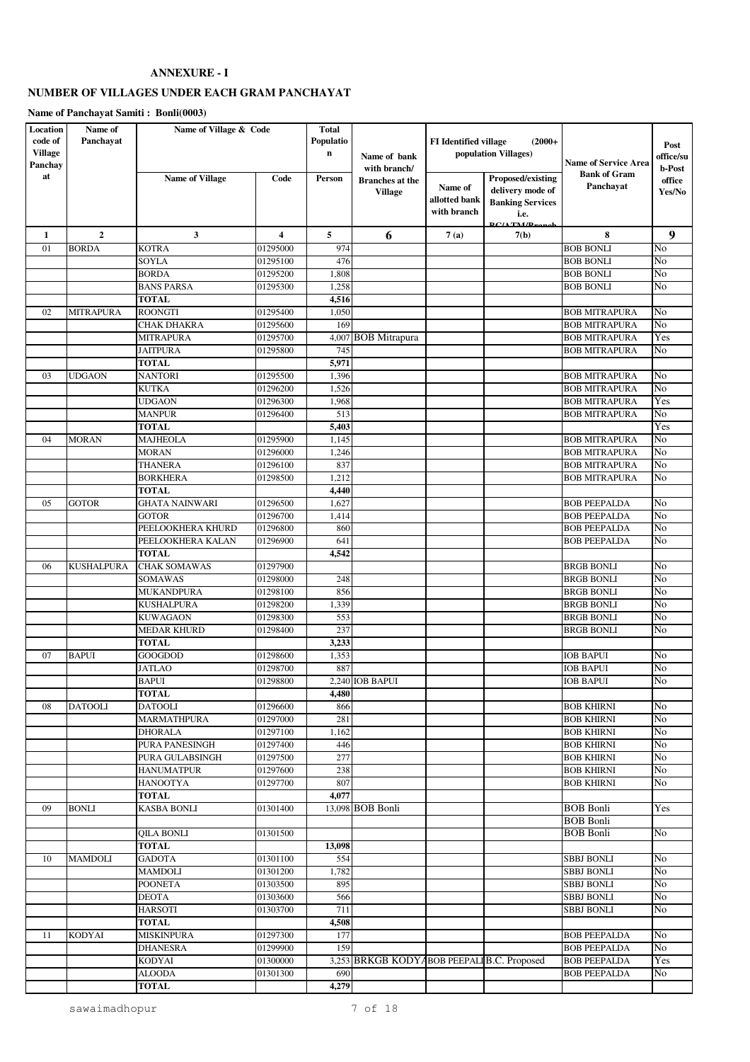### **NUMBER OF VILLAGES UNDER EACH GRAM PANCHAYAT**

| Location       | Name of           | Name of Village & Code |                     | <b>Total</b> |                                             |                              |                         |                             |               |
|----------------|-------------------|------------------------|---------------------|--------------|---------------------------------------------|------------------------------|-------------------------|-----------------------------|---------------|
| code of        | Panchayat         |                        |                     | Populatio    |                                             | <b>FI</b> Identified village | $(2000+$                |                             | Post          |
| <b>Village</b> |                   |                        |                     | $\mathbf n$  | Name of bank                                |                              | population Villages)    |                             | office/su     |
| Panchay        |                   |                        |                     |              | with branch/                                |                              |                         | <b>Name of Service Area</b> | <b>b-Post</b> |
| at             |                   | <b>Name of Village</b> | Code                | Person       | <b>Branches</b> at the                      |                              | Proposed/existing       | <b>Bank of Gram</b>         | office        |
|                |                   |                        |                     |              | <b>Village</b>                              | Name of                      | delivery mode of        | Panchayat                   | Yes/No        |
|                |                   |                        |                     |              |                                             | allotted bank                | <b>Banking Services</b> |                             |               |
|                |                   |                        |                     |              |                                             | with branch                  | i.e.                    |                             |               |
|                |                   |                        |                     |              |                                             |                              | PC(AT)                  |                             |               |
| 1              | $\overline{2}$    | 3                      | $\overline{\bf{4}}$ | 5            | 6                                           | 7(a)                         | 7(b)                    | 8                           | 9             |
| 01             | <b>BORDA</b>      | <b>KOTRA</b>           | 01295000            | 974          |                                             |                              |                         | <b>BOB BONLI</b>            | No            |
|                |                   | SOYLA                  | 01295100            | 476          |                                             |                              |                         | <b>BOB BONLI</b>            | No            |
|                |                   | <b>BORDA</b>           | 01295200            | 1,808        |                                             |                              |                         | <b>BOB BONLI</b>            | No            |
|                |                   | <b>BANS PARSA</b>      | 01295300            | 1,258        |                                             |                              |                         | <b>BOB BONLI</b>            | No            |
|                |                   | <b>TOTAL</b>           |                     | 4,516        |                                             |                              |                         |                             |               |
| 02             | MITRAPURA         | <b>ROONGTI</b>         | 01295400            | 1,050        |                                             |                              |                         | <b>BOB MITRAPURA</b>        | No            |
|                |                   | <b>CHAK DHAKRA</b>     | 01295600            | 169          |                                             |                              |                         | <b>BOB MITRAPURA</b>        | No            |
|                |                   | <b>MITRAPURA</b>       | 01295700            | 4,007        | <b>BOB</b> Mitrapura                        |                              |                         | <b>BOB MITRAPURA</b>        | Yes           |
|                |                   | <b>JAITPURA</b>        | 01295800            | 745          |                                             |                              |                         | <b>BOB MITRAPURA</b>        | No            |
|                |                   | TOTAL                  |                     | 5,971        |                                             |                              |                         |                             |               |
| 03             | <b>UDGAON</b>     | <b>NANTORI</b>         | 01295500            | 1,396        |                                             |                              |                         | <b>BOB MITRAPURA</b>        | No            |
|                |                   | KUTKA                  | 01296200            | 1,526        |                                             |                              |                         | <b>BOB MITRAPURA</b>        | No            |
|                |                   | <b>UDGAON</b>          | 01296300            | 1,968        |                                             |                              |                         | <b>BOB MITRAPURA</b>        | Yes           |
|                |                   | <b>MANPUR</b>          | 01296400            | 513          |                                             |                              |                         | <b>BOB MITRAPURA</b>        | No            |
|                |                   | <b>TOTAL</b>           |                     | 5,403        |                                             |                              |                         |                             | Yes           |
| 04             | <b>MORAN</b>      | <b>MAJHEOLA</b>        | 01295900            | 1,145        |                                             |                              |                         | <b>BOB MITRAPURA</b>        | No            |
|                |                   | MORAN                  | 01296000            | 1,246        |                                             |                              |                         | <b>BOB MITRAPURA</b>        | No            |
|                |                   | THANERA                | 01296100            | 837          |                                             |                              |                         | <b>BOB MITRAPURA</b>        | No            |
|                |                   | <b>BORKHERA</b>        | 01298500            | 1,212        |                                             |                              |                         | <b>BOB MITRAPURA</b>        | No            |
|                |                   | TOTAL                  |                     | 4,440        |                                             |                              |                         |                             |               |
| 05             | <b>GOTOR</b>      | <b>GHATA NAINWARI</b>  | 01296500            | 1,627        |                                             |                              |                         | <b>BOB PEEPALDA</b>         | No            |
|                |                   | <b>GOTOR</b>           | 01296700            | 1,414        |                                             |                              |                         | <b>BOB PEEPALDA</b>         | No            |
|                |                   | PEELOOKHERA KHURD      | 01296800            | 860          |                                             |                              |                         | <b>BOB PEEPALDA</b>         | No            |
|                |                   | PEELOOKHERA KALAN      | 01296900            | 641          |                                             |                              |                         | <b>BOB PEEPALDA</b>         | No            |
|                |                   | TOTAL                  |                     | 4,542        |                                             |                              |                         |                             |               |
| 06             | <b>KUSHALPURA</b> | <b>CHAK SOMAWAS</b>    | 01297900            |              |                                             |                              |                         | <b>BRGB BONLI</b>           | No            |
|                |                   | <b>SOMAWAS</b>         | 01298000            | 248          |                                             |                              |                         | <b>BRGB BONLI</b>           | No            |
|                |                   | MUKANDPURA             | 01298100            | 856          |                                             |                              |                         | <b>BRGB BONLI</b>           | No            |
|                |                   | <b>KUSHALPURA</b>      | 01298200            | 1,339        |                                             |                              |                         | <b>BRGB BONLI</b>           | No            |
|                |                   | KUWAGAON               | 01298300            | 553          |                                             |                              |                         | <b>BRGB BONLI</b>           | No            |
|                |                   |                        | 01298400            | 237          |                                             |                              |                         |                             | No            |
|                |                   | MEDAR KHURD<br>TOTAL   |                     | 3,233        |                                             |                              |                         | <b>BRGB BONLI</b>           |               |
| 07             | <b>BAPUI</b>      | <b>GOOGDOD</b>         |                     |              |                                             |                              |                         | <b>IOB BAPUI</b>            | No            |
|                |                   |                        | 01298600            | 1,353        |                                             |                              |                         |                             |               |
|                |                   | <b>JATLAO</b>          | 01298700            | 887          |                                             |                              |                         | <b>IOB BAPUI</b>            | No            |
|                |                   | BAPUI                  | 01298800            |              | 2.240 IOB BAPUI                             |                              |                         | <b>IOB BAPUI</b>            | No            |
|                |                   | TOTAL                  |                     | 4,480        |                                             |                              |                         |                             |               |
| 08             | <b>DATOOLI</b>    | DATOOLI                | 01296600            | 866          |                                             |                              |                         | <b>BOB KHIRNI</b>           | No            |
|                |                   | MARMATHPURA            | 01297000            | 281          |                                             |                              |                         | <b>BOB KHIRNI</b>           | No            |
|                |                   | <b>DHORALA</b>         | 01297100            | 1,162        |                                             |                              |                         | <b>BOB KHIRNI</b>           | No            |
|                |                   | PURA PANESINGH         | 01297400            | 446          |                                             |                              |                         | <b>BOB KHIRNI</b>           | No            |
|                |                   | PURA GULABSINGH        | 01297500            | 277          |                                             |                              |                         | <b>BOB KHIRNI</b>           | No            |
|                |                   | HANUMATPUR             | 01297600            | 238          |                                             |                              |                         | <b>BOB KHIRNI</b>           | No            |
|                |                   | <b>HANOOTYA</b>        | 01297700            | 807          |                                             |                              |                         | <b>BOB KHIRNI</b>           | No            |
|                |                   | <b>TOTAL</b>           |                     | 4,077        |                                             |                              |                         |                             |               |
| 09             | <b>BONLI</b>      | <b>KASBA BONLI</b>     | 01301400            |              | 13.098 BOB Bonli                            |                              |                         | <b>BOB</b> Bonli            | Yes           |
|                |                   |                        |                     |              |                                             |                              |                         | <b>BOB</b> Bonli            |               |
|                |                   | <b>QILA BONLI</b>      | 01301500            |              |                                             |                              |                         | <b>BOB</b> Bonli            | No            |
|                |                   | TOTAL                  |                     | 13,098       |                                             |                              |                         |                             |               |
| 10             | <b>MAMDOLI</b>    | <b>GADOTA</b>          | 01301100            | 554          |                                             |                              |                         | <b>SBBJ BONLI</b>           | No            |
|                |                   | MAMDOLI                | 01301200            | 1,782        |                                             |                              |                         | <b>SBBJ BONLI</b>           | No            |
|                |                   | <b>POONETA</b>         | 01303500            | 895          |                                             |                              |                         | <b>SBBJ BONLI</b>           | No            |
|                |                   | DEOTA                  | 01303600            | 566          |                                             |                              |                         | <b>SBBJ BONLI</b>           | No            |
|                |                   | HARSOTI                | 01303700            | 711          |                                             |                              |                         | SBBJ BONLI                  | No            |
|                |                   | <b>TOTAL</b>           |                     | 4,508        |                                             |                              |                         |                             |               |
| 11             | <b>KODYAI</b>     | MISKINPURA             | 01297300            | 177          |                                             |                              |                         | <b>BOB PEEPALDA</b>         | No            |
|                |                   | DHANESRA               | 01299900            | 159          |                                             |                              |                         | <b>BOB PEEPALDA</b>         | No            |
|                |                   | KODYAI                 | 01300000            |              | 3,253 BRKGB KODY ABOB PEEPALI B.C. Proposed |                              |                         | <b>BOB PEEPALDA</b>         | Yes           |
|                |                   | <b>ALOODA</b>          | 01301300            | 690          |                                             |                              |                         | <b>BOB PEEPALDA</b>         | No            |
|                |                   | <b>TOTAL</b>           |                     | 4,279        |                                             |                              |                         |                             |               |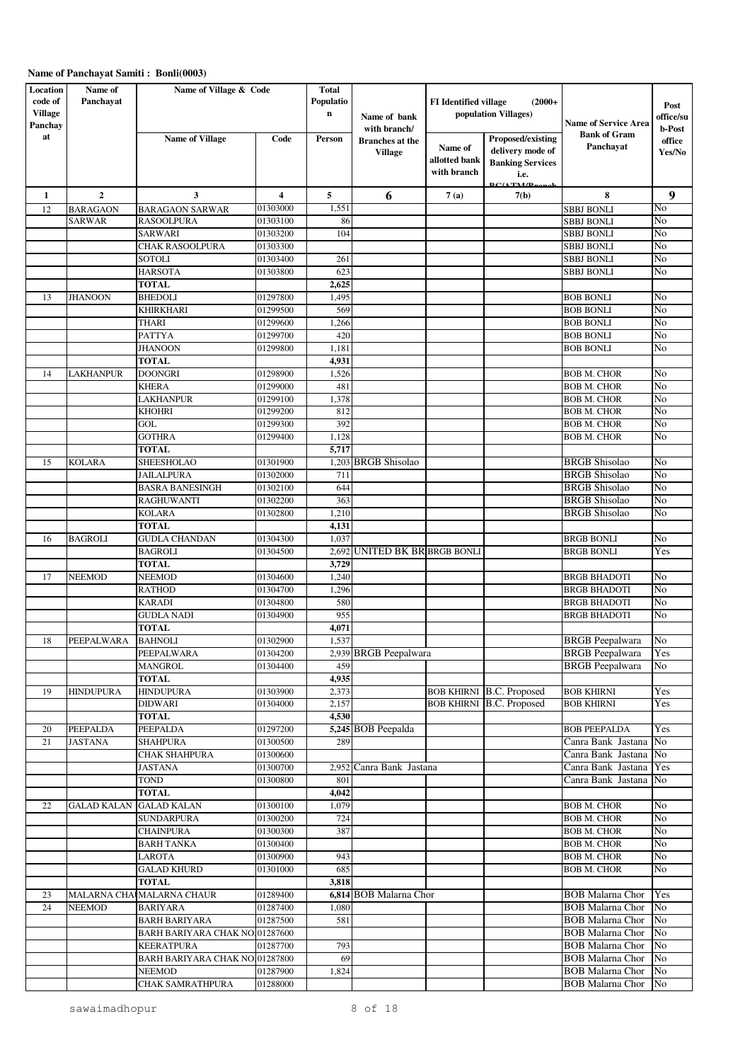| Location                             | Name of            | Name of Village & Code                       |                      | <b>Total</b>         |                                          |                                         |                                                                                              |                                             |                                    |
|--------------------------------------|--------------------|----------------------------------------------|----------------------|----------------------|------------------------------------------|-----------------------------------------|----------------------------------------------------------------------------------------------|---------------------------------------------|------------------------------------|
| code of<br><b>Village</b><br>Panchay | Panchayat          |                                              |                      | Populatio<br>$\bf n$ | Name of bank<br>with branch/             | <b>FI</b> Identified village            | $(2000+$<br>population Villages)                                                             | <b>Name of Service Area</b>                 | Post<br>office/su<br><b>b-Post</b> |
| at                                   |                    | <b>Name of Village</b>                       | Code                 | Person               | <b>Branches</b> at the<br><b>Village</b> | Name of<br>allotted bank<br>with branch | Proposed/existing<br>delivery mode of<br><b>Banking Services</b><br>i.e.<br>$DC/ATM/D$ range | <b>Bank of Gram</b><br>Panchayat            | office<br>Yes/No                   |
| $\mathbf{1}$                         | $\boldsymbol{2}$   | 3                                            | 4                    | 5                    | 6                                        | 7(a)                                    | 7(b)                                                                                         | 8                                           | 9                                  |
| 12                                   | <b>BARAGAON</b>    | BARAGAON SARWAR                              | 01303000             | 1,551                |                                          |                                         |                                                                                              | SBBJ BONLI                                  | No                                 |
|                                      | <b>SARWAR</b>      | RASOOLPURA                                   | 01303100             | 86                   |                                          |                                         |                                                                                              | <b>SBBJ BONLI</b>                           | No                                 |
|                                      |                    | SARWARI                                      | 01303200             | 104                  |                                          |                                         |                                                                                              | SBBJ BONLI                                  | No                                 |
|                                      |                    | CHAK RASOOLPURA                              | 01303300             |                      |                                          |                                         |                                                                                              | <b>SBBJ BONLI</b>                           | No<br>No                           |
|                                      |                    | SOTOLI<br>HARSOTA                            | 01303400<br>01303800 | 261<br>623           |                                          |                                         |                                                                                              | <b>SBBJ BONLI</b><br>SBBJ BONLI             | No                                 |
|                                      |                    | TOTAL                                        |                      | 2,625                |                                          |                                         |                                                                                              |                                             |                                    |
| 13                                   | <b>JHANOON</b>     | <b>BHEDOLI</b>                               | 01297800             | 1,495                |                                          |                                         |                                                                                              | <b>BOB BONLI</b>                            | No                                 |
|                                      |                    | KHIRKHARI                                    | 01299500             | 569                  |                                          |                                         |                                                                                              | <b>BOB BONLI</b>                            | No                                 |
|                                      |                    | THARI                                        | 01299600             | 1,266                |                                          |                                         |                                                                                              | <b>BOB BONLI</b>                            | No                                 |
|                                      |                    | <b>PATTYA</b>                                | 01299700             | 420                  |                                          |                                         |                                                                                              | <b>BOB BONLI</b>                            | No                                 |
|                                      |                    | <b>JHANOON</b>                               | 01299800             | 1,181                |                                          |                                         |                                                                                              | <b>BOB BONLI</b>                            | No                                 |
|                                      |                    | <b>TOTAL</b>                                 |                      | 4,931                |                                          |                                         |                                                                                              |                                             |                                    |
| 14                                   | LAKHANPUR          | <b>DOONGRI</b>                               | 01298900             | 1,526                |                                          |                                         |                                                                                              | <b>BOB M. CHOR</b>                          | No                                 |
|                                      |                    | <b>KHERA</b>                                 | 01299000             | 481                  |                                          |                                         |                                                                                              | <b>BOB M. CHOR</b>                          | No                                 |
|                                      |                    | LAKHANPUR<br>KHOHRI                          | 01299100<br>01299200 | 1,378<br>812         |                                          |                                         |                                                                                              | <b>BOB M. CHOR</b><br><b>BOB M. CHOR</b>    | No<br>No                           |
|                                      |                    | GOL                                          | 01299300             | 392                  |                                          |                                         |                                                                                              | <b>BOB M. CHOR</b>                          | No                                 |
|                                      |                    | <b>GOTHRA</b>                                | 01299400             | 1,128                |                                          |                                         |                                                                                              | <b>BOB M. CHOR</b>                          | No                                 |
|                                      |                    | TOTAL                                        |                      | 5,717                |                                          |                                         |                                                                                              |                                             |                                    |
| 15                                   | <b>KOLARA</b>      | SHEESHOLAO                                   | 01301900             |                      | 1,203 BRGB Shisolao                      |                                         |                                                                                              | <b>BRGB</b> Shisolao                        | No                                 |
|                                      |                    | JAILALPURA                                   | 01302000             | 711                  |                                          |                                         |                                                                                              | <b>BRGB</b> Shisolao                        | No                                 |
|                                      |                    | BASRA BANESINGH                              | 01302100             | 644                  |                                          |                                         |                                                                                              | <b>BRGB</b> Shisolao                        | No                                 |
|                                      |                    | RAGHUWANTI                                   | 01302200             | 363                  |                                          |                                         |                                                                                              | <b>BRGB</b> Shisolao                        | No                                 |
|                                      |                    | KOLARA                                       | 01302800             | 1,210                |                                          |                                         |                                                                                              | BRGB Shisolao                               | No                                 |
|                                      |                    | TOTAL                                        |                      | 4,131                |                                          |                                         |                                                                                              |                                             |                                    |
| 16                                   | <b>BAGROLI</b>     | <b>GUDLA CHANDAN</b>                         | 01304300             | 1,037                | <b>UNITED BK BR BRGB BONLI</b>           |                                         |                                                                                              | <b>BRGB BONLI</b>                           | No                                 |
|                                      |                    | <b>BAGROLI</b><br>TOTAL                      | 01304500             | 2,692<br>3,729       |                                          |                                         |                                                                                              | <b>BRGB BONLI</b>                           | Yes                                |
| 17                                   | <b>NEEMOD</b>      | <b>NEEMOD</b>                                | 01304600             | 1,240                |                                          |                                         |                                                                                              | <b>BRGB BHADOTI</b>                         | No                                 |
|                                      |                    | RATHOD                                       | 01304700             | 1,296                |                                          |                                         |                                                                                              | <b>BRGB BHADOTI</b>                         | No                                 |
|                                      |                    | KARADI                                       | 01304800             | 580                  |                                          |                                         |                                                                                              | <b>BRGB BHADOTI</b>                         | No                                 |
|                                      |                    | <b>GUDLA NADI</b>                            | 01304900             | 955                  |                                          |                                         |                                                                                              | <b>BRGB BHADOTI</b>                         | No                                 |
|                                      |                    | TOTAL                                        |                      | 4,071                |                                          |                                         |                                                                                              |                                             |                                    |
| 18                                   | PEEPALWARA         | <b>BAHNOLI</b>                               | 01302900             | 1,537                |                                          |                                         |                                                                                              | <b>BRGB</b> Peepalwara                      | No                                 |
|                                      |                    | PEEPALWARA                                   | 01304200             |                      | 2,939 BRGB Peepalwara                    |                                         |                                                                                              | <b>BRGB</b> Peepalwara                      | Yes                                |
|                                      |                    | MANGROL                                      | 01304400             | 459<br>4,935         |                                          |                                         |                                                                                              | <b>BRGB</b> Peepalwara                      | No                                 |
| 19                                   | <b>HINDUPURA</b>   | TOTAL<br><b>HINDUPURA</b>                    | 01303900             | 2,373                |                                          |                                         | <b>BOB KHIRNI B.C. Proposed</b>                                                              | <b>BOB KHIRNI</b>                           | Yes                                |
|                                      |                    | DIDWARI                                      | 01304000             | 2,157                |                                          |                                         | <b>BOB KHIRNI B.C. Proposed</b>                                                              | <b>BOB KHIRNI</b>                           | Yes                                |
|                                      |                    | <b>TOTAL</b>                                 |                      | 4,530                |                                          |                                         |                                                                                              |                                             |                                    |
| 20                                   | PEEPALDA           | PEEPALDA                                     | 01297200             |                      | 5,245 BOB Peepalda                       |                                         |                                                                                              | <b>BOB PEEPALDA</b>                         | Yes                                |
| 21                                   | <b>JASTANA</b>     | SHAHPURA                                     | 01300500             | 289                  |                                          |                                         |                                                                                              | Canra Bank Jastana                          | No                                 |
|                                      |                    | CHAK SHAHPURA                                | 01300600             |                      |                                          |                                         |                                                                                              | Canra Bank Jastana                          | No                                 |
|                                      |                    | JASTANA                                      | 01300700             |                      | 2,952 Canra Bank Jastana                 |                                         |                                                                                              | Canra Bank Jastana Yes                      |                                    |
|                                      |                    | TOND                                         | 01300800             | 801                  |                                          |                                         |                                                                                              | Canra Bank Jastana                          | No                                 |
| 22                                   |                    | TOTAL<br><b>GALAD KALAN</b>                  | 01300100             | 4,042<br>1,079       |                                          |                                         |                                                                                              |                                             |                                    |
|                                      | <b>GALAD KALAN</b> | SUNDARPURA                                   | 01300200             | 724                  |                                          |                                         |                                                                                              | <b>BOB M. CHOR</b><br><b>BOB M. CHOR</b>    | No<br>No                           |
|                                      |                    | <b>CHAINPURA</b>                             | 01300300             | 387                  |                                          |                                         |                                                                                              | <b>BOB M. CHOR</b>                          | No                                 |
|                                      |                    | <b>BARH TANKA</b>                            | 01300400             |                      |                                          |                                         |                                                                                              | <b>BOB M. CHOR</b>                          | No                                 |
|                                      |                    | LAROTA                                       | 01300900             | 943                  |                                          |                                         |                                                                                              | <b>BOB M. CHOR</b>                          | No                                 |
|                                      |                    | <b>GALAD KHURD</b>                           | 01301000             | 685                  |                                          |                                         |                                                                                              | <b>BOB M. CHOR</b>                          | No                                 |
|                                      |                    | TOTAL                                        |                      | 3,818                |                                          |                                         |                                                                                              |                                             |                                    |
| 23                                   | <b>MALARNA CHA</b> | <b>MALARNA CHAUR</b>                         | 01289400             |                      | 6,814 BOB Malarna Chor                   |                                         |                                                                                              | <b>BOB</b> Malarna Chor                     | Yes                                |
| 24                                   | <b>NEEMOD</b>      | BARIYARA                                     | 01287400             | 1,080                |                                          |                                         |                                                                                              | <b>BOB</b> Malarna Chor                     | No                                 |
|                                      |                    | <b>BARH BARIYARA</b>                         | 01287500             | 581                  |                                          |                                         |                                                                                              | <b>BOB</b> Malarna Chor                     | No                                 |
|                                      |                    | BARH BARIYARA CHAK NO 01287600<br>KEERATPURA | 01287700             | 793                  |                                          |                                         |                                                                                              | <b>BOB Malarna Chor</b><br>BOB Malarna Chor | No<br>No                           |
|                                      |                    | BARH BARIYARA CHAK NO.01287800               |                      | 69                   |                                          |                                         |                                                                                              | <b>BOB</b> Malarna Chor                     | No                                 |
|                                      |                    | NEEMOD                                       | 01287900             | 1,824                |                                          |                                         |                                                                                              | <b>BOB Malarna Chor</b>                     | No                                 |
|                                      |                    | CHAK SAMRATHPURA                             | 01288000             |                      |                                          |                                         |                                                                                              | <b>BOB Malarna Chor</b>                     | No                                 |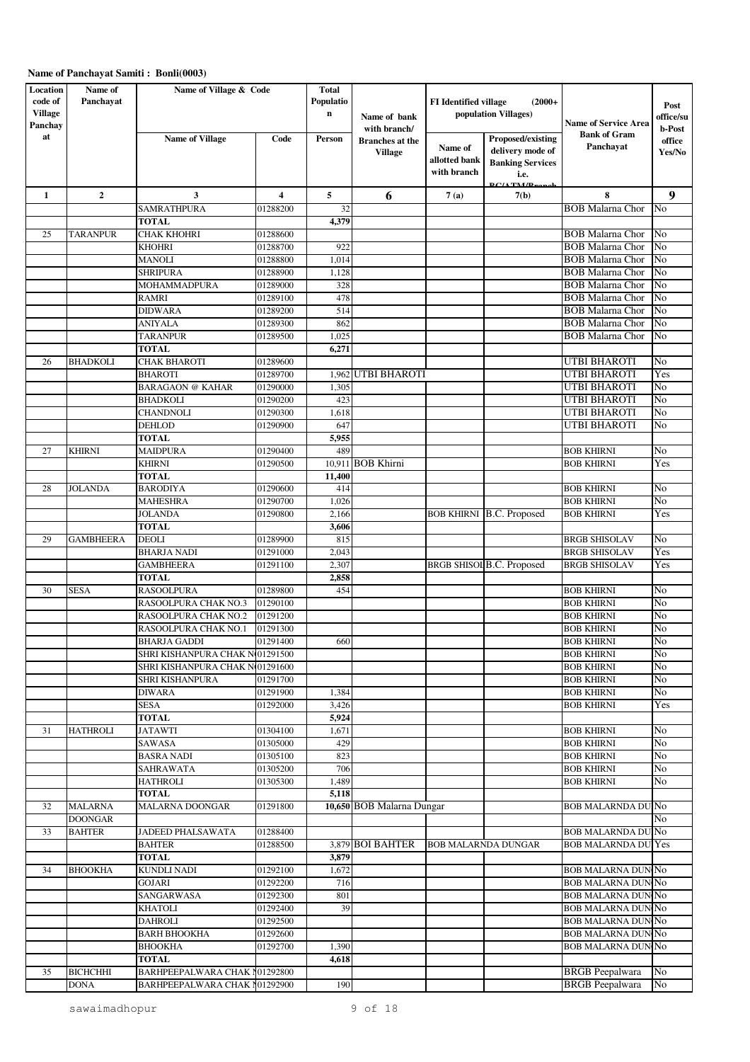| Location<br>code of<br><b>Village</b> | Name of<br>Panchayat | Name of Village & Code             |                      | <b>Total</b><br>Populatio<br>$\bf n$ | Name of bank                                             | <b>FI</b> Identified village            | $(2000+$<br>population Villages)                                                             | <b>Name of Service Area</b>                        | Post<br>office/su<br><b>b-Post</b> |  |
|---------------------------------------|----------------------|------------------------------------|----------------------|--------------------------------------|----------------------------------------------------------|-----------------------------------------|----------------------------------------------------------------------------------------------|----------------------------------------------------|------------------------------------|--|
| Panchay<br>at                         |                      | <b>Name of Village</b>             | Code                 | Person                               | with branch/<br><b>Branches</b> at the<br><b>Village</b> | Name of<br>allotted bank<br>with branch | Proposed/existing<br>delivery mode of<br><b>Banking Services</b><br>i.e.<br>$DC/ATM/D$ range | <b>Bank of Gram</b><br>Panchayat                   | office<br>Yes/No                   |  |
| $\mathbf{1}$                          | $\boldsymbol{2}$     | 3                                  | 4                    | 5                                    | 6                                                        | 7(a)                                    | 7(b)                                                                                         | 8                                                  | 9                                  |  |
|                                       |                      | SAMRATHPURA                        | 01288200             | 32                                   |                                                          |                                         |                                                                                              | <b>BOB</b> Malarna Chor                            | No                                 |  |
|                                       |                      | TOTAL                              |                      | 4,379                                |                                                          |                                         |                                                                                              |                                                    |                                    |  |
| 25                                    | <b>TARANPUR</b>      | CHAK KHOHRI                        | 01288600             |                                      |                                                          |                                         |                                                                                              | <b>BOB</b> Malarna Chor                            | No                                 |  |
|                                       |                      | KHOHRI                             | 01288700             | 922                                  |                                                          |                                         |                                                                                              | <b>BOB Malarna Chor</b>                            | No                                 |  |
|                                       |                      | MANOLI                             | 01288800             | 1,014                                |                                                          |                                         |                                                                                              | <b>BOB</b> Malarna Chor                            | No                                 |  |
|                                       |                      | <b>SHRIPURA</b>                    | 01288900             | 1,128                                |                                                          |                                         |                                                                                              | <b>BOB</b> Malarna Chor                            | No                                 |  |
|                                       |                      | MOHAMMADPURA                       | 01289000             | 328                                  |                                                          |                                         |                                                                                              | <b>BOB Malarna Chor</b><br><b>BOB</b> Malarna Chor | No<br>No                           |  |
|                                       |                      | RAMRI<br><b>DIDWARA</b>            | 01289100<br>01289200 | 478<br>514                           |                                                          |                                         |                                                                                              | <b>BOB</b> Malarna Chor                            | No                                 |  |
|                                       |                      | ANIYALA                            | 01289300             | 862                                  |                                                          |                                         |                                                                                              | <b>BOB</b> Malarna Chor                            | No                                 |  |
|                                       |                      | TARANPUR                           | 01289500             | 1,025                                |                                                          |                                         |                                                                                              | <b>BOB</b> Malarna Chor                            | No                                 |  |
|                                       |                      | <b>TOTAL</b>                       |                      | 6,271                                |                                                          |                                         |                                                                                              |                                                    |                                    |  |
| 26                                    | <b>BHADKOLI</b>      | <b>CHAK BHAROTI</b>                | 01289600             |                                      |                                                          |                                         |                                                                                              | <b>UTBI BHAROTI</b>                                | No                                 |  |
|                                       |                      | BHAROTI                            | 01289700             | 1,962                                | <b>UTBI BHAROTI</b>                                      |                                         |                                                                                              | <b>UTBI BHAROTI</b>                                | Yes                                |  |
|                                       |                      | <b>BARAGAON @ KAHAR</b>            | 01290000             | 1,305                                |                                                          |                                         |                                                                                              | <b>UTBI BHAROTI</b>                                | No                                 |  |
|                                       |                      | BHADKOLI                           | 01290200             | 423                                  |                                                          |                                         |                                                                                              | UTBI BHAROTI                                       | No                                 |  |
|                                       |                      | CHANDNOLI                          | 01290300             | 1,618                                |                                                          |                                         |                                                                                              | <b>UTBI BHAROTI</b>                                | No                                 |  |
|                                       |                      | <b>DEHLOD</b>                      | 01290900             | 647                                  |                                                          |                                         |                                                                                              | <b>UTBI BHAROTI</b>                                | No                                 |  |
|                                       |                      | <b>TOTAL</b>                       |                      | 5,955                                |                                                          |                                         |                                                                                              |                                                    |                                    |  |
| 27                                    | <b>KHIRNI</b>        | <b>MAIDPURA</b>                    | 01290400             | 489                                  |                                                          |                                         |                                                                                              | <b>BOB KHIRNI</b>                                  | No                                 |  |
|                                       |                      | KHIRNI                             | 01290500             |                                      | 10,911 BOB Khirni                                        |                                         |                                                                                              | <b>BOB KHIRNI</b>                                  | Yes                                |  |
|                                       |                      | <b>TOTAL</b>                       |                      | 11,400                               |                                                          |                                         |                                                                                              |                                                    |                                    |  |
| 28                                    | JOLANDA              | <b>BARODIYA</b>                    | 01290600             | 414                                  |                                                          |                                         |                                                                                              | <b>BOB KHIRNI</b>                                  | No                                 |  |
|                                       |                      | MAHESHRA                           | 01290700             | 1,026                                |                                                          |                                         |                                                                                              | <b>BOB KHIRNI</b>                                  | No                                 |  |
|                                       |                      | JOLANDA                            | 01290800             | 2,166                                |                                                          | BOB KHIRNI                              | B.C. Proposed                                                                                | BOB KHIRNI                                         | Yes                                |  |
|                                       |                      | <b>TOTAL</b>                       |                      | 3,606                                |                                                          |                                         |                                                                                              |                                                    |                                    |  |
| 29                                    | <b>GAMBHEERA</b>     | <b>DEOLI</b><br><b>BHARJA NADI</b> | 01289900<br>01291000 | 815<br>2,043                         |                                                          |                                         |                                                                                              | <b>BRGB SHISOLAV</b><br><b>BRGB SHISOLAV</b>       | No<br>Yes                          |  |
|                                       |                      | GAMBHEERA                          | 01291100             | 2,307                                |                                                          |                                         | <b>BRGB SHISOI B.C. Proposed</b>                                                             | <b>BRGB SHISOLAV</b>                               | Yes                                |  |
|                                       |                      | TOTAL                              |                      | 2,858                                |                                                          |                                         |                                                                                              |                                                    |                                    |  |
| 30                                    | <b>SESA</b>          | <b>RASOOLPURA</b>                  | 01289800             | 454                                  |                                                          |                                         |                                                                                              | <b>BOB KHIRNI</b>                                  | No                                 |  |
|                                       |                      | RASOOLPURA CHAK NO.3               | 01290100             |                                      |                                                          |                                         |                                                                                              | <b>BOB KHIRNI</b>                                  | No                                 |  |
|                                       |                      | RASOOLPURA CHAK NO.2               | 01291200             |                                      |                                                          |                                         |                                                                                              | <b>BOB KHIRNI</b>                                  | No                                 |  |
|                                       |                      | RASOOLPURA CHAK NO.1               | 01291300             |                                      |                                                          |                                         |                                                                                              | <b>BOB KHIRNI</b>                                  | No                                 |  |
|                                       |                      | <b>BHARJA GADDI</b>                | 01291400             | 660                                  |                                                          |                                         |                                                                                              | <b>BOB KHIRNI</b>                                  | No                                 |  |
|                                       |                      | SHRI KISHANPURA CHAK N01291500     |                      |                                      |                                                          |                                         |                                                                                              | <b>BOB KHIRNI</b>                                  | No                                 |  |
|                                       |                      | SHRI KISHANPURA CHAK N 01291600    |                      |                                      |                                                          |                                         |                                                                                              | <b>BOB KHIRNI</b>                                  | No                                 |  |
|                                       |                      | SHRI KISHANPURA                    | 01291700             |                                      |                                                          |                                         |                                                                                              | <b>BOB KHIRNI</b>                                  | No                                 |  |
|                                       |                      | <b>DIWARA</b>                      | 01291900             | 1,384                                |                                                          |                                         |                                                                                              | <b>BOB KHIRNI</b>                                  | No                                 |  |
|                                       |                      | SESA                               | 01292000             | 3,426                                |                                                          |                                         |                                                                                              | <b>BOB KHIRNI</b>                                  | Yes                                |  |
|                                       |                      | <b>TOTAL</b>                       |                      | 5,924                                |                                                          |                                         |                                                                                              |                                                    |                                    |  |
| 31                                    | <b>HATHROLI</b>      | JATAWTI                            | 01304100             | 1,671                                |                                                          |                                         |                                                                                              | <b>BOB KHIRNI</b>                                  | No                                 |  |
|                                       |                      | SAWASA                             | 01305000             | 429                                  |                                                          |                                         |                                                                                              | <b>BOB KHIRNI</b>                                  | No                                 |  |
|                                       |                      | <b>BASRA NADI</b><br>SAHRAWATA     | 01305100<br>01305200 | 823<br>706                           |                                                          |                                         |                                                                                              | <b>BOB KHIRNI</b><br><b>BOB KHIRNI</b>             | No<br>No                           |  |
|                                       |                      | HATHROLI                           | 01305300             | 1,489                                |                                                          |                                         |                                                                                              | <b>BOB KHIRNI</b>                                  | No                                 |  |
|                                       |                      | TOTAL                              |                      | 5,118                                |                                                          |                                         |                                                                                              |                                                    |                                    |  |
| 32                                    | <b>MALARNA</b>       | MALARNA DOONGAR                    | 01291800             |                                      | 10,650 BOB Malarna Dungar                                |                                         |                                                                                              | <b>BOB MALARNDA DU No</b>                          |                                    |  |
|                                       | <b>DOONGAR</b>       |                                    |                      |                                      |                                                          |                                         |                                                                                              |                                                    | No                                 |  |
| 33                                    | <b>BAHTER</b>        | JADEED PHALSAWATA                  | 01288400             |                                      |                                                          |                                         |                                                                                              | <b>BOB MALARNDA DU No</b>                          |                                    |  |
|                                       |                      | BAHTER                             | 01288500             |                                      | 3,879 BOI BAHTER                                         |                                         | <b>BOB MALARNDA DUNGAR</b>                                                                   | <b>BOB MALARNDA DU Yes</b>                         |                                    |  |
|                                       |                      | TOTAL                              |                      | 3,879                                |                                                          |                                         |                                                                                              |                                                    |                                    |  |
| 34                                    | ВНООКНА              | KUNDLI NADI                        | 01292100             | 1,672                                |                                                          |                                         |                                                                                              | <b>BOB MALARNA DUN No</b>                          |                                    |  |
|                                       |                      | GOJARI                             | 01292200             | 716                                  |                                                          |                                         |                                                                                              | <b>BOB MALARNA DUN No</b>                          |                                    |  |
|                                       |                      | SANGARWASA                         | 01292300             | 801                                  |                                                          |                                         |                                                                                              | <b>BOB MALARNA DUN No</b>                          |                                    |  |
|                                       |                      | <b>KHATOLI</b>                     | 01292400             | 39                                   |                                                          |                                         |                                                                                              | <b>BOB MALARNA DUN No</b>                          |                                    |  |
|                                       |                      | DAHROLI                            | 01292500             |                                      |                                                          |                                         |                                                                                              | <b>BOB MALARNA DUN No</b>                          |                                    |  |
|                                       |                      | <b>BARH BHOOKHA</b>                | 01292600             |                                      |                                                          |                                         |                                                                                              | <b>BOB MALARNA DUN No</b>                          |                                    |  |
|                                       |                      | <b>BHOOKHA</b>                     | 01292700             | 1,390                                |                                                          |                                         |                                                                                              | <b>BOB MALARNA DUN No</b>                          |                                    |  |
|                                       |                      | TOTAL                              |                      | 4,618                                |                                                          |                                         |                                                                                              |                                                    |                                    |  |
| 35                                    | <b>BICHCHHI</b>      | BARHPEEPALWARA CHAK N01292800      |                      |                                      |                                                          |                                         |                                                                                              | <b>BRGB</b> Peepalwara                             | No                                 |  |
|                                       | <b>DONA</b>          | BARHPEEPALWARA CHAK N01292900      |                      | 190                                  |                                                          |                                         |                                                                                              | <b>BRGB</b> Peepalwara                             | No                                 |  |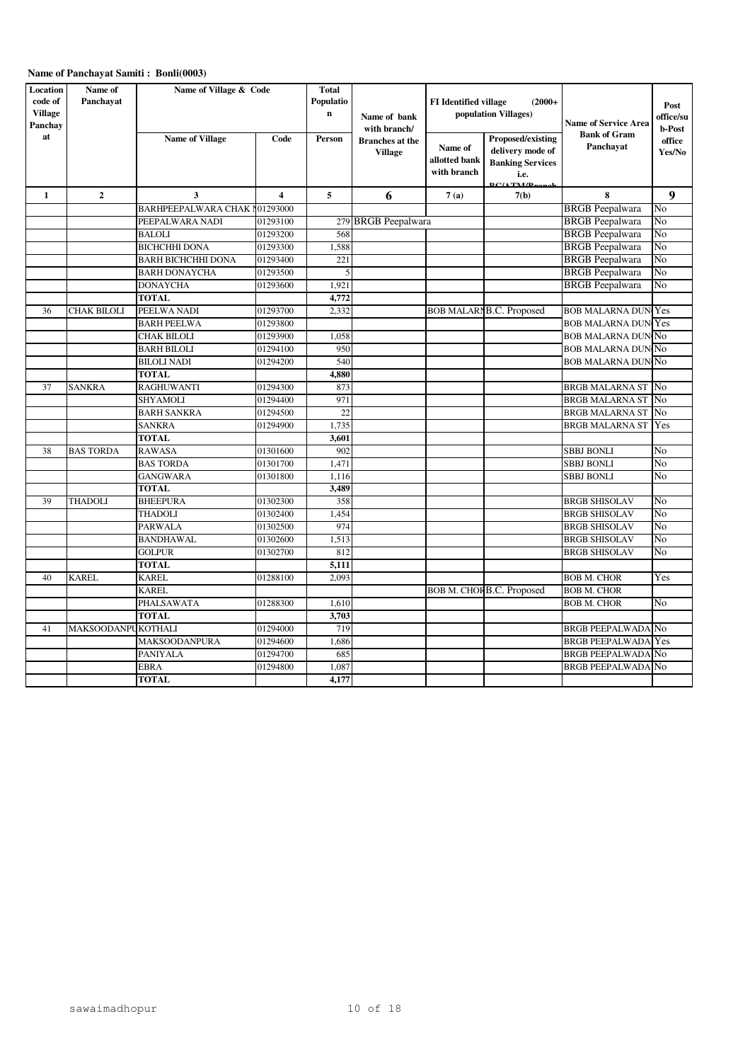| Location<br>code of<br><b>Village</b><br>Panchav | Name of<br>Panchayat | Name of Village & Code            | <b>Total</b><br>Populatio<br>$\mathbf n$ |                          | Name of bank<br>with branch/                                                                                                                                                       | <b>FI</b> Identified village | $(2000+$<br>population Villages) | <b>Name of Service Area</b><br><b>Bank of Gram</b> | Post<br>office/su<br>b-Post |
|--------------------------------------------------|----------------------|-----------------------------------|------------------------------------------|--------------------------|------------------------------------------------------------------------------------------------------------------------------------------------------------------------------------|------------------------------|----------------------------------|----------------------------------------------------|-----------------------------|
| at                                               |                      | <b>Name of Village</b>            | Code                                     | Person                   | Proposed/existing<br><b>Branches</b> at the<br>Name of<br>delivery mode of<br><b>Village</b><br>allotted bank<br><b>Banking Services</b><br>with branch<br>i.e.<br><b>DC/ATM/D</b> |                              | Panchayat                        | office<br>Yes/No                                   |                             |
| 1                                                | $\overline{2}$       | 3                                 | $\boldsymbol{4}$                         | 5                        | 6                                                                                                                                                                                  | 7(a)                         | 7(b)                             | 8                                                  | 9                           |
|                                                  |                      | BARHPEEPALWARA CHAK N01293000     |                                          |                          |                                                                                                                                                                                    |                              |                                  | <b>BRGB</b> Peepalwara                             | No                          |
|                                                  |                      | PEEPALWARA NADI                   | 01293100                                 | 279                      | <b>BRGB</b> Peepalwara                                                                                                                                                             |                              |                                  | <b>BRGB</b> Peepalwara                             | No                          |
|                                                  |                      | <b>BALOLI</b>                     | 01293200                                 | 568                      |                                                                                                                                                                                    |                              |                                  | <b>BRGB</b> Peepalwara                             | No                          |
|                                                  |                      | <b>BICHCHHI DONA</b>              | 01293300                                 | 1,588                    |                                                                                                                                                                                    |                              |                                  | <b>BRGB</b> Peepalwara                             | No                          |
|                                                  |                      | <b>BARH BICHCHHI DONA</b>         | 01293400                                 | 221                      |                                                                                                                                                                                    |                              |                                  | <b>BRGB</b> Peepalwara                             | No                          |
|                                                  |                      | <b>BARH DONAYCHA</b>              | 01293500                                 | $\overline{\phantom{a}}$ |                                                                                                                                                                                    |                              |                                  | <b>BRGB</b> Peepalwara                             | No                          |
|                                                  |                      | <b>DONAYCHA</b>                   | 01293600                                 | 1,921                    |                                                                                                                                                                                    |                              |                                  | <b>BRGB</b> Peepalwara                             | No                          |
|                                                  |                      | TOTAL                             |                                          | 4,772                    |                                                                                                                                                                                    |                              |                                  |                                                    |                             |
| 36                                               | <b>CHAK BILOLI</b>   | PEELWA NADI                       | 01293700                                 | 2,332                    |                                                                                                                                                                                    |                              | <b>BOB MALARI B.C. Proposed</b>  | <b>BOB MALARNA DUN Yes</b>                         |                             |
|                                                  |                      | <b>BARH PEELWA</b>                | 01293800                                 |                          |                                                                                                                                                                                    |                              |                                  | <b>BOB MALARNA DUN Yes</b>                         |                             |
|                                                  |                      | <b>CHAK BILOLI</b>                | 01293900                                 | 1,058                    |                                                                                                                                                                                    |                              |                                  | <b>BOB MALARNA DUN</b>                             | No                          |
|                                                  |                      | <b>BARH BILOLI</b>                | 01294100                                 | 950                      |                                                                                                                                                                                    |                              |                                  | <b>BOB MALARNA DUN No</b>                          |                             |
|                                                  |                      | <b>BILOLI NADI</b>                | 01294200                                 | 540                      |                                                                                                                                                                                    |                              |                                  | <b>BOB MALARNA DUN No</b>                          |                             |
| 37                                               | <b>SANKRA</b>        | <b>TOTAL</b><br><b>RAGHUWANTI</b> | 01294300                                 | 4,880<br>873             |                                                                                                                                                                                    |                              |                                  |                                                    | No                          |
|                                                  |                      | SHYAMOLI                          | 01294400                                 | 971                      |                                                                                                                                                                                    |                              |                                  | <b>BRGB MALARNA ST</b><br><b>BRGB MALARNA ST</b>   | No                          |
|                                                  |                      | <b>BARH SANKRA</b>                | 01294500                                 | 22                       |                                                                                                                                                                                    |                              |                                  | <b>BRGB MALARNA ST</b>                             | No                          |
|                                                  |                      | <b>SANKRA</b>                     | 01294900                                 | 1,735                    |                                                                                                                                                                                    |                              |                                  | <b>BRGB MALARNA ST</b>                             | Yes                         |
|                                                  |                      | <b>TOTAL</b>                      |                                          | 3,601                    |                                                                                                                                                                                    |                              |                                  |                                                    |                             |
| 38                                               | <b>BAS TORDA</b>     | <b>RAWASA</b>                     | 01301600                                 | 902                      |                                                                                                                                                                                    |                              |                                  | <b>SBBJ BONLI</b>                                  | No                          |
|                                                  |                      | <b>BAS TORDA</b>                  | 01301700                                 | 1,471                    |                                                                                                                                                                                    |                              |                                  | <b>SBBJ BONLI</b>                                  | No                          |
|                                                  |                      | <b>GANGWARA</b>                   | 01301800                                 | 1.116                    |                                                                                                                                                                                    |                              |                                  | <b>SBBJ BONLI</b>                                  | No                          |
|                                                  |                      | <b>TOTAL</b>                      |                                          | 3,489                    |                                                                                                                                                                                    |                              |                                  |                                                    |                             |
| 39                                               | <b>THADOLI</b>       | <b>BHEEPURA</b>                   | 01302300                                 | 358                      |                                                                                                                                                                                    |                              |                                  | <b>BRGB SHISOLAV</b>                               | No                          |
|                                                  |                      | THADOLI                           | 01302400                                 | 1,454                    |                                                                                                                                                                                    |                              |                                  | <b>BRGB SHISOLAV</b>                               | No                          |
|                                                  |                      | PARWALA                           | 01302500                                 | 974                      |                                                                                                                                                                                    |                              |                                  | <b>BRGB SHISOLAV</b>                               | No                          |
|                                                  |                      | BANDHAWAL                         | 01302600                                 | 1,513                    |                                                                                                                                                                                    |                              |                                  | <b>BRGB SHISOLAV</b>                               | No                          |
|                                                  |                      | <b>GOLPUR</b>                     | 01302700                                 | 812                      |                                                                                                                                                                                    |                              |                                  | <b>BRGB SHISOLAV</b>                               | No                          |
|                                                  |                      | TOTAL                             |                                          | 5,111                    |                                                                                                                                                                                    |                              |                                  |                                                    |                             |
| 40                                               | <b>KAREL</b>         | KAREL                             | 01288100                                 | 2,093                    |                                                                                                                                                                                    |                              |                                  | <b>BOB M. CHOR</b>                                 | Yes                         |
|                                                  |                      | <b>KAREL</b>                      |                                          |                          |                                                                                                                                                                                    |                              | BOB M. CHOF B.C. Proposed        | <b>BOB M. CHOR</b>                                 |                             |
|                                                  |                      | PHALSAWATA                        | 01288300                                 | 1,610                    |                                                                                                                                                                                    |                              |                                  | <b>BOB M. CHOR</b>                                 | No                          |
|                                                  |                      | <b>TOTAL</b>                      |                                          | 3,703                    |                                                                                                                                                                                    |                              |                                  |                                                    |                             |
| 41                                               | <b>MAKSOODANPI</b>   | <b>KOTHALI</b>                    | 01294000                                 | 719                      |                                                                                                                                                                                    |                              |                                  | <b>BRGB PEEPALWADA No</b>                          |                             |
|                                                  |                      | <b>MAKSOODANPURA</b>              | 01294600                                 | 1.686                    |                                                                                                                                                                                    |                              |                                  | <b>BRGB PEEPALWADA</b>                             | Yes                         |
|                                                  |                      | PANIYALA                          | 01294700                                 | 685                      |                                                                                                                                                                                    |                              |                                  | <b>BRGB PEEPALWADA</b>                             | N <sub>0</sub>              |
|                                                  |                      | <b>EBRA</b>                       | 01294800                                 | 1,087                    |                                                                                                                                                                                    |                              |                                  | <b>BRGB PEEPALWADA No</b>                          |                             |
|                                                  |                      | <b>TOTAL</b>                      |                                          | 4,177                    |                                                                                                                                                                                    |                              |                                  |                                                    |                             |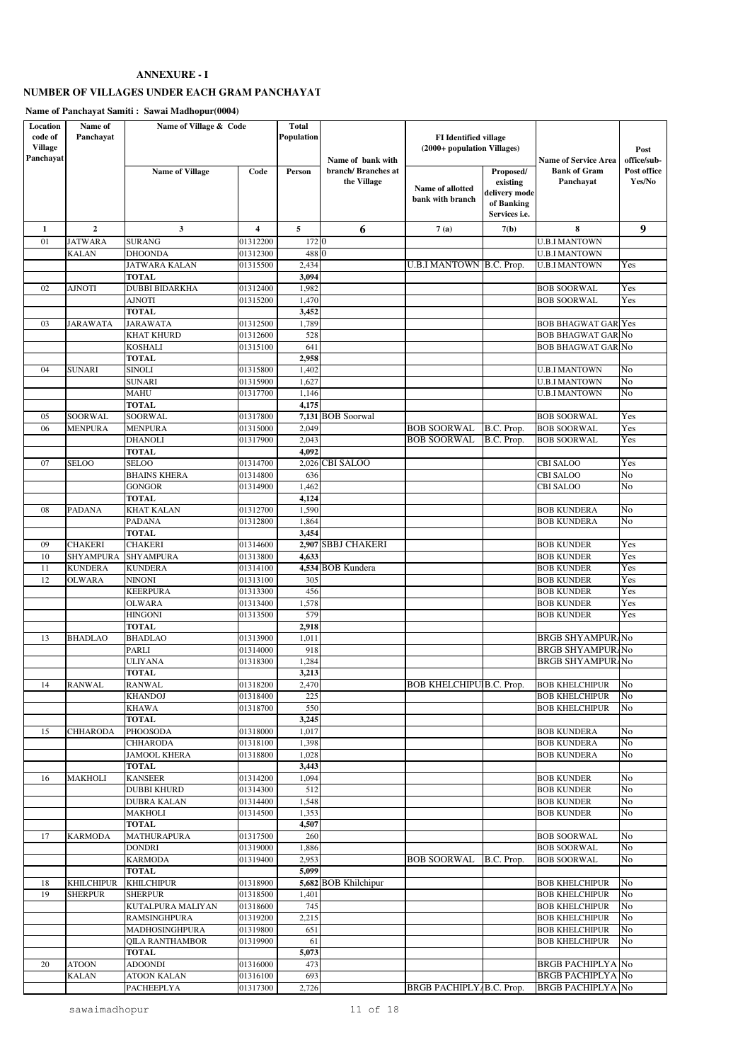### **NUMBER OF VILLAGES UNDER EACH GRAM PANCHAYAT**

| Location<br>code of<br><b>Village</b><br>Panchayat | Name of<br>Panchayat | Name of Village & Code                 |                         | <b>Total</b><br>Population |                                                        | <b>FI</b> Identified village<br>(2000+ population Villages) |                                                                       | <b>Name of Service Area</b>                          | Post<br>office/sub-   |
|----------------------------------------------------|----------------------|----------------------------------------|-------------------------|----------------------------|--------------------------------------------------------|-------------------------------------------------------------|-----------------------------------------------------------------------|------------------------------------------------------|-----------------------|
|                                                    |                      | <b>Name of Village</b>                 | Code                    | Person                     | Name of bank with<br>branch/Branches at<br>the Village | Name of allotted<br>bank with branch                        | Proposed/<br>existing<br>delivery mode<br>of Banking<br>Services i.e. | <b>Bank of Gram</b><br>Panchayat                     | Post office<br>Yes/No |
| 1                                                  | $\overline{2}$       | 3                                      | $\overline{\mathbf{4}}$ | 5                          | 6                                                      | 7(a)                                                        | 7(b)                                                                  | 8                                                    | 9                     |
| 01                                                 | <b>JATWARA</b>       | <b>SURANG</b>                          | 01312200                | 172                        | $\Omega$                                               |                                                             |                                                                       | <b>U.B.I MANTOWN</b>                                 |                       |
|                                                    | <b>KALAN</b>         | <b>DHOONDA</b>                         | 01312300                | 488                        | $\mathbf{0}$                                           |                                                             |                                                                       | <b>U.B.I MANTOWN</b>                                 |                       |
|                                                    |                      | <b>JATWARA KALAN</b><br><b>TOTAL</b>   | 01315500                | 2,434<br>3,094             |                                                        | U.B.I MANTOWN B.C. Prop.                                    |                                                                       | U.B.I MANTOWN                                        | Yes                   |
| 02                                                 | <b>AJNOTI</b>        | <b>DUBBI BIDARKHA</b>                  | 01312400                | 1,982                      |                                                        |                                                             |                                                                       | <b>BOB SOORWAL</b>                                   | Yes                   |
|                                                    |                      | <b>AJNOTI</b>                          | 01315200                | 1,470                      |                                                        |                                                             |                                                                       | <b>BOB SOORWAL</b>                                   | Yes                   |
|                                                    |                      | <b>TOTAL</b>                           |                         | 3,452                      |                                                        |                                                             |                                                                       |                                                      |                       |
| 03                                                 | JARAWATA             | <b>JARAWATA</b>                        | 01312500                | 1,789                      |                                                        |                                                             |                                                                       | <b>BOB BHAGWAT GAR</b>                               | Yes                   |
|                                                    |                      | <b>KHAT KHURD</b>                      | 01312600                | 528                        |                                                        |                                                             |                                                                       | <b>BOB BHAGWAT GAR No</b>                            |                       |
|                                                    |                      | <b>KOSHALI</b><br><b>TOTAL</b>         | 01315100                | 641                        |                                                        |                                                             |                                                                       | <b>BOB BHAGWAT GAR No</b>                            |                       |
| 04                                                 | <b>SUNARI</b>        | SINOLI                                 | 01315800                | 2,958<br>1,402             |                                                        |                                                             |                                                                       | <b>U.B.I MANTOWN</b>                                 | No                    |
|                                                    |                      | <b>SUNARI</b>                          | 01315900                | 1,627                      |                                                        |                                                             |                                                                       | <b>U.B.I MANTOWN</b>                                 | No                    |
|                                                    |                      | <b>MAHU</b>                            | 01317700                | 1,146                      |                                                        |                                                             |                                                                       | <b>U.B.I MANTOWN</b>                                 | No                    |
|                                                    |                      | <b>TOTAL</b>                           |                         | 4,175                      |                                                        |                                                             |                                                                       |                                                      |                       |
| 05                                                 | SOORWAL              | SOORWAL                                | 01317800                | 7,131                      | <b>BOB</b> Soorwal                                     |                                                             |                                                                       | <b>BOB SOORWAL</b>                                   | Yes                   |
| 06                                                 | <b>MENPURA</b>       | <b>MENPURA</b><br><b>DHANOLI</b>       | 01315000                | 2,049<br>2,043             |                                                        | <b>BOB SOORWAL</b><br>BOB SOORWAL                           | B.C. Prop.<br>B.C. Prop.                                              | <b>BOB SOORWAL</b><br><b>BOB SOORWAL</b>             | Yes<br>Yes            |
|                                                    |                      | <b>TOTAL</b>                           | 01317900                | 4,092                      |                                                        |                                                             |                                                                       |                                                      |                       |
| 07                                                 | <b>SELOO</b>         | SELOO                                  | 01314700                | 2,026                      | <b>CBI SALOO</b>                                       |                                                             |                                                                       | CBI SALOO                                            | Yes                   |
|                                                    |                      | <b>BHAINS KHERA</b>                    | 01314800                | 636                        |                                                        |                                                             |                                                                       | CBI SALOO                                            | No                    |
|                                                    |                      | <b>GONGOR</b>                          | 01314900                | 1,462                      |                                                        |                                                             |                                                                       | CBI SALOO                                            | No                    |
|                                                    |                      | <b>TOTAL</b>                           |                         | 4,124                      |                                                        |                                                             |                                                                       |                                                      |                       |
| 08                                                 | <b>PADANA</b>        | <b>KHAT KALAN</b><br><b>PADANA</b>     | 01312700<br>01312800    | 1,590<br>1,864             |                                                        |                                                             |                                                                       | <b>BOB KUNDERA</b><br><b>BOB KUNDERA</b>             | No<br>No              |
|                                                    |                      | <b>TOTAL</b>                           |                         | 3,454                      |                                                        |                                                             |                                                                       |                                                      |                       |
| 09                                                 | <b>CHAKERI</b>       | CHAKERI                                | 01314600                | 2,907                      | <b>SBBJ CHAKERI</b>                                    |                                                             |                                                                       | <b>BOB KUNDER</b>                                    | Yes                   |
| 10                                                 | <b>SHYAMPURA</b>     | <b>SHYAMPURA</b>                       | 01313800                | 4,633                      |                                                        |                                                             |                                                                       | <b>BOB KUNDER</b>                                    | Yes                   |
| 11                                                 | <b>KUNDERA</b>       | <b>KUNDERA</b>                         | 01314100                |                            | 4,534 BOB Kundera                                      |                                                             |                                                                       | <b>BOB KUNDER</b>                                    | Yes                   |
| 12                                                 | <b>OLWARA</b>        | <b>NINONI</b>                          | 01313100                | 305                        |                                                        |                                                             |                                                                       | <b>BOB KUNDER</b>                                    | Yes                   |
|                                                    |                      | <b>KEERPURA</b><br><b>OLWARA</b>       | 01313300<br>01313400    | 456<br>1,578               |                                                        |                                                             |                                                                       | <b>BOB KUNDER</b><br><b>BOB KUNDER</b>               | Yes<br>Yes            |
|                                                    |                      | <b>HINGONI</b>                         | 01313500                | 579                        |                                                        |                                                             |                                                                       | <b>BOB KUNDER</b>                                    | Yes                   |
|                                                    |                      | <b>TOTAL</b>                           |                         | 2,918                      |                                                        |                                                             |                                                                       |                                                      |                       |
| 13                                                 | <b>BHADLAO</b>       | <b>BHADLAO</b>                         | 01313900                | 1,011                      |                                                        |                                                             |                                                                       | <b>BRGB SHYAMPURANO</b>                              |                       |
|                                                    |                      | PARLI                                  | 01314000                | 918                        |                                                        |                                                             |                                                                       | <b>BRGB SHYAMPURANO</b>                              |                       |
|                                                    |                      | <b>ULIYANA</b><br><b>TOTAL</b>         | 01318300                | 1,284<br>3,213             |                                                        |                                                             |                                                                       | <b>BRGB SHYAMPURANO</b>                              |                       |
| 14                                                 | <b>RANWAL</b>        | <b>RANWAL</b>                          | 01318200                | 2,470                      |                                                        | <b>BOB KHELCHIPU B.C. Prop.</b>                             |                                                                       | <b>BOB KHELCHIPUR</b>                                | No                    |
|                                                    |                      | <b>KHANDOJ</b>                         | 01318400                | 225                        |                                                        |                                                             |                                                                       | <b>BOB KHELCHIPUR</b>                                | No                    |
|                                                    |                      | <b>KHAWA</b>                           | 01318700                | 550                        |                                                        |                                                             |                                                                       | <b>BOB KHELCHIPUR</b>                                | No                    |
|                                                    |                      | <b>TOTAL</b>                           |                         | 3,245                      |                                                        |                                                             |                                                                       |                                                      |                       |
| 15                                                 | <b>CHHARODA</b>      | PHOOSODA                               | 01318000                | 1,017                      |                                                        |                                                             |                                                                       | <b>BOB KUNDERA</b>                                   | No                    |
|                                                    |                      | <b>CHHARODA</b><br><b>JAMOOL KHERA</b> | 01318100<br>01318800    | 1,398<br>1,028             |                                                        |                                                             |                                                                       | <b>BOB KUNDERA</b><br><b>BOB KUNDERA</b>             | No<br>No              |
|                                                    |                      | <b>TOTAL</b>                           |                         | 3,443                      |                                                        |                                                             |                                                                       |                                                      |                       |
| 16                                                 | MAKHOLI              | <b>KANSEER</b>                         | 01314200                | 1,094                      |                                                        |                                                             |                                                                       | <b>BOB KUNDER</b>                                    | No                    |
|                                                    |                      | <b>DUBBI KHURD</b>                     | 01314300                | 512                        |                                                        |                                                             |                                                                       | <b>BOB KUNDER</b>                                    | No                    |
|                                                    |                      | <b>DUBRA KALAN</b>                     | 01314400                | 1,548                      |                                                        |                                                             |                                                                       | <b>BOB KUNDER</b>                                    | No                    |
|                                                    |                      | <b>MAKHOLI</b><br><b>TOTAL</b>         | 01314500                | 1,353<br>4,507             |                                                        |                                                             |                                                                       | <b>BOB KUNDER</b>                                    | No                    |
| 17                                                 | <b>KARMODA</b>       | MATHURAPURA                            | 01317500                | 260                        |                                                        |                                                             |                                                                       | <b>BOB SOORWAL</b>                                   | No                    |
|                                                    |                      | <b>DONDRI</b>                          | 01319000                | 1,886                      |                                                        |                                                             |                                                                       | <b>BOB SOORWAL</b>                                   | No                    |
|                                                    |                      | <b>KARMODA</b>                         | 01319400                | 2,953                      |                                                        | <b>BOB SOORWAL</b>                                          | B.C. Prop.                                                            | <b>BOB SOORWAL</b>                                   | No                    |
|                                                    |                      | <b>TOTAL</b>                           |                         | 5,099                      |                                                        |                                                             |                                                                       |                                                      |                       |
| 18                                                 | <b>KHILCHIPUR</b>    | KHILCHIPUR                             | 01318900                |                            | 5,682 BOB Khilchipur                                   |                                                             |                                                                       | <b>BOB KHELCHIPUR</b>                                | No                    |
| 19                                                 | <b>SHERPUR</b>       | <b>SHERPUR</b>                         | 01318500<br>01318600    | 1,401<br>745               |                                                        |                                                             |                                                                       | <b>BOB KHELCHIPUR</b>                                | No<br>No              |
|                                                    |                      | KUTALPURA MALIYAN<br>RAMSINGHPURA      | 01319200                | 2,215                      |                                                        |                                                             |                                                                       | <b>BOB KHELCHIPUR</b><br><b>BOB KHELCHIPUR</b>       | No                    |
|                                                    |                      | MADHOSINGHPURA                         | 01319800                | 651                        |                                                        |                                                             |                                                                       | <b>BOB KHELCHIPUR</b>                                | No                    |
|                                                    |                      | <b>QILA RANTHAMBOR</b>                 | 01319900                | 61                         |                                                        |                                                             |                                                                       | <b>BOB KHELCHIPUR</b>                                | No                    |
|                                                    |                      | <b>TOTAL</b>                           |                         | 5,073                      |                                                        |                                                             |                                                                       |                                                      |                       |
| 20                                                 | <b>ATOON</b>         | <b>ADOONDI</b>                         | 01316000                | 473                        |                                                        |                                                             |                                                                       | <b>BRGB PACHIPLYA No</b>                             |                       |
|                                                    | <b>KALAN</b>         | <b>ATOON KALAN</b><br>PACHEEPLYA       | 01316100<br>01317300    | 693<br>2,726               |                                                        | BRGB PACHIPLY/B.C. Prop.                                    |                                                                       | <b>BRGB PACHIPLYA No</b><br><b>BRGB PACHIPLYA No</b> |                       |
|                                                    |                      |                                        |                         |                            |                                                        |                                                             |                                                                       |                                                      |                       |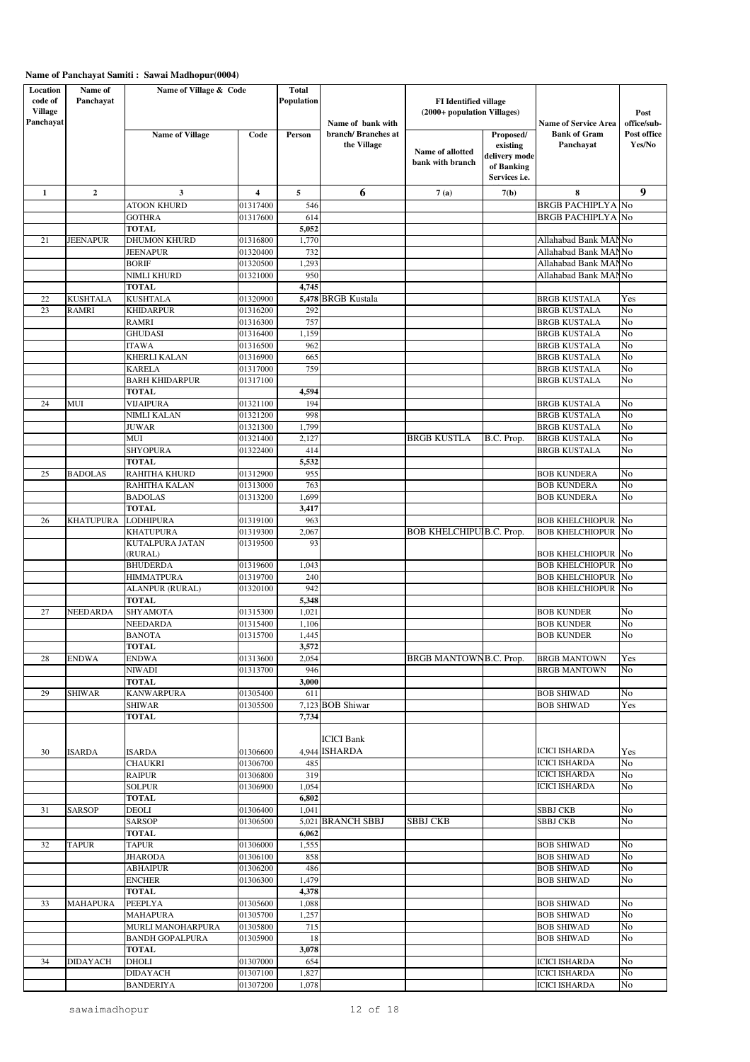| Location                               | Name of         | Name of Village & Code               |                         | <b>Total</b>   |                                   |                                                             |                                                                       |                                                     |                       |
|----------------------------------------|-----------------|--------------------------------------|-------------------------|----------------|-----------------------------------|-------------------------------------------------------------|-----------------------------------------------------------------------|-----------------------------------------------------|-----------------------|
| code of<br><b>Village</b><br>Panchayat | Panchayat       |                                      |                         | Population     | Name of bank with                 | <b>FI</b> Identified village<br>(2000+ population Villages) |                                                                       | <b>Name of Service Area</b>                         | Post<br>office/sub-   |
|                                        |                 | <b>Name of Village</b>               | Code                    | Person         | branch/Branches at<br>the Village | Name of allotted<br>bank with branch                        | Proposed/<br>existing<br>delivery mode<br>of Banking<br>Services i.e. | Bank of Gram<br>Panchayat                           | Post office<br>Yes/No |
| 1                                      | $\mathbf{2}$    | 3                                    | $\overline{\mathbf{4}}$ | 5              | 6                                 | 7(a)                                                        | 7(b)                                                                  | 8                                                   | 9                     |
|                                        |                 | <b>ATOON KHURD</b>                   | 01317400                | 546            |                                   |                                                             |                                                                       | <b>BRGB PACHIPLYA No</b>                            |                       |
|                                        |                 | <b>GOTHRA</b>                        | 01317600                | 614            |                                   |                                                             |                                                                       | <b>BRGB PACHIPLYA No</b>                            |                       |
|                                        |                 | <b>TOTAL</b>                         |                         | 5,052          |                                   |                                                             |                                                                       |                                                     |                       |
| 21                                     | <b>JEENAPUR</b> | <b>DHUMON KHURD</b>                  | 01316800                | 1,770          |                                   |                                                             |                                                                       | Allahabad Bank MANNo                                |                       |
|                                        |                 | <b>JEENAPUR</b><br><b>BORIF</b>      | 01320400<br>01320500    | 732<br>1,293   |                                   |                                                             |                                                                       | Allahabad Bank MANNo<br>Allahabad Bank MANNo        |                       |
|                                        |                 | <b>NIMLI KHURD</b>                   | 01321000                | 950            |                                   |                                                             |                                                                       | Allahabad Bank MANNo                                |                       |
|                                        |                 | <b>TOTAL</b>                         |                         | 4,745          |                                   |                                                             |                                                                       |                                                     |                       |
| 22                                     | <b>KUSHTALA</b> | <b>KUSHTALA</b>                      | 01320900                |                | 5,478 BRGB Kustala                |                                                             |                                                                       | <b>BRGB KUSTALA</b>                                 | Yes                   |
| 23                                     | <b>RAMRI</b>    | <b>KHIDARPUR</b>                     | 01316200                | 292            |                                   |                                                             |                                                                       | <b>BRGB KUSTALA</b>                                 | No                    |
|                                        |                 | <b>RAMRI</b>                         | 01316300                | 757            |                                   |                                                             |                                                                       | <b>BRGB KUSTALA</b>                                 | No                    |
|                                        |                 | <b>GHUDASI</b>                       | 01316400                | 1,159          |                                   |                                                             |                                                                       | <b>BRGB KUSTALA</b>                                 | No                    |
|                                        |                 | <b>ITAWA</b>                         | 01316500                | 962            |                                   |                                                             |                                                                       | <b>BRGB KUSTALA</b>                                 | No                    |
|                                        |                 | <b>KHERLI KALAN</b><br><b>KARELA</b> | 01316900<br>01317000    | 665<br>759     |                                   |                                                             |                                                                       | <b>BRGB KUSTALA</b><br><b>BRGB KUSTALA</b>          | No<br>No              |
|                                        |                 | <b>BARH KHIDARPUR</b>                | 01317100                |                |                                   |                                                             |                                                                       | <b>BRGB KUSTALA</b>                                 | No                    |
|                                        |                 | <b>TOTAL</b>                         |                         | 4,594          |                                   |                                                             |                                                                       |                                                     |                       |
| 24                                     | MUI             | VIJAIPURA                            | 01321100                | 194            |                                   |                                                             |                                                                       | <b>BRGB KUSTALA</b>                                 | No                    |
|                                        |                 | NIMLI KALAN                          | 01321200                | 998            |                                   |                                                             |                                                                       | <b>BRGB KUSTALA</b>                                 | No                    |
|                                        |                 | <b>JUWAR</b>                         | 01321300                | 1,799          |                                   |                                                             |                                                                       | <b>BRGB KUSTALA</b>                                 | No                    |
|                                        |                 | MUI                                  | 01321400                | 2,127          |                                   | <b>BRGB KUSTLA</b>                                          | B.C. Prop.                                                            | <b>BRGB KUSTALA</b>                                 | No                    |
|                                        |                 | <b>SHYOPURA</b>                      | 01322400                | 414            |                                   |                                                             |                                                                       | <b>BRGB KUSTALA</b>                                 | No                    |
|                                        |                 | <b>TOTAL</b>                         |                         | 5,532          |                                   |                                                             |                                                                       |                                                     |                       |
| 25                                     | <b>BADOLAS</b>  | RAHITHA KHURD<br>RAHITHA KALAN       | 01312900<br>01313000    | 955<br>763     |                                   |                                                             |                                                                       | <b>BOB KUNDERA</b><br><b>BOB KUNDERA</b>            | No<br>No              |
|                                        |                 | <b>BADOLAS</b>                       | 01313200                | 1,699          |                                   |                                                             |                                                                       | <b>BOB KUNDERA</b>                                  | No                    |
|                                        |                 | <b>TOTAL</b>                         |                         | 3,417          |                                   |                                                             |                                                                       |                                                     |                       |
| 26                                     | KHATUPURA       | <b>LODHIPURA</b>                     | 01319100                | 963            |                                   |                                                             |                                                                       | <b>BOB KHELCHIOPUR No</b>                           |                       |
|                                        |                 | <b>KHATUPURA</b>                     | 01319300                | 2,067          |                                   | <b>BOB KHELCHIPUIB.C. Prop.</b>                             |                                                                       | <b>BOB KHELCHIOPUR</b>                              | No                    |
|                                        |                 | KUTALPURA JATAN                      | 01319500                | 93             |                                   |                                                             |                                                                       |                                                     |                       |
|                                        |                 | (RURAL)<br><b>BHUDERDA</b>           |                         |                |                                   |                                                             |                                                                       | <b>BOB KHELCHIOPUR No</b><br><b>BOB KHELCHIOPUR</b> |                       |
|                                        |                 | <b>HIMMATPURA</b>                    | 01319600<br>01319700    | 1,043<br>240   |                                   |                                                             |                                                                       | <b>BOB KHELCHIOPUR</b>                              | No<br>No              |
|                                        |                 | <b>ALANPUR (RURAL)</b>               | 01320100                | 942            |                                   |                                                             |                                                                       | <b>BOB KHELCHIOPUR</b>                              | No                    |
|                                        |                 | <b>TOTAL</b>                         |                         | 5,348          |                                   |                                                             |                                                                       |                                                     |                       |
| 27                                     | NEEDARDA        | SHYAMOTA                             | 01315300                | 1,021          |                                   |                                                             |                                                                       | <b>BOB KUNDER</b>                                   | No                    |
|                                        |                 | NEEDARDA                             | 01315400                | 1,106          |                                   |                                                             |                                                                       | <b>BOB KUNDER</b>                                   | No                    |
|                                        |                 | <b>BANOTA</b>                        | 01315700                | 1,445          |                                   |                                                             |                                                                       | <b>BOB KUNDER</b>                                   | No                    |
|                                        |                 | <b>TOTAL</b>                         |                         | 3,572          |                                   |                                                             |                                                                       |                                                     |                       |
| 28                                     | <b>ENDWA</b>    | <b>ENDWA</b><br><b>NIWADI</b>        | 01313600<br>01313700    | 2,054<br>946   |                                   | BRGB MANTOWNB.C. Prop.                                      |                                                                       | <b>BRGB MANTOWN</b>                                 | Yes                   |
|                                        |                 | <b>TOTAL</b>                         |                         | 3,000          |                                   |                                                             |                                                                       | <b>BRGB MANTOWN</b>                                 | No                    |
| 29                                     | <b>SHIWAR</b>   | <b>KANWARPURA</b>                    | 01305400                | 611            |                                   |                                                             |                                                                       | <b>BOB SHIWAD</b>                                   | No                    |
|                                        |                 | <b>SHIWAR</b>                        | 01305500                |                | 7,123 BOB Shiwar                  |                                                             |                                                                       | <b>BOB SHIWAD</b>                                   | Yes                   |
|                                        |                 | <b>TOTAL</b>                         |                         | 7,734          |                                   |                                                             |                                                                       |                                                     |                       |
|                                        |                 |                                      |                         |                |                                   |                                                             |                                                                       |                                                     |                       |
|                                        |                 |                                      |                         |                | <b>ICICI Bank</b>                 |                                                             |                                                                       |                                                     |                       |
| 30                                     | <b>ISARDA</b>   | <b>ISARDA</b>                        | 01306600                |                | 4.944 ISHARDA                     |                                                             |                                                                       | <b>ICICI ISHARDA</b><br><b>ICICI ISHARDA</b>        | Yes                   |
|                                        |                 | <b>CHAUKRI</b><br><b>RAIPUR</b>      | 01306700<br>01306800    | 485<br>319     |                                   |                                                             |                                                                       | <b>ICICI ISHARDA</b>                                | No<br>No              |
|                                        |                 | <b>SOLPUR</b>                        | 01306900                | 1,054          |                                   |                                                             |                                                                       | <b>ICICI ISHARDA</b>                                | No                    |
|                                        |                 | <b>TOTAL</b>                         |                         | 6,802          |                                   |                                                             |                                                                       |                                                     |                       |
| 31                                     | <b>SARSOP</b>   | DEOLI                                | 01306400                | 1,041          |                                   |                                                             |                                                                       | <b>SBBJ CKB</b>                                     | No                    |
|                                        |                 | <b>SARSOP</b>                        | 01306500                |                | 5,021 BRANCH SBBJ                 | <b>SBBJ CKB</b>                                             |                                                                       | SBBJ CKB                                            | No                    |
|                                        |                 | <b>TOTAL</b>                         |                         | 6,062          |                                   |                                                             |                                                                       |                                                     |                       |
| 32                                     | <b>TAPUR</b>    | <b>TAPUR</b>                         | 01306000                | 1,555          |                                   |                                                             |                                                                       | <b>BOB SHIWAD</b>                                   | No                    |
|                                        |                 | <b>JHARODA</b><br><b>ABHAIPUR</b>    | 01306100                | 858            |                                   |                                                             |                                                                       | <b>BOB SHIWAD</b>                                   | No<br>No              |
|                                        |                 | <b>ENCHER</b>                        | 01306200<br>01306300    | 486<br>1,479   |                                   |                                                             |                                                                       | <b>BOB SHIWAD</b><br><b>BOB SHIWAD</b>              | No                    |
|                                        |                 | <b>TOTAL</b>                         |                         | 4,378          |                                   |                                                             |                                                                       |                                                     |                       |
| 33                                     | <b>MAHAPURA</b> | PEEPLYA                              | 01305600                | 1,088          |                                   |                                                             |                                                                       | <b>BOB SHIWAD</b>                                   | No                    |
|                                        |                 | <b>MAHAPURA</b>                      | 01305700                | 1,257          |                                   |                                                             |                                                                       | <b>BOB SHIWAD</b>                                   | No                    |
|                                        |                 | MURLI MANOHARPURA                    | 01305800                | 715            |                                   |                                                             |                                                                       | <b>BOB SHIWAD</b>                                   | No                    |
|                                        |                 | <b>BANDH GOPALPURA</b>               | 01305900                | 18             |                                   |                                                             |                                                                       | <b>BOB SHIWAD</b>                                   | No                    |
|                                        |                 | <b>TOTAL</b>                         |                         | 3,078          |                                   |                                                             |                                                                       |                                                     |                       |
| 34                                     | <b>DIDAYACH</b> | <b>DHOLI</b>                         | 01307000                | 654            |                                   |                                                             |                                                                       | <b>ICICI ISHARDA</b>                                | No                    |
|                                        |                 | <b>DIDAYACH</b><br><b>BANDERIYA</b>  | 01307100<br>01307200    | 1,827<br>1,078 |                                   |                                                             |                                                                       | <b>ICICI ISHARDA</b><br><b>ICICI ISHARDA</b>        | No<br>No              |
|                                        |                 |                                      |                         |                |                                   |                                                             |                                                                       |                                                     |                       |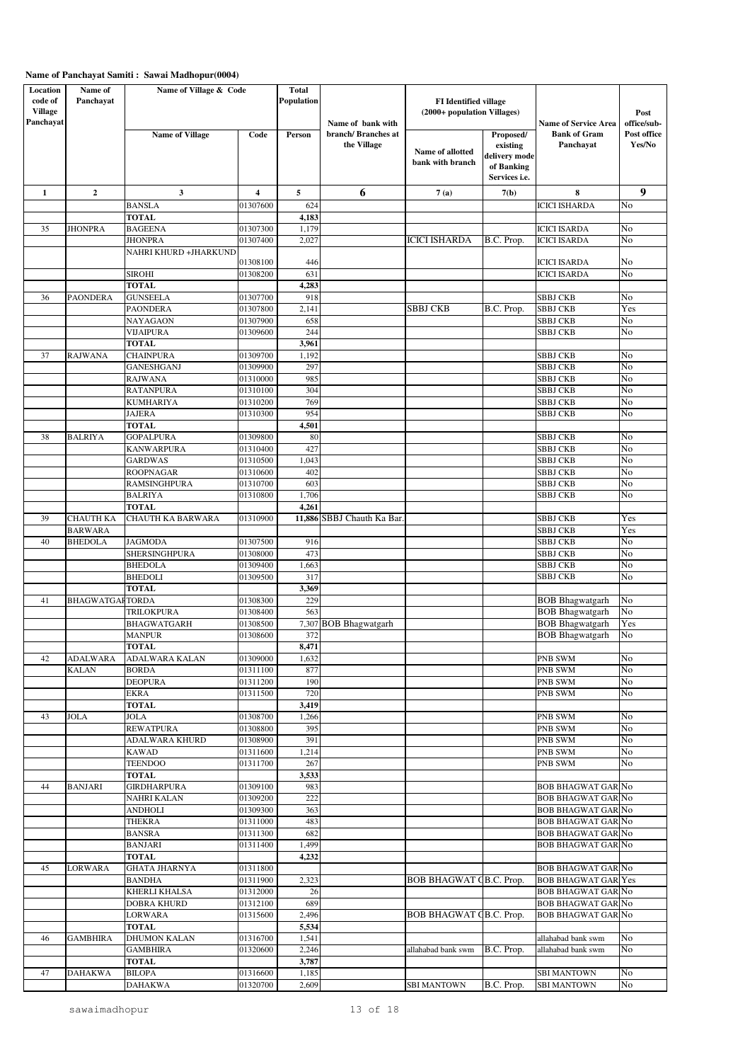| Location                               | Name of                | Name of Village & Code                 |                         | <b>Total</b>   |                                   |                                                             |                                                                       |                                                        |                       |
|----------------------------------------|------------------------|----------------------------------------|-------------------------|----------------|-----------------------------------|-------------------------------------------------------------|-----------------------------------------------------------------------|--------------------------------------------------------|-----------------------|
| code of<br><b>Village</b><br>Panchayat | Panchayat              |                                        |                         | Population     | Name of bank with                 | <b>FI</b> Identified village<br>(2000+ population Villages) |                                                                       | <b>Name of Service Area</b>                            | Post<br>office/sub-   |
|                                        |                        | <b>Name of Village</b>                 | Code                    | Person         | branch/Branches at<br>the Village | Name of allotted<br>bank with branch                        | Proposed/<br>existing<br>delivery mode<br>of Banking<br>Services i.e. | <b>Bank of Gram</b><br>Panchayat                       | Post office<br>Yes/No |
| 1                                      | $\boldsymbol{2}$       | $\mathbf{3}$                           | $\overline{\mathbf{4}}$ | 5              | 6                                 | 7(a)                                                        | 7(b)                                                                  | 8                                                      | 9                     |
|                                        |                        | <b>BANSLA</b>                          | 01307600                | 624            |                                   |                                                             |                                                                       | <b>ICICI ISHARDA</b>                                   | No                    |
|                                        |                        | <b>TOTAL</b>                           |                         | 4,183          |                                   |                                                             |                                                                       |                                                        |                       |
| 35                                     | <b>JHONPRA</b>         | <b>BAGEENA</b>                         | 01307300                | 1,179          |                                   |                                                             |                                                                       | <b>ICICI ISARDA</b>                                    | No                    |
|                                        |                        | <b>JHONPRA</b>                         | 01307400                | 2,027          |                                   | <b>ICICI ISHARDA</b>                                        | B.C. Prop.                                                            | <b>ICICI ISARDA</b>                                    | No                    |
|                                        |                        | NAHRI KHURD +JHARKUND                  | 01308100                | 446            |                                   |                                                             |                                                                       | <b>ICICI ISARDA</b>                                    | No                    |
|                                        |                        | SIROHI                                 | 01308200                | 631            |                                   |                                                             |                                                                       | <b>ICICI ISARDA</b>                                    | No                    |
|                                        |                        | <b>TOTAL</b>                           |                         | 4,283          |                                   |                                                             |                                                                       |                                                        |                       |
| 36                                     | PAONDERA               | <b>GUNSEELA</b>                        | 01307700                | 918            |                                   |                                                             |                                                                       | <b>SBBJ CKB</b>                                        | No                    |
|                                        |                        | PAONDERA                               | 01307800                | 2,141          |                                   | SBBJ CKB                                                    | B.C. Prop.                                                            | SBBJ CKB                                               | Yes                   |
|                                        |                        | NAYAGAON<br>VIJAIPURA                  | 01307900<br>01309600    | 658<br>244     |                                   |                                                             |                                                                       | SBBJ CKB<br><b>SBBJ CKB</b>                            | No<br>No              |
|                                        |                        | <b>TOTAL</b>                           |                         | 3,961          |                                   |                                                             |                                                                       |                                                        |                       |
| 37                                     | <b>RAJWANA</b>         | <b>CHAINPURA</b>                       | 01309700                | 1,192          |                                   |                                                             |                                                                       | <b>SBBJ CKB</b>                                        | No                    |
|                                        |                        | <b>GANESHGANJ</b>                      | 01309900                | 297            |                                   |                                                             |                                                                       | <b>SBBJ CKB</b>                                        | No                    |
|                                        |                        | <b>RAJWANA</b>                         | 01310000                | 985            |                                   |                                                             |                                                                       | <b>SBBJ CKB</b>                                        | No                    |
|                                        |                        | <b>RATANPURA</b>                       | 01310100                | 304            |                                   |                                                             |                                                                       | <b>SBBJ CKB</b>                                        | No                    |
|                                        |                        | <b>KUMHARIYA</b><br><b>JAJERA</b>      | 01310200<br>01310300    | 769<br>954     |                                   |                                                             |                                                                       | <b>SBBJ CKB</b><br>SBBJ CKB                            | No<br>No              |
|                                        |                        | <b>TOTAL</b>                           |                         | 4,501          |                                   |                                                             |                                                                       |                                                        |                       |
| 38                                     | <b>BALRIYA</b>         | <b>GOPALPURA</b>                       | 01309800                | 80             |                                   |                                                             |                                                                       | <b>SBBJ CKB</b>                                        | No                    |
|                                        |                        | KANWARPURA                             | 01310400                | 427            |                                   |                                                             |                                                                       | <b>SBBJ CKB</b>                                        | No                    |
|                                        |                        | <b>GARDWAS</b>                         | 01310500                | 1,043          |                                   |                                                             |                                                                       | <b>SBBJ CKB</b>                                        | No                    |
|                                        |                        | <b>ROOPNAGAR</b><br>RAMSINGHPURA       | 01310600<br>01310700    | 402<br>603     |                                   |                                                             |                                                                       | <b>SBBJ CKB</b><br><b>SBBJ CKB</b>                     | No<br>No              |
|                                        |                        | <b>BALRIYA</b>                         | 01310800                | 1,706          |                                   |                                                             |                                                                       | <b>SBBJ CKB</b>                                        | No                    |
|                                        |                        | <b>TOTAL</b>                           |                         | 4,261          |                                   |                                                             |                                                                       |                                                        |                       |
| 39                                     | CHAUTH KA              | <b>CHAUTH KA BARWARA</b>               | 01310900                |                | 11,886 SBBJ Chauth Ka Bar.        |                                                             |                                                                       | <b>SBBJ CKB</b>                                        | Yes                   |
|                                        | <b>BARWARA</b>         |                                        |                         |                |                                   |                                                             |                                                                       | <b>SBBJ CKB</b>                                        | Yes                   |
| 40                                     | <b>BHEDOLA</b>         | <b>JAGMODA</b><br><b>SHERSINGHPURA</b> | 01307500<br>01308000    | 916<br>473     |                                   |                                                             |                                                                       | <b>SBBJ CKB</b><br><b>SBBJ CKB</b>                     | No<br>No              |
|                                        |                        | <b>BHEDOLA</b>                         | 01309400                | 1,663          |                                   |                                                             |                                                                       | SBBJ CKB                                               | No                    |
|                                        |                        | <b>BHEDOLI</b>                         | 01309500                | 317            |                                   |                                                             |                                                                       | SBBJ CKB                                               | No                    |
|                                        |                        | <b>TOTAL</b>                           |                         | 3,369          |                                   |                                                             |                                                                       |                                                        |                       |
| 41                                     | <b>BHAGWATGAFTORDA</b> |                                        | 01308300                | 229            |                                   |                                                             |                                                                       | <b>BOB Bhagwatgarh</b>                                 | No                    |
|                                        |                        | TRILOKPURA<br><b>BHAGWATGARH</b>       | 01308400<br>01308500    | 563<br>7,307   | <b>BOB</b> Bhagwatgarh            |                                                             |                                                                       | <b>BOB</b> Bhagwatgarh<br><b>BOB</b> Bhagwatgarh       | No<br>Yes             |
|                                        |                        | <b>MANPUR</b>                          | 01308600                | 372            |                                   |                                                             |                                                                       | <b>BOB</b> Bhagwatgarh                                 | No                    |
|                                        |                        | <b>TOTAL</b>                           |                         | 8,471          |                                   |                                                             |                                                                       |                                                        |                       |
| 42                                     | ADALWARA               | ADALWARA KALAN                         | 01309000                | 1,632          |                                   |                                                             |                                                                       | PNB SWM                                                | No                    |
|                                        | <b>KALAN</b>           | <b>BORDA</b>                           | 01311100                | 877            |                                   |                                                             |                                                                       | PNB SWM                                                | No                    |
|                                        |                        | <b>DEOPURA</b><br><b>EKRA</b>          | 01311200<br>01311500    | 190<br>720     |                                   |                                                             |                                                                       | PNB SWM<br>PNB SWM                                     | No<br>No              |
|                                        |                        | <b>TOTAL</b>                           |                         | 3,419          |                                   |                                                             |                                                                       |                                                        |                       |
| 43                                     | <b>JOLA</b>            | <b>JOLA</b>                            | 01308700                | 1,266          |                                   |                                                             |                                                                       | PNB SWM                                                | No                    |
|                                        |                        | <b>REWATPURA</b>                       | 01308800                | 395            |                                   |                                                             |                                                                       | PNB SWM                                                | No                    |
|                                        |                        | ADALWARA KHURD                         | 01308900                | 391            |                                   |                                                             |                                                                       | PNB SWM                                                | No                    |
|                                        |                        | KAWAD<br><b>TEENDOO</b>                | 01311600                | 1,214<br>267   |                                   |                                                             |                                                                       | PNB SWM<br>PNB SWM                                     | No<br>No              |
|                                        |                        | <b>TOTAL</b>                           | 01311700                | 3,533          |                                   |                                                             |                                                                       |                                                        |                       |
| 44                                     | <b>BANJARI</b>         | <b>GIRDHARPURA</b>                     | 01309100                | 983            |                                   |                                                             |                                                                       | <b>BOB BHAGWAT GAR No</b>                              |                       |
|                                        |                        | <b>NAHRI KALAN</b>                     | 01309200                | 222            |                                   |                                                             |                                                                       | <b>BOB BHAGWAT GAR No</b>                              |                       |
|                                        |                        | <b>ANDHOLI</b>                         | 01309300                | 363            |                                   |                                                             |                                                                       | <b>BOB BHAGWAT GAR No</b>                              |                       |
|                                        |                        | <b>THEKRA</b>                          | 01311000                | 483            |                                   |                                                             |                                                                       | <b>BOB BHAGWAT GAR No</b>                              |                       |
|                                        |                        | <b>BANSRA</b><br><b>BANJARI</b>        | 01311300<br>01311400    | 682<br>1,499   |                                   |                                                             |                                                                       | <b>BOB BHAGWAT GAR No</b><br><b>BOB BHAGWAT GAR No</b> |                       |
|                                        |                        | <b>TOTAL</b>                           |                         | 4,232          |                                   |                                                             |                                                                       |                                                        |                       |
| 45                                     | LORWARA                | <b>GHATA JHARNYA</b>                   | 01311800                |                |                                   |                                                             |                                                                       | <b>BOB BHAGWAT GAR No</b>                              |                       |
|                                        |                        | <b>BANDHA</b>                          | 01311900                | 2,323          |                                   | BOB BHAGWAT (B.C. Prop.                                     |                                                                       | <b>BOB BHAGWAT GAR Yes</b>                             |                       |
|                                        |                        | KHERLI KHALSA                          | 01312000                | 26             |                                   |                                                             |                                                                       | <b>BOB BHAGWAT GAR No</b>                              |                       |
|                                        |                        | DOBRA KHURD<br>LORWARA                 | 01312100<br>01315600    | 689<br>2,496   |                                   | BOB BHAGWAT (B.C. Prop.                                     |                                                                       | <b>BOB BHAGWAT GAR No</b><br><b>BOB BHAGWAT GAR No</b> |                       |
|                                        |                        | <b>TOTAL</b>                           |                         | 5,534          |                                   |                                                             |                                                                       |                                                        |                       |
| 46                                     | GAMBHIRA               | DHUMON KALAN                           | 01316700                | 1,541          |                                   |                                                             |                                                                       | allahabad bank swm                                     | No                    |
|                                        |                        | <b>GAMBHIRA</b>                        | 01320600                | 2,246          |                                   | allahabad bank swm                                          | B.C. Prop.                                                            | allahabad bank swm                                     | No                    |
|                                        |                        | <b>TOTAL</b>                           |                         | 3,787          |                                   |                                                             |                                                                       |                                                        |                       |
| 47                                     | <b>DAHAKWA</b>         | <b>BILOPA</b><br><b>DAHAKWA</b>        | 01316600<br>01320700    | 1,185<br>2,609 |                                   | <b>SBI MANTOWN</b>                                          | B.C. Prop.                                                            | <b>SBI MANTOWN</b><br><b>SBI MANTOWN</b>               | No<br>No              |
|                                        |                        |                                        |                         |                |                                   |                                                             |                                                                       |                                                        |                       |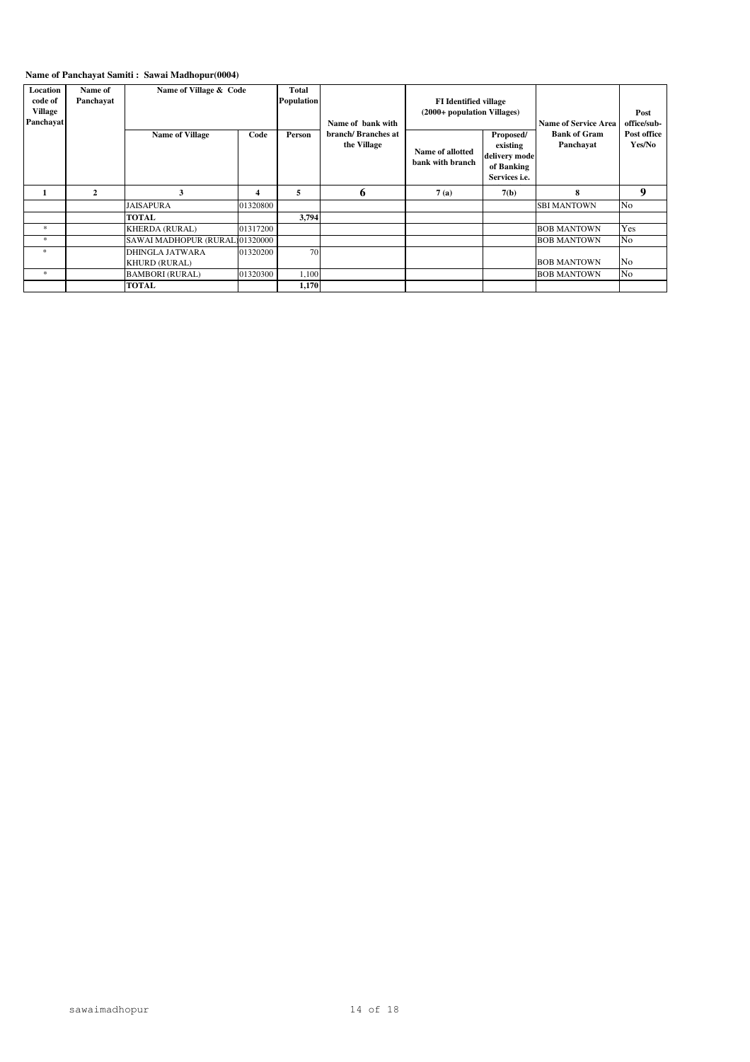| Location<br>code of<br><b>Village</b><br>Panchayat | Name of<br>Panchavat | <b>Total</b><br>Name of Village & Code<br><b>Population</b><br><b>FI</b> Identified village<br>(2000+ population Villages)<br>Name of bank with |          | <b>Name of Service Area</b> | Post<br>office/sub-               |                                      |                                                                              |                                  |                       |
|----------------------------------------------------|----------------------|-------------------------------------------------------------------------------------------------------------------------------------------------|----------|-----------------------------|-----------------------------------|--------------------------------------|------------------------------------------------------------------------------|----------------------------------|-----------------------|
|                                                    |                      | <b>Name of Village</b>                                                                                                                          | Code     | Person                      | branch/Branches at<br>the Village | Name of allotted<br>bank with branch | Proposed/<br>existing<br>delivery mode<br>of Banking<br>Services <i>i.e.</i> | <b>Bank of Gram</b><br>Panchavat | Post office<br>Yes/No |
| 1                                                  | $\mathbf{2}$         | 3                                                                                                                                               | 4        | 5                           | 6                                 | 7(a)                                 | 7(b)                                                                         | 8                                | 9                     |
|                                                    |                      | <b>JAISAPURA</b>                                                                                                                                | 01320800 |                             |                                   |                                      |                                                                              | <b>SBI MANTOWN</b>               | No                    |
|                                                    |                      | <b>TOTAL</b>                                                                                                                                    |          | 3.794                       |                                   |                                      |                                                                              |                                  |                       |
| *                                                  |                      | <b>KHERDA (RURAL)</b>                                                                                                                           | 01317200 |                             |                                   |                                      |                                                                              | <b>BOB MANTOWN</b>               | Yes                   |
| $\ast$                                             |                      | SAWAI MADHOPUR (RURAL)01320000                                                                                                                  |          |                             |                                   |                                      |                                                                              | <b>BOB MANTOWN</b>               | No                    |
| *                                                  |                      | <b>DHINGLA JATWARA</b><br><b>KHURD (RURAL)</b>                                                                                                  | 01320200 | 70                          |                                   |                                      |                                                                              | <b>BOB MANTOWN</b>               | No                    |
| $\ast$                                             |                      | <b>BAMBORI (RURAL)</b>                                                                                                                          | 01320300 | 1,100                       |                                   |                                      |                                                                              | <b>BOB MANTOWN</b>               | No                    |
|                                                    |                      | <b>TOTAL</b>                                                                                                                                    |          | 1,170                       |                                   |                                      |                                                                              |                                  |                       |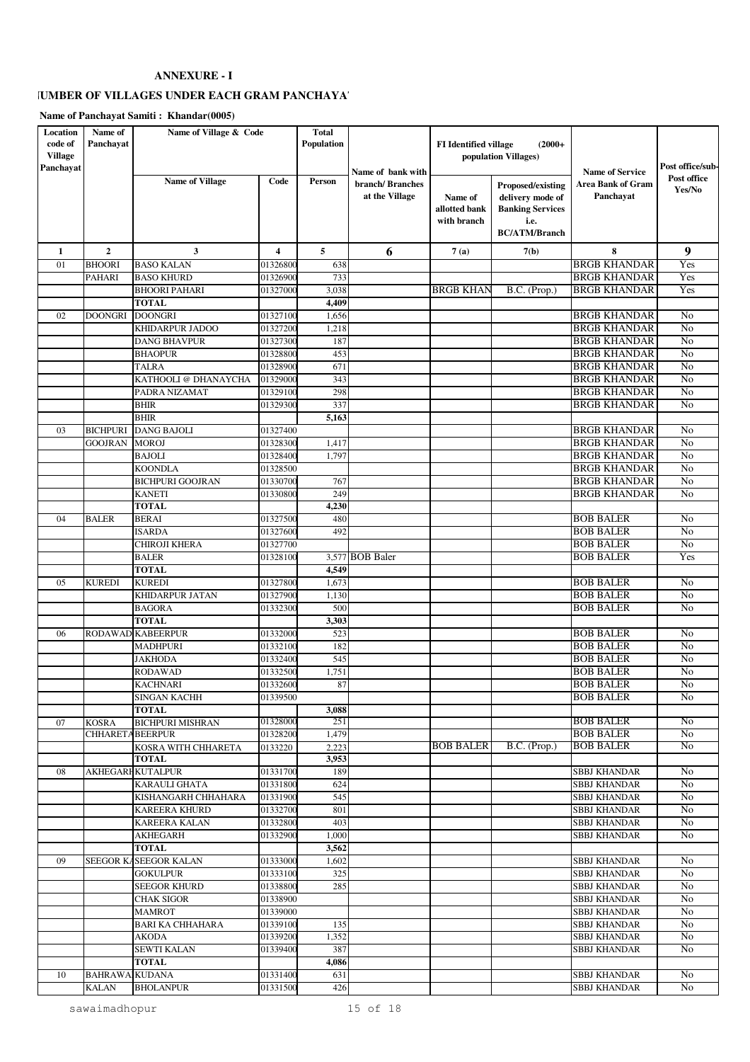## **IUMBER OF VILLAGES UNDER EACH GRAM PANCHAYAT**

**Name of Panchayat Samiti : Khandar(0005)**

| Location       | Name of                | Name of Village & Code   |          | <b>Total</b> |                   |                              |                         |                          |                       |
|----------------|------------------------|--------------------------|----------|--------------|-------------------|------------------------------|-------------------------|--------------------------|-----------------------|
| code of        | Panchayat              |                          |          | Population   |                   | <b>FI</b> Identified village | $(2000+$                |                          |                       |
| <b>Village</b> |                        |                          |          |              |                   |                              | population Villages)    |                          |                       |
| Panchayat      |                        |                          |          |              | Name of bank with |                              |                         | <b>Name of Service</b>   | Post office/sub-      |
|                |                        | <b>Name of Village</b>   | Code     | Person       | branch/Branches   |                              | Proposed/existing       | <b>Area Bank of Gram</b> | Post office<br>Yes/No |
|                |                        |                          |          |              | at the Village    | Name of                      | delivery mode of        | Panchayat                |                       |
|                |                        |                          |          |              |                   | allotted bank                | <b>Banking Services</b> |                          |                       |
|                |                        |                          |          |              |                   | with branch                  | i.e.                    |                          |                       |
|                |                        |                          |          |              |                   |                              | <b>BC/ATM/Branch</b>    |                          |                       |
| 1              | $\overline{2}$         | 3                        | 4        | 5            | 6                 | 7(a)                         | 7(b)                    | 8                        | 9                     |
| 01             | <b>BHOORI</b>          | <b>BASO KALAN</b>        | 01326800 | 638          |                   |                              |                         | BRGB KHANDAR             | Yes                   |
|                | <b>PAHARI</b>          | <b>BASO KHURD</b>        | 01326900 | 733          |                   |                              |                         | BRGB KHANDAR             | Yes                   |
|                |                        | <b>BHOORI PAHARI</b>     | 01327000 | 3,038        |                   | BRGB KHAN                    | B.C. (Prop.)            | BRGB KHANDAR             | Yes                   |
|                |                        | <b>TOTAL</b>             |          | 4,409        |                   |                              |                         |                          |                       |
| 02             | <b>DOONGRI</b>         | <b>DOONGRI</b>           | 01327100 | 1,656        |                   |                              |                         | <b>BRGB KHANDAR</b>      | No                    |
|                |                        | KHIDARPUR JADOO          | 01327200 | 1,218        |                   |                              |                         | BRGB KHANDAR             | No                    |
|                |                        | <b>DANG BHAVPUR</b>      | 01327300 | 187          |                   |                              |                         | BRGB KHANDAR             | No                    |
|                |                        | <b>BHAOPUR</b>           | 01328800 | 453          |                   |                              |                         | BRGB KHANDAR             | No                    |
|                |                        | <b>TALRA</b>             | 01328900 | 671          |                   |                              |                         | <b>BRGB KHANDAR</b>      | No                    |
|                |                        | KATHOOLI @ DHANAYCHA     | 01329000 | 343          |                   |                              |                         | <b>BRGB KHANDAR</b>      | No                    |
|                |                        | PADRA NIZAMAT            | 01329100 | 298          |                   |                              |                         | BRGB KHANDAR             | No                    |
|                |                        | <b>BHIR</b>              | 01329300 | 337          |                   |                              |                         | BRGB KHANDAR             | No                    |
|                |                        | <b>BHIR</b>              |          | 5,163        |                   |                              |                         |                          |                       |
| 03             | <b>BICHPURI</b>        | <b>DANG BAJOLI</b>       | 01327400 |              |                   |                              |                         | BRGB KHANDAR             | No                    |
|                | <b>GOOJRAN</b>         | <b>MOROJ</b>             | 01328300 | 1,417        |                   |                              |                         | BRGB KHANDAR             | No                    |
|                |                        | <b>BAJOLI</b>            | 01328400 | 1,797        |                   |                              |                         | <b>BRGB KHANDAR</b>      | $\overline{No}$       |
|                |                        | <b>KOONDLA</b>           | 01328500 |              |                   |                              |                         | BRGB KHANDAR             | No                    |
|                |                        | <b>BICHPURI GOOJRAN</b>  | 01330700 | 767          |                   |                              |                         | BRGB KHANDAR             | No                    |
|                |                        | <b>KANETI</b>            | 01330800 | 249          |                   |                              |                         | BRGB KHANDAR             | N <sub>o</sub>        |
|                |                        | <b>TOTAL</b>             |          | 4,230        |                   |                              |                         |                          |                       |
| 04             | <b>BALER</b>           | <b>BERAI</b>             | 01327500 | 480          |                   |                              |                         | <b>BOB BALER</b>         | No                    |
|                |                        | <b>ISARDA</b>            | 01327600 | 492          |                   |                              |                         | <b>BOB BALER</b>         | No                    |
|                |                        | CHIROJI KHERA            | 01327700 |              |                   |                              |                         | BOB BALER                | No                    |
|                |                        | <b>BALER</b>             | 01328100 |              | 3,577 BOB Baler   |                              |                         | BOB BALER                | Yes                   |
|                |                        | <b>TOTAL</b>             |          | 4,549        |                   |                              |                         |                          |                       |
| 05             | <b>KUREDI</b>          | <b>KUREDI</b>            | 01327800 | 1,673        |                   |                              |                         | <b>BOB BALER</b>         | No                    |
|                |                        | <b>KHIDARPUR JATAN</b>   | 01327900 | 1,130        |                   |                              |                         | <b>BOB BALER</b>         | No                    |
|                |                        | <b>BAGORA</b>            | 01332300 | 500          |                   |                              |                         | <b>BOB BALER</b>         | No                    |
|                |                        | <b>TOTAL</b>             |          | 3,303        |                   |                              |                         |                          |                       |
| 06             |                        | <b>RODAWAD KABEERPUR</b> | 01332000 | 523          |                   |                              |                         | <b>BOB BALER</b>         | No                    |
|                |                        | <b>MADHPURI</b>          | 01332100 | 182          |                   |                              |                         | <b>BOB BALER</b>         | No                    |
|                |                        | <b>JAKHODA</b>           | 01332400 | 545          |                   |                              |                         | <b>BOB BALER</b>         | No                    |
|                |                        | <b>RODAWAD</b>           | 01332500 | 1,751        |                   |                              |                         | <b>BOB BALER</b>         | No                    |
|                |                        | <b>KACHNARI</b>          | 01332600 | 87           |                   |                              |                         | <b>BOB BALER</b>         | No                    |
|                |                        | <b>SINGAN KACHH</b>      | 01339500 |              |                   |                              |                         | <b>BOB BALER</b>         | No.                   |
|                |                        | <b>TOTAL</b>             |          | 3,088        |                   |                              |                         |                          |                       |
| 07             | <b>KOSRA</b>           | <b>BICHPURI MISHRAN</b>  | 01328000 | 251          |                   |                              |                         | <b>BOB BALER</b>         | No                    |
|                | <b>CHHARETABEERPUR</b> |                          | 01328200 | 1,479        |                   |                              |                         | <b>BOB BALER</b>         | No                    |
|                |                        | KOSRA WITH CHHARETA      | 0133220  | 2,223        |                   | <b>BOB BALER</b>             | B.C. (Prop.)            | <b>BOB BALER</b>         | No                    |
|                |                        | <b>TOTAL</b>             |          | 3,953        |                   |                              |                         |                          |                       |
| 08             |                        | <b>AKHEGARI KUTALPUR</b> | 01331700 | 189          |                   |                              |                         | SBBJ KHANDAR             | No                    |
|                |                        | KARAULI GHATA            | 01331800 | 624          |                   |                              |                         | SBBJ KHANDAR             | No                    |
|                |                        | KISHANGARH CHHAHARA      | 01331900 | 545          |                   |                              |                         | <b>SBBJ KHANDAR</b>      | No                    |
|                |                        | <b>KAREERA KHURD</b>     | 01332700 | 801          |                   |                              |                         | <b>SBBJ KHANDAR</b>      | No                    |
|                |                        | <b>KAREERA KALAN</b>     | 01332800 | 403          |                   |                              |                         | SBBJ KHANDAR             | No                    |
|                |                        | AKHEGARH                 | 01332900 | 1,000        |                   |                              |                         | SBBJ KHANDAR             | No                    |
|                |                        | <b>TOTAL</b>             |          | 3,562        |                   |                              |                         |                          |                       |
| 09             |                        | SEEGOR KASEEGOR KALAN    | 01333000 | 1,602        |                   |                              |                         | <b>SBBJ KHANDAR</b>      | No                    |
|                |                        | <b>GOKULPUR</b>          | 01333100 | 325          |                   |                              |                         | SBBJ KHANDAR             | No                    |
|                |                        | <b>SEEGOR KHURD</b>      | 01338800 | 285          |                   |                              |                         | <b>SBBJ KHANDAR</b>      | No                    |
|                |                        | <b>CHAK SIGOR</b>        | 01338900 |              |                   |                              |                         | SBBJ KHANDAR             | No                    |
|                |                        | <b>MAMROT</b>            | 01339000 |              |                   |                              |                         | SBBJ KHANDAR             | No                    |
|                |                        | BARI KA CHHAHARA         | 01339100 | 135          |                   |                              |                         | SBBJ KHANDAR             | No                    |
|                |                        | AKODA                    | 01339200 | 1,352        |                   |                              |                         | SBBJ KHANDAR             | No                    |
|                |                        | <b>SEWTI KALAN</b>       | 01339400 | 387          |                   |                              |                         | SBBJ KHANDAR             | No                    |
|                |                        | <b>TOTAL</b>             |          | 4,086        |                   |                              |                         |                          |                       |
| 10             | <b>BAHRAWA KUDANA</b>  |                          | 01331400 | 631          |                   |                              |                         | SBBJ KHANDAR             | No                    |
|                | <b>KALAN</b>           | <b>BHOLANPUR</b>         | 01331500 | 426          |                   |                              |                         | SBBJ KHANDAR             | No                    |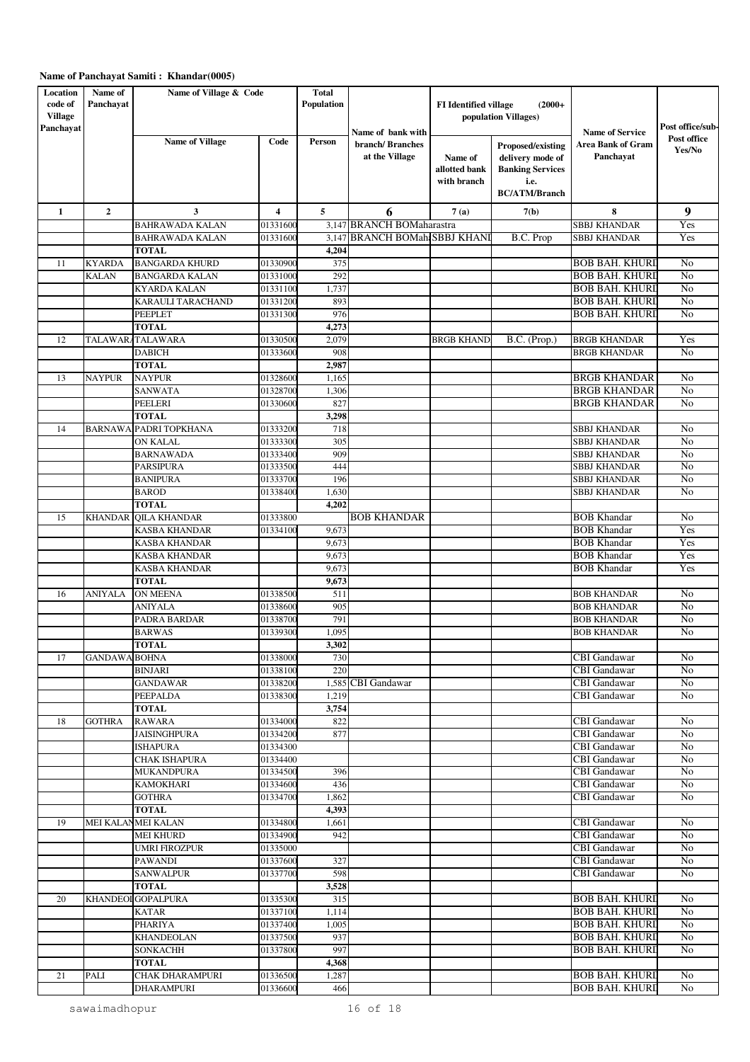| Location                  | Name of              | Name of Village & Code                |                         | <b>Total</b>   |                                                        |                                         |                                                                                                  |                                                                 |                       |
|---------------------------|----------------------|---------------------------------------|-------------------------|----------------|--------------------------------------------------------|-----------------------------------------|--------------------------------------------------------------------------------------------------|-----------------------------------------------------------------|-----------------------|
| code of<br><b>Village</b> | Panchayat            |                                       |                         | Population     |                                                        | <b>FI</b> Identified village            | $(2000+$<br>population Villages)                                                                 |                                                                 |                       |
| Panchayat                 |                      |                                       |                         |                |                                                        |                                         |                                                                                                  |                                                                 | Post office/sub-      |
|                           |                      | <b>Name of Village</b>                | Code                    | Person         | Name of bank with<br>branch/Branches<br>at the Village | Name of<br>allotted bank<br>with branch | Proposed/existing<br>delivery mode of<br><b>Banking Services</b><br>i.e.<br><b>BC/ATM/Branch</b> | <b>Name of Service</b><br><b>Area Bank of Gram</b><br>Panchayat | Post office<br>Yes/No |
| 1                         | $\overline{2}$       | 3                                     | $\overline{\mathbf{4}}$ | 5              | 6                                                      | 7(a)                                    | 7(b)                                                                                             | 8                                                               | 9                     |
|                           |                      | <b>BAHRAWADA KALAN</b>                | 01331600                | 3,147          | <b>BRANCH BOMaharastra</b>                             |                                         |                                                                                                  | <b>SBBJ KHANDAR</b>                                             | Yes                   |
|                           |                      | <b>BAHRAWADA KALAN</b>                | 01331600                | 3,147          | <b>BRANCH BOMah SBBJ KHANI</b>                         |                                         | B.C. Prop                                                                                        | <b>SBBJ KHANDAR</b>                                             | Yes                   |
|                           |                      | <b>TOTAL</b>                          |                         | 4,204          |                                                        |                                         |                                                                                                  |                                                                 |                       |
| 11                        | <b>KYARDA</b>        | <b>BANGARDA KHURD</b>                 | 01330900                | 375            |                                                        |                                         |                                                                                                  | <b>BOB BAH, KHURI</b>                                           | No                    |
|                           | KALAN                | <b>BANGARDA KALAN</b>                 | 01331000                | 292            |                                                        |                                         |                                                                                                  | <b>BOB BAH. KHURI</b>                                           | No                    |
|                           |                      | <b>KYARDA KALAN</b>                   | 01331100                | 1,737          |                                                        |                                         |                                                                                                  | <b>BOB BAH. KHURI</b>                                           | No                    |
|                           |                      | KARAULI TARACHAND                     | 01331200                | 893            |                                                        |                                         |                                                                                                  | <b>BOB BAH. KHURI</b>                                           | N <sub>o</sub>        |
|                           |                      | PEEPLET                               | 01331300                | 976            |                                                        |                                         |                                                                                                  | BOB BAH. KHURI                                                  | No                    |
|                           |                      | <b>TOTAL</b>                          | 01330500                | 4,273<br>2,079 |                                                        | <b>BRGB KHAND</b>                       | B.C. (Prop.)                                                                                     | <b>BRGB KHANDAR</b>                                             | Yes                   |
| 12                        |                      | TALAWAR/TALAWARA<br>DABICH            | 01333600                | 908            |                                                        |                                         |                                                                                                  | <b>BRGB KHANDAR</b>                                             | No                    |
|                           |                      | <b>TOTAL</b>                          |                         | 2,987          |                                                        |                                         |                                                                                                  |                                                                 |                       |
| 13                        | NAYPUR               | <b>NAYPUR</b>                         | 0132860                 | 1,165          |                                                        |                                         |                                                                                                  | <b>BRGB KHANDAR</b>                                             | No                    |
|                           |                      | SANWATA                               | 01328700                | 1,306          |                                                        |                                         |                                                                                                  | <b>BRGB KHANDAR</b>                                             | No                    |
|                           |                      | PEELERI                               | 01330600                | 827            |                                                        |                                         |                                                                                                  | <b>BRGB KHANDAR</b>                                             | No                    |
|                           |                      | <b>TOTAL</b>                          |                         | 3,298          |                                                        |                                         |                                                                                                  |                                                                 |                       |
| 14                        |                      | BARNAWA PADRI TOPKHANA                | 01333200                | 718            |                                                        |                                         |                                                                                                  | SBBJ KHANDAR                                                    | No                    |
|                           |                      | ON KALAL                              | 01333300                | 305            |                                                        |                                         |                                                                                                  | <b>SBBJ KHANDAR</b>                                             | No                    |
|                           |                      | <b>BARNAWADA</b>                      | 01333400                | 909            |                                                        |                                         |                                                                                                  | <b>SBBJ KHANDAR</b>                                             | No                    |
|                           |                      | <b>PARSIPURA</b>                      | 01333500                | 444            |                                                        |                                         |                                                                                                  | <b>SBBJ KHANDAR</b>                                             | No                    |
|                           |                      | <b>BANIPURA</b>                       | 01333700                | 196            |                                                        |                                         |                                                                                                  | <b>SBBJ KHANDAR</b>                                             | No                    |
|                           |                      | <b>BAROD</b>                          | 01338400                | 1,630          |                                                        |                                         |                                                                                                  | <b>SBBJ KHANDAR</b>                                             | N <sub>o</sub>        |
|                           |                      | <b>TOTAL</b>                          |                         | 4,202          |                                                        |                                         |                                                                                                  |                                                                 |                       |
| 15                        | KHANDAR              | <b>QILA KHANDAR</b>                   | 01333800                |                | <b>BOB KHANDAR</b>                                     |                                         |                                                                                                  | <b>BOB</b> Khandar                                              | No<br>Yes             |
|                           |                      | KASBA KHANDAR<br><b>KASBA KHANDAR</b> | 01334100                | 9,673<br>9,673 |                                                        |                                         |                                                                                                  | <b>BOB</b> Khandar<br><b>BOB</b> Khandar                        | Yes                   |
|                           |                      | KASBA KHANDAR                         |                         | 9,673          |                                                        |                                         |                                                                                                  | <b>BOB Khandar</b>                                              | Yes                   |
|                           |                      | KASBA KHANDAR                         |                         | 9,673          |                                                        |                                         |                                                                                                  | <b>BOB</b> Khandar                                              | Yes                   |
|                           |                      | <b>TOTAL</b>                          |                         | 9,673          |                                                        |                                         |                                                                                                  |                                                                 |                       |
| 16                        | ANIYALA              | <b>ON MEENA</b>                       | 01338500                | 511            |                                                        |                                         |                                                                                                  | <b>BOB KHANDAR</b>                                              | No                    |
|                           |                      | ANIYALA                               | 01338600                | 905            |                                                        |                                         |                                                                                                  | <b>BOB KHANDAR</b>                                              | No                    |
|                           |                      | PADRA BARDAR                          | 01338700                | 791            |                                                        |                                         |                                                                                                  | <b>BOB KHANDAR</b>                                              | No                    |
|                           |                      | <b>BARWAS</b>                         | 01339300                | 1,095          |                                                        |                                         |                                                                                                  | <b>BOB KHANDAR</b>                                              | No                    |
|                           |                      | <b>TOTAL</b>                          |                         | 3,302          |                                                        |                                         |                                                                                                  |                                                                 |                       |
| 17                        | <b>GANDAWA BOHNA</b> |                                       | 01338000                | 730            |                                                        |                                         |                                                                                                  | <b>CBI</b> Gandawar                                             | No                    |
|                           |                      | <b>BINJARI</b>                        | 01338100                | 220            |                                                        |                                         |                                                                                                  | CBI Gandawar                                                    | N <sub>0</sub>        |
|                           |                      | <b>GANDAWAR</b>                       | 01338200                |                | 1.585 CBI Gandawar                                     |                                         |                                                                                                  | <b>CBI</b> Gandawar                                             | No                    |
|                           |                      | PEEPALDA                              | 01338300                | 1,219          |                                                        |                                         |                                                                                                  | CBI Gandawar                                                    | N <sub>0</sub>        |
| 18                        | GOTHRA               | TOTAL<br><b>RAWARA</b>                | 01334000                | 3,754<br>822   |                                                        |                                         |                                                                                                  | CBI Gandawar                                                    | No                    |
|                           |                      | <b>JAISINGHPURA</b>                   | 01334200                | 877            |                                                        |                                         |                                                                                                  | CBI Gandawar                                                    | No                    |
|                           |                      | <b>ISHAPURA</b>                       | 01334300                |                |                                                        |                                         |                                                                                                  | CBI Gandawar                                                    | No                    |
|                           |                      | <b>CHAK ISHAPURA</b>                  | 01334400                |                |                                                        |                                         |                                                                                                  | <b>CBI</b> Gandawar                                             | No                    |
|                           |                      | MUKANDPURA                            | 01334500                | 396            |                                                        |                                         |                                                                                                  | CBI Gandawar                                                    | No                    |
|                           |                      | <b>KAMOKHARI</b>                      | 01334600                | 436            |                                                        |                                         |                                                                                                  | CBI Gandawar                                                    | No                    |
|                           |                      | <b>GOTHRA</b>                         | 01334700                | 1,862          |                                                        |                                         |                                                                                                  | CBI Gandawar                                                    | No                    |
|                           |                      | <b>TOTAL</b>                          |                         | 4,393          |                                                        |                                         |                                                                                                  |                                                                 |                       |
| 19                        |                      | MEI KALANMEI KALAN                    | 01334800                | 1,661          |                                                        |                                         |                                                                                                  | CBI Gandawar                                                    | No                    |
|                           |                      | MEI KHURD                             | 01334900                | 942            |                                                        |                                         |                                                                                                  | CBI Gandawar                                                    | No                    |
|                           |                      | UMRI FIROZPUR                         | 01335000                |                |                                                        |                                         |                                                                                                  | CBI Gandawar                                                    | No                    |
|                           |                      | <b>PAWANDI</b>                        | 01337600                | 327            |                                                        |                                         |                                                                                                  | CBI Gandawar                                                    | N <sub>0</sub>        |
|                           |                      | <b>SANWALPUR</b>                      | 01337700                | 598            |                                                        |                                         |                                                                                                  | CBI Gandawar                                                    | No                    |
| 20                        |                      | <b>TOTAL</b><br>KHANDEOI GOPALPURA    | 01335300                | 3,528<br>315   |                                                        |                                         |                                                                                                  | <b>BOB BAH. KHURI</b>                                           | No                    |
|                           |                      | <b>KATAR</b>                          | 01337100                | 1,114          |                                                        |                                         |                                                                                                  | <b>BOB BAH. KHURI</b>                                           | No                    |
|                           |                      | PHARIYA                               | 01337400                | 1,005          |                                                        |                                         |                                                                                                  | <b>BOB BAH. KHURI</b>                                           | No                    |
|                           |                      | KHANDEOLAN                            | 01337500                | 937            |                                                        |                                         |                                                                                                  | <b>BOB BAH. KHURI</b>                                           | No                    |
|                           |                      | SONKACHH                              | 01337800                | 997            |                                                        |                                         |                                                                                                  | <b>BOB BAH. KHURI</b>                                           | No                    |
|                           |                      | TOTAL                                 |                         | 4,368          |                                                        |                                         |                                                                                                  |                                                                 |                       |
| 21                        | PALI                 | <b>CHAK DHARAMPURI</b>                | 01336500                | 1,287          |                                                        |                                         |                                                                                                  | <b>BOB BAH. KHURI</b>                                           | No                    |
|                           |                      | DHARAMPURI                            | 01336600                | 466            |                                                        |                                         |                                                                                                  | <b>BOB BAH. KHURI</b>                                           | No                    |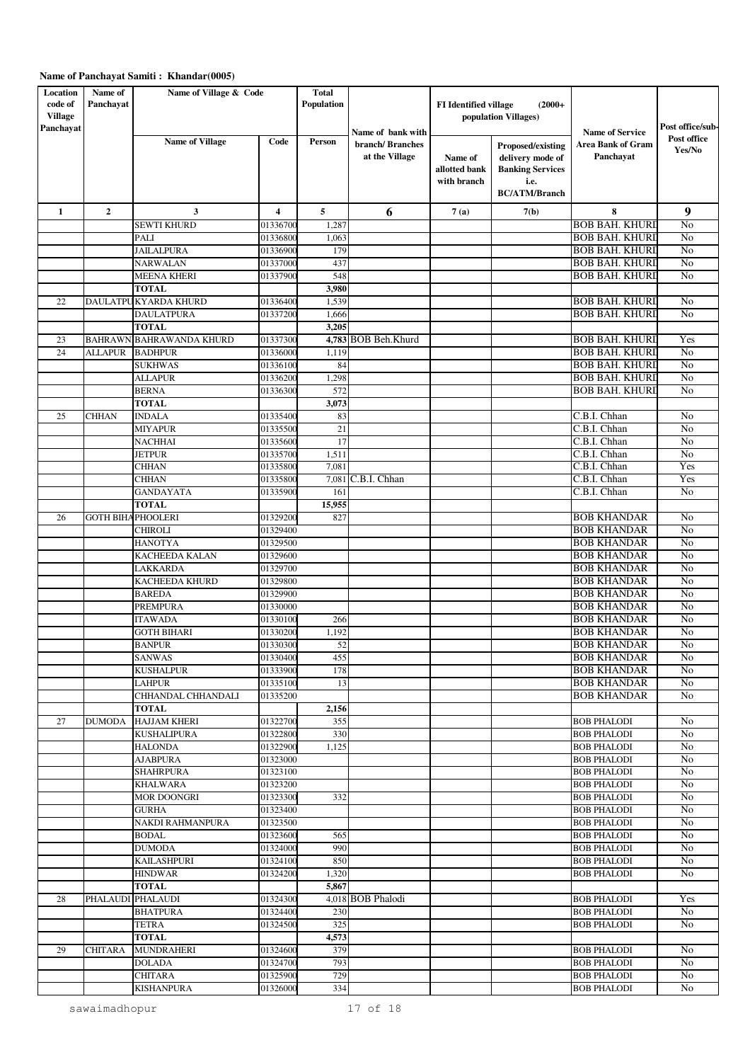| Location                  | Name of                   | Name of Village & Code              |                         | <b>Total</b>   |                                                        |                                         |                                                                                                  |                                                          |                       |
|---------------------------|---------------------------|-------------------------------------|-------------------------|----------------|--------------------------------------------------------|-----------------------------------------|--------------------------------------------------------------------------------------------------|----------------------------------------------------------|-----------------------|
| code of<br><b>Village</b> | Panchayat                 |                                     |                         | Population     |                                                        | <b>FI</b> Identified village            | $(2000+$<br>population Villages)                                                                 |                                                          | Post office/sub-      |
| Panchayat                 |                           | <b>Name of Village</b>              | Code                    | Person         | Name of bank with<br>branch/Branches<br>at the Village | Name of<br>allotted bank<br>with branch | Proposed/existing<br>delivery mode of<br><b>Banking Services</b><br>i.e.<br><b>BC/ATM/Branch</b> | <b>Name of Service</b><br>Area Bank of Gram<br>Panchayat | Post office<br>Yes/No |
| 1                         | $\overline{2}$            | 3                                   | $\overline{\mathbf{4}}$ | 5              | 6                                                      | 7(a)                                    | 7(b)                                                                                             | 8                                                        | 9                     |
|                           |                           | SEWTI KHURD                         | 01336700                | 1,287          |                                                        |                                         |                                                                                                  | <b>BOB BAH. KHURI</b>                                    | No                    |
|                           |                           | PALI                                | 01336800                | 1,063          |                                                        |                                         |                                                                                                  | BOB BAH. KHURI                                           | No                    |
|                           |                           | JAILALPURA                          | 01336900                | 179            |                                                        |                                         |                                                                                                  | <b>BOB BAH. KHURI</b>                                    | No                    |
|                           |                           | <b>NARWALAN</b>                     | 01337000                | 437            |                                                        |                                         |                                                                                                  | <b>BOB BAH. KHURI</b>                                    | No                    |
|                           |                           | MEENA KHERI                         | 01337900                | 548            |                                                        |                                         |                                                                                                  | BOB BAH. KHURI                                           | No                    |
|                           |                           | <b>TOTAL</b>                        |                         | 3,980          |                                                        |                                         |                                                                                                  |                                                          |                       |
| 22                        | DAULATPU                  | <b>KYARDA KHURD</b>                 | 01336400                | 1,539          |                                                        |                                         |                                                                                                  | <b>BOB BAH. KHURI</b>                                    | No                    |
|                           |                           | DAULATPURA<br><b>TOTAL</b>          | 01337200                | 1,666<br>3,205 |                                                        |                                         |                                                                                                  | BOB BAH. KHURI                                           | No                    |
| 23                        |                           | BAHRAWN BAHRAWANDA KHURD            | 01337300                | 4,783          | <b>BOB Beh.Khurd</b>                                   |                                         |                                                                                                  | <b>BOB BAH. KHURI</b>                                    | Yes                   |
| 24                        | <b>ALLAPUR</b>            | <b>BADHPUR</b>                      | 01336000                | 1,119          |                                                        |                                         |                                                                                                  | <b>BOB BAH. KHURI</b>                                    | No                    |
|                           |                           | <b>SUKHWAS</b>                      | 01336100                | 84             |                                                        |                                         |                                                                                                  | BOB BAH. KHURI                                           | No                    |
|                           |                           | <b>ALLAPUR</b>                      | 01336200                | 1,298          |                                                        |                                         |                                                                                                  | <b>BOB BAH. KHURI</b>                                    | No                    |
|                           |                           | <b>BERNA</b>                        | 01336300                | 572            |                                                        |                                         |                                                                                                  | <b>BOB BAH. KHURI</b>                                    | No                    |
|                           |                           | <b>TOTAL</b>                        |                         | 3,073          |                                                        |                                         |                                                                                                  |                                                          |                       |
| 25                        | <b>CHHAN</b>              | <b>INDALA</b>                       | 01335400                | 83             |                                                        |                                         |                                                                                                  | C.B.I. Chhan                                             | No                    |
|                           |                           | <b>MIYAPUR</b>                      | 01335500                | 21             |                                                        |                                         |                                                                                                  | C.B.I. Chhan                                             | No                    |
|                           |                           | NACHHAI                             | 01335600                | 17             |                                                        |                                         |                                                                                                  | C.B.I. Chhan                                             | No                    |
|                           |                           | JETPUR                              | 01335700                | 1,511          |                                                        |                                         |                                                                                                  | C.B.I. Chhan                                             | No                    |
|                           |                           | <b>CHHAN</b>                        | 01335800                | 7,081          | C.B.I. Chhan                                           |                                         |                                                                                                  | C.B.I. Chhan<br>C.B.I. Chhan                             | Yes<br>Yes            |
|                           |                           | CHHAN<br>GANDAYATA                  | 01335800<br>01335900    | 7,081<br>161   |                                                        |                                         |                                                                                                  | C.B.I. Chhan                                             | N <sub>o</sub>        |
|                           |                           | <b>TOTAL</b>                        |                         | 15,955         |                                                        |                                         |                                                                                                  |                                                          |                       |
| 26                        | <b>GOTH BIHA PHOOLERI</b> |                                     | 01329200                | 827            |                                                        |                                         |                                                                                                  | <b>BOB KHANDAR</b>                                       | No                    |
|                           |                           | CHIROLI                             | 01329400                |                |                                                        |                                         |                                                                                                  | <b>BOB KHANDAR</b>                                       | No                    |
|                           |                           | <b>HANOTYA</b>                      | 01329500                |                |                                                        |                                         |                                                                                                  | <b>BOB KHANDAR</b>                                       | No                    |
|                           |                           | KACHEEDA KALAN                      | 01329600                |                |                                                        |                                         |                                                                                                  | <b>BOB KHANDAR</b>                                       | No                    |
|                           |                           | LAKKARDA                            | 01329700                |                |                                                        |                                         |                                                                                                  | BOB KHANDAR                                              | No                    |
|                           |                           | <b>KACHEEDA KHURD</b>               | 01329800                |                |                                                        |                                         |                                                                                                  | <b>BOB KHANDAR</b>                                       | No                    |
|                           |                           | <b>BAREDA</b>                       | 01329900                |                |                                                        |                                         |                                                                                                  | <b>BOB KHANDAR</b>                                       | No                    |
|                           |                           | PREMPURA                            | 01330000                |                |                                                        |                                         |                                                                                                  | <b>BOB KHANDAR</b>                                       | No                    |
|                           |                           | ITAWADA<br>GOTH BIHARI              | 01330100<br>01330200    | 266<br>1,192   |                                                        |                                         |                                                                                                  | <b>BOB KHANDAR</b><br><b>BOB KHANDAR</b>                 | No<br>No              |
|                           |                           | <b>BANPUR</b>                       | 01330300                | 52             |                                                        |                                         |                                                                                                  | <b>BOB KHANDAR</b>                                       | $\overline{No}$       |
|                           |                           | <b>SANWAS</b>                       | 01330400                | 455            |                                                        |                                         |                                                                                                  | <b>BOB KHANDAR</b>                                       | No                    |
|                           |                           | <b>KUSHALPUR</b>                    | 01333900                | 178            |                                                        |                                         |                                                                                                  | <b>BOB KHANDAR</b>                                       | No                    |
|                           |                           | LAHPUR                              | 01335100                | 13             |                                                        |                                         |                                                                                                  | <b>BOB KHANDAR</b>                                       | No                    |
|                           |                           | CHHANDAL CHHANDALI                  | 01335200                |                |                                                        |                                         |                                                                                                  | <b>BOB KHANDAR</b>                                       | No                    |
|                           |                           | TOTAL                               |                         | 2,156          |                                                        |                                         |                                                                                                  |                                                          |                       |
| 27                        | DUMODA                    | <b>HAJJAM KHERI</b>                 | 01322700                | 355            |                                                        |                                         |                                                                                                  | <b>BOB PHALODI</b>                                       | No                    |
|                           |                           | <b>KUSHALIPURA</b>                  | 01322800                | 330            |                                                        |                                         |                                                                                                  | <b>BOB PHALODI</b>                                       | No                    |
|                           |                           | <b>HALONDA</b>                      | 01322900                | 1,125          |                                                        |                                         |                                                                                                  | <b>BOB PHALODI</b>                                       | No                    |
|                           |                           | AJABPURA                            | 01323000                |                |                                                        |                                         |                                                                                                  | <b>BOB PHALODI</b>                                       | No                    |
|                           |                           | <b>SHAHRPURA</b><br><b>KHALWARA</b> | 01323100<br>01323200    |                |                                                        |                                         |                                                                                                  | <b>BOB PHALODI</b><br><b>BOB PHALODI</b>                 | No<br>No              |
|                           |                           | <b>MOR DOONGRI</b>                  | 01323300                | 332            |                                                        |                                         |                                                                                                  | <b>BOB PHALODI</b>                                       | No                    |
|                           |                           | <b>GURHA</b>                        | 01323400                |                |                                                        |                                         |                                                                                                  | <b>BOB PHALODI</b>                                       | No                    |
|                           |                           | NAKDI RAHMANPURA                    | 01323500                |                |                                                        |                                         |                                                                                                  | <b>BOB PHALODI</b>                                       | No                    |
|                           |                           | <b>BODAL</b>                        | 01323600                | 565            |                                                        |                                         |                                                                                                  | <b>BOB PHALODI</b>                                       | No                    |
|                           |                           | DUMODA                              | 01324000                | 990            |                                                        |                                         |                                                                                                  | <b>BOB PHALODI</b>                                       | No                    |
|                           |                           | <b>KAILASHPURI</b>                  | 01324100                | 850            |                                                        |                                         |                                                                                                  | <b>BOB PHALODI</b>                                       | No                    |
|                           |                           | <b>HINDWAR</b>                      | 01324200                | 1,320          |                                                        |                                         |                                                                                                  | <b>BOB PHALODI</b>                                       | No                    |
|                           |                           | <b>TOTAL</b>                        |                         | 5,867          |                                                        |                                         |                                                                                                  |                                                          |                       |
| 28                        |                           | PHALAUDI PHALAUDI                   | 01324300                |                | 4,018 BOB Phalodi                                      |                                         |                                                                                                  | <b>BOB PHALODI</b>                                       | Yes                   |
|                           |                           | <b>BHATPURA</b><br>TETRA            | 01324400<br>01324500    | 230<br>325     |                                                        |                                         |                                                                                                  | <b>BOB PHALODI</b><br><b>BOB PHALODI</b>                 | No.<br>No             |
|                           |                           | <b>TOTAL</b>                        |                         | 4,573          |                                                        |                                         |                                                                                                  |                                                          |                       |
| 29                        | CHITARA                   | <b>MUNDRAHERI</b>                   | 01324600                | 379            |                                                        |                                         |                                                                                                  | <b>BOB PHALODI</b>                                       | No                    |
|                           |                           | <b>DOLADA</b>                       | 01324700                | 793            |                                                        |                                         |                                                                                                  | <b>BOB PHALODI</b>                                       | No                    |
|                           |                           | <b>CHITARA</b>                      | 01325900                | 729            |                                                        |                                         |                                                                                                  | <b>BOB PHALODI</b>                                       | No                    |
|                           |                           | KISHANPURA                          | 01326000                | 334            |                                                        |                                         |                                                                                                  | <b>BOB PHALODI</b>                                       | No                    |